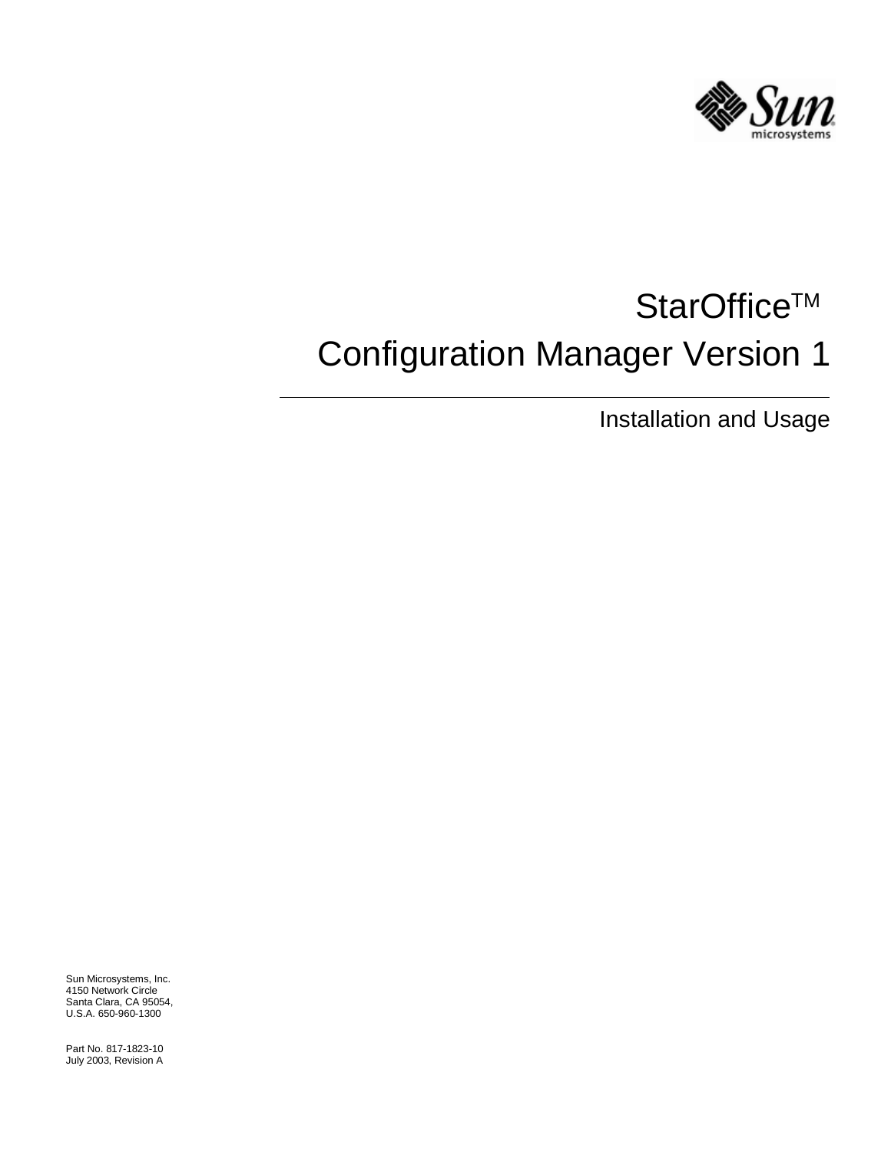

# StarOffice™ Configuration Manager Version 1

Installation and Usage

Sun Microsystems, Inc. 4150 Network Circle Santa Clara, CA 95054, U.S.A. 650-960-1300

Part No. 817-1823-10 July 2003, Revision A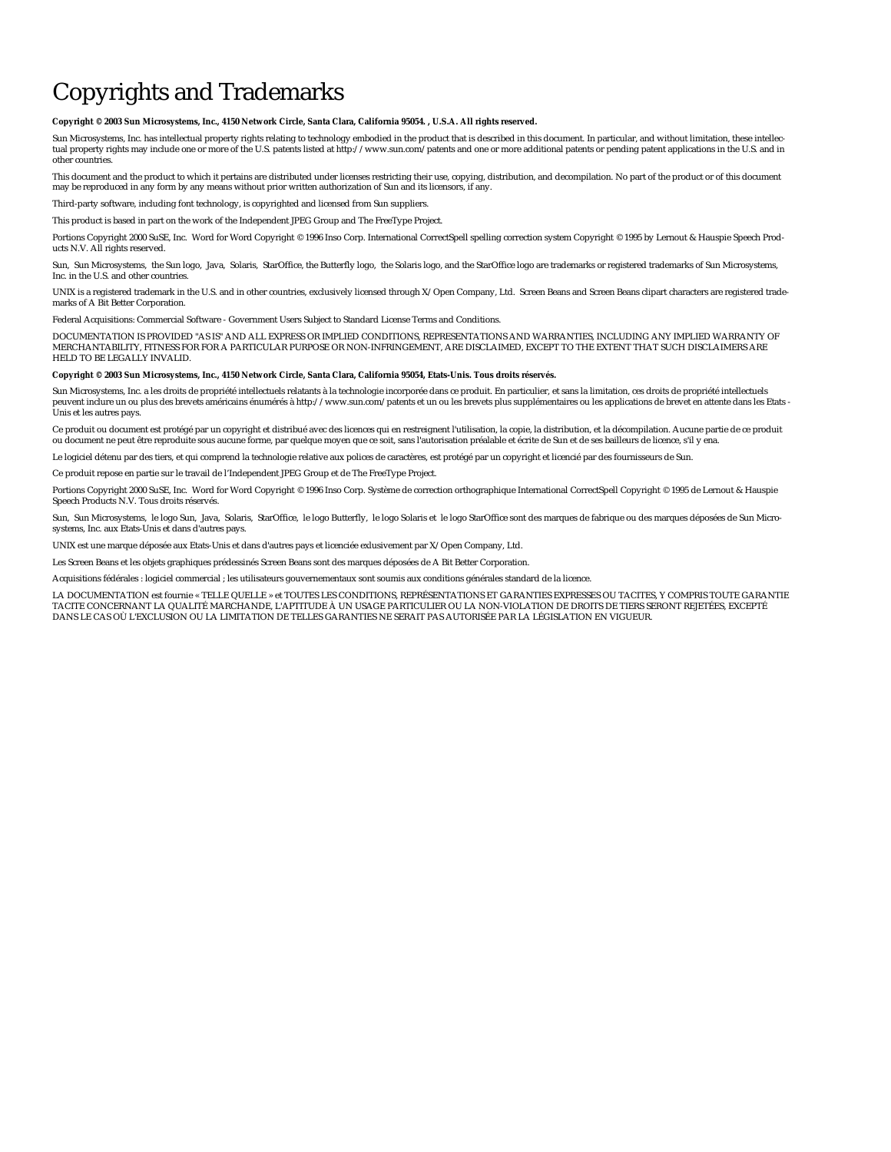**Copyright © 2003 Sun Microsystems, Inc., 4150 Network Circle, Santa Clara, California 95054. , U.S.A. All rights reserved.**

Sun Microsystems, Inc. has intellectual property rights relating to technology embodied in the product that is described in this document. In particular, and without limitation, these intellectual property rights may include one or more of the U.S. patents listed at http://www.sun.com/patents and one or more additional patents or pending patent applications in the U.S. and in other countries.

This document and the product to which it pertains are distributed under licenses restricting their use, copying, distribution, and decompilation. No part of the product or of this document may be reproduced in any form by any means without prior written authorization of Sun and its licensors, if any.

Third-party software, including font technology, is copyrighted and licensed from Sun suppliers.

This product is based in part on the work of the Independent JPEG Group and The FreeType Project.

Portions Copyright 2000 SuSE, Inc. Word for Word Copyright © 1996 Inso Corp. International CorrectSpell spelling correction system Copyright © 1995 by Lernout & Hauspie Speech Products N.V. All rights reserved.

Sun, Sun Microsystems, the Sun logo, Java, Solaris, StarOffice, the Butterfly logo, the Solaris logo, and the StarOffice logo are trademarks or registered trademarks of Sun Microsystems, Inc. in the U.S. and other countries.

UNIX is a registered trademark in the U.S. and in other countries, exclusively licensed through X/Open Company, Ltd. Screen Beans and Screen Beans clipart characters are registered trademarks of A Bit Better Corporation.

Federal Acquisitions: Commercial Software - Government Users Subject to Standard License Terms and Conditions.

DOCUMENTATION IS PROVIDED "AS IS" AND ALL EXPRESS OR IMPLIED CONDITIONS, REPRESENTATIONS AND WARRANTIES, INCLUDING ANY IMPLIED WARRANTY OF<br>MERCHANTABILITY, FITNESS FOR FOR A PARTICULAR PURPOSE OR NON-INFRINGEMENT, ARE DISC HELD TO BE LEGALLY INVALID.

#### **Copyright © 2003 Sun Microsystems, Inc., 4150 Network Circle, Santa Clara, California 95054, Etats-Unis. Tous droits réservés.**

Sun Microsystems, Inc. a les droits de propriété intellectuels relatants à la technologie incorporée dans ce produit. En particulier, et sans la limitation, ces droits de propriété intellectuels peuvent inclure un ou plus des brevets américains énumérés à http://www.sun.com/patents et un ou les brevets plus supplémentaires ou les applications de brevet en attente dans les Etats -<br>Unis et les autres pays.

Ce produit ou document est protégé par un copyright et distribué avec des licences qui en restreignent l'utilisation, la copie, la distribution, et la décompilation. Aucune partie de ce produit ou document ne peut être reproduite sous aucune forme, par quelque moyen que ce soit, sans l'autorisation préalable et écrite de Sun et de ses bailleurs de licence, s'il y ena.

Le logiciel détenu par des tiers, et qui comprend la technologie relative aux polices de caractères, est protégé par un copyright et licencié par des fournisseurs de Sun.

Ce produit repose en partie sur le travail de l'Independent JPEG Group et de The FreeType Project.

Portions Copyright 2000 SuSE, Inc. Word for Word Copyright © 1996 Inso Corp. Système de correction orthographique International CorrectSpell Copyright © 1995 de Lernout & Hauspie Speech Products N.V. Tous droits réservés.

Sun, Sun Microsystems, le logo Sun, Java, Solaris, StarOffice, le logo Butterfly, le logo Solaris et le logo StarOffice sont des marques de fabrique ou des marques déposées de Sun Microsystems, Inc. aux Etats-Unis et dans d'autres pays.

UNIX est une marque déposée aux Etats-Unis et dans d'autres pays et licenciée exlusivement par X/Open Company, Ltd.

Les Screen Beans et les objets graphiques prédessinés Screen Beans sont des marques déposées de A Bit Better Corporation.

Acquisitions fédérales : logiciel commercial ; les utilisateurs gouvernementaux sont soumis aux conditions générales standard de la licence.

LA DOCUMENTATION est fournie « TELLE QUELLE » et TOUTES LES CONDITIONS, REPRÉSENTATIONS ET GARANTIES EXPRESSES OU TACITES, Y COMPRIS TOUTE GARANTIE TACITE CONCERNANT LA QUALITÉ MARCHANDE, L'APTITUDE À UN USAGE PARTICULIER OU LA NON-VIOLATION DE DROITS DE TIERS SERONT REJETÉES, EXCEPTÉ DANS LE CAS OÙ L'EXCLUSION OU LA LIMITATION DE TELLES GARANTIES NE SERAIT PAS AUTORISÉE PAR LA LÉGISLATION EN VIGUEUR.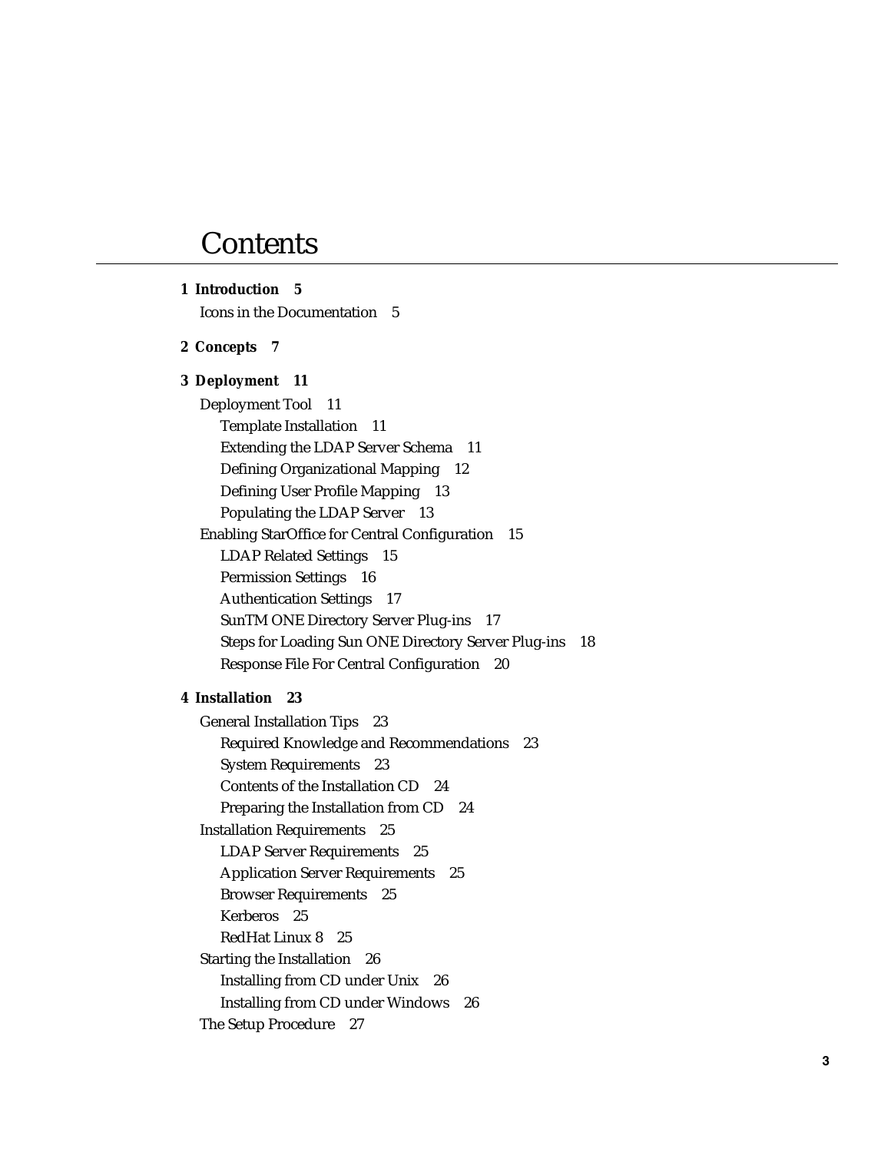# **Contents**

| 1 Introduction 5                                           |
|------------------------------------------------------------|
| Icons in the Documentation 5                               |
| 2 Concepts 7                                               |
| 3 Deployment 11                                            |
| <b>Deployment Tool</b><br>11                               |
| <b>Template Installation</b><br>- 11                       |
| <b>Extending the LDAP Server Schema</b><br>11              |
| Defining Organizational Mapping 12                         |
| Defining User Profile Mapping 13                           |
| Populating the LDAP Server 13                              |
| <b>Enabling StarOffice for Central Configuration</b><br>15 |
| LDAP Related Settings<br>15                                |
| Permission Settings 16                                     |
| <b>Authentication Settings</b> 17                          |
| SunTM ONE Directory Server Plug-ins<br>17                  |
| Steps for Loading Sun ONE Directory Server Plug-ins<br>18  |
| <b>Response File For Central Configuration 20</b>          |
| 4 Installation 23                                          |
| <b>General Installation Tips</b><br>- 23                   |
| Required Knowledge and Recommendations<br>23               |
| <b>System Requirements</b><br>- 23                         |
| Contents of the Installation CD<br>- 24                    |
| Preparing the Installation from CD 24                      |
| <b>Installation Requirements</b><br>25                     |
| <b>LDAP Server Requirements</b> 25                         |
| <b>Application Server Requirements</b> 25                  |
| <b>Browser Requirements</b><br>25                          |
| Kerberos 25                                                |
| RedHat Linux 8<br>25                                       |
| <b>Starting the Installation</b><br>26                     |
| Installing from CD under Unix<br>26                        |
| <b>Installing from CD under Windows</b><br>26              |
| The Setup Procedure<br>27                                  |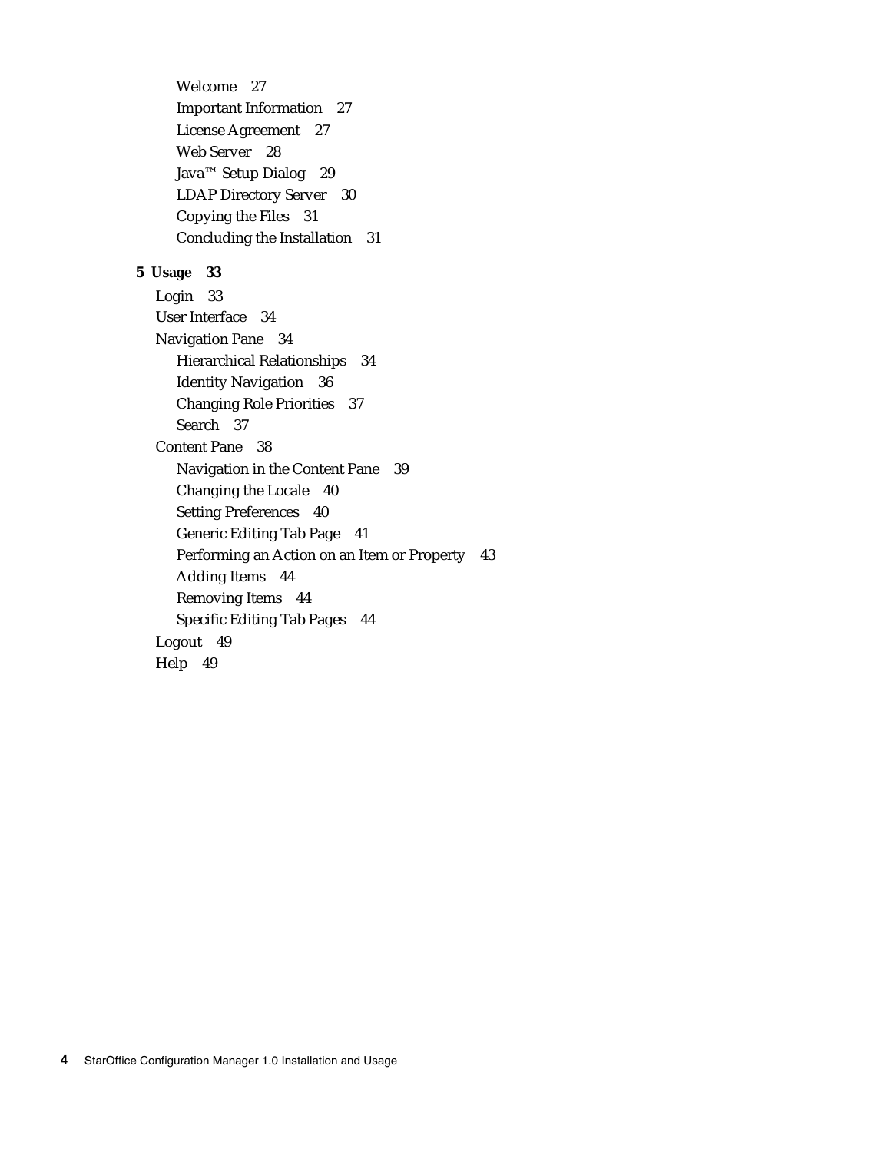Welcome 27 Important Information 27 License Agreement 27 Web Server 28 Java™ Setup Dialog 29 LDAP Directory Server 30 Copying the Files 31 Concluding the Installation 31

#### **5 Usage 33**

Login 33 User Interface 34 Navigation Pane 34 Hierarchical Relationships 34 Identity Navigation 36 Changing Role Priorities 37 Search 37 Content Pane 38 Navigation in the Content Pane 39 Changing the Locale 40 Setting Preferences 40 Generic Editing Tab Page 41 Performing an Action on an Item or Property 43 Adding Items 44 Removing Items 44 Specific Editing Tab Pages 44 Logout 49 Help 49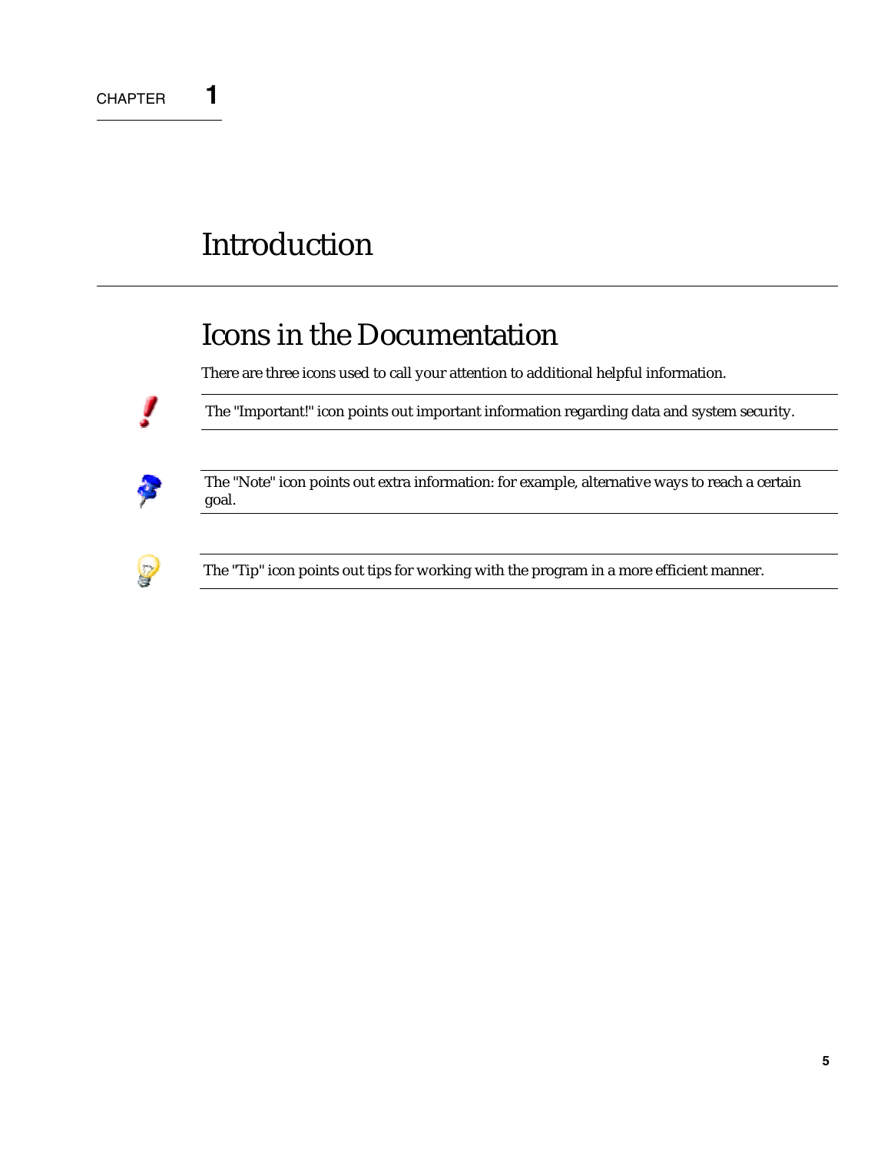# **Introduction**

# Icons in the Documentation

There are three icons used to call your attention to additional helpful information.



The "Important!" icon points out important information regarding data and system security.



The "Note" icon points out extra information: for example, alternative ways to reach a certain goal.



The "Tip" icon points out tips for working with the program in a more efficient manner.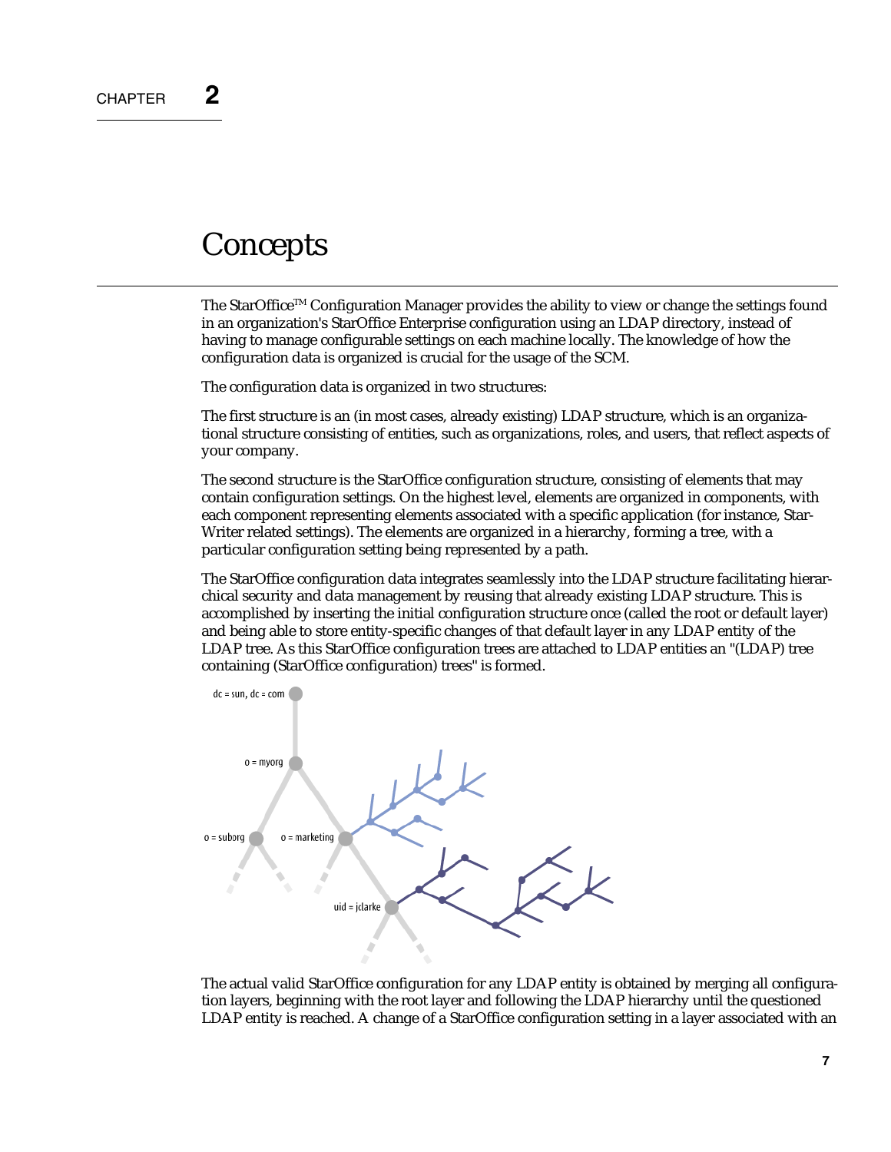### **Concepts**

The StarOffice<sup>TM</sup> Configuration Manager provides the ability to view or change the settings found in an organization's StarOffice Enterprise configuration using an LDAP directory, instead of having to manage configurable settings on each machine locally. The knowledge of how the configuration data is organized is crucial for the usage of the SCM.

The configuration data is organized in two structures:

The first structure is an (in most cases, already existing) LDAP structure, which is an organizational structure consisting of entities, such as organizations, roles, and users, that reflect aspects of your company.

The second structure is the StarOffice configuration structure, consisting of elements that may contain configuration settings. On the highest level, elements are organized in components, with each component representing elements associated with a specific application (for instance, Star-Writer related settings). The elements are organized in a hierarchy, forming a tree, with a particular configuration setting being represented by a path.

The StarOffice configuration data integrates seamlessly into the LDAP structure facilitating hierarchical security and data management by reusing that already existing LDAP structure. This is accomplished by inserting the initial configuration structure once (called the root or default layer) and being able to store entity-specific changes of that default layer in any LDAP entity of the LDAP tree. As this StarOffice configuration trees are attached to LDAP entities an "(LDAP) tree containing (StarOffice configuration) trees" is formed.



The actual valid StarOffice configuration for any LDAP entity is obtained by merging all configuration layers, beginning with the root layer and following the LDAP hierarchy until the questioned LDAP entity is reached. A change of a StarOffice configuration setting in a layer associated with an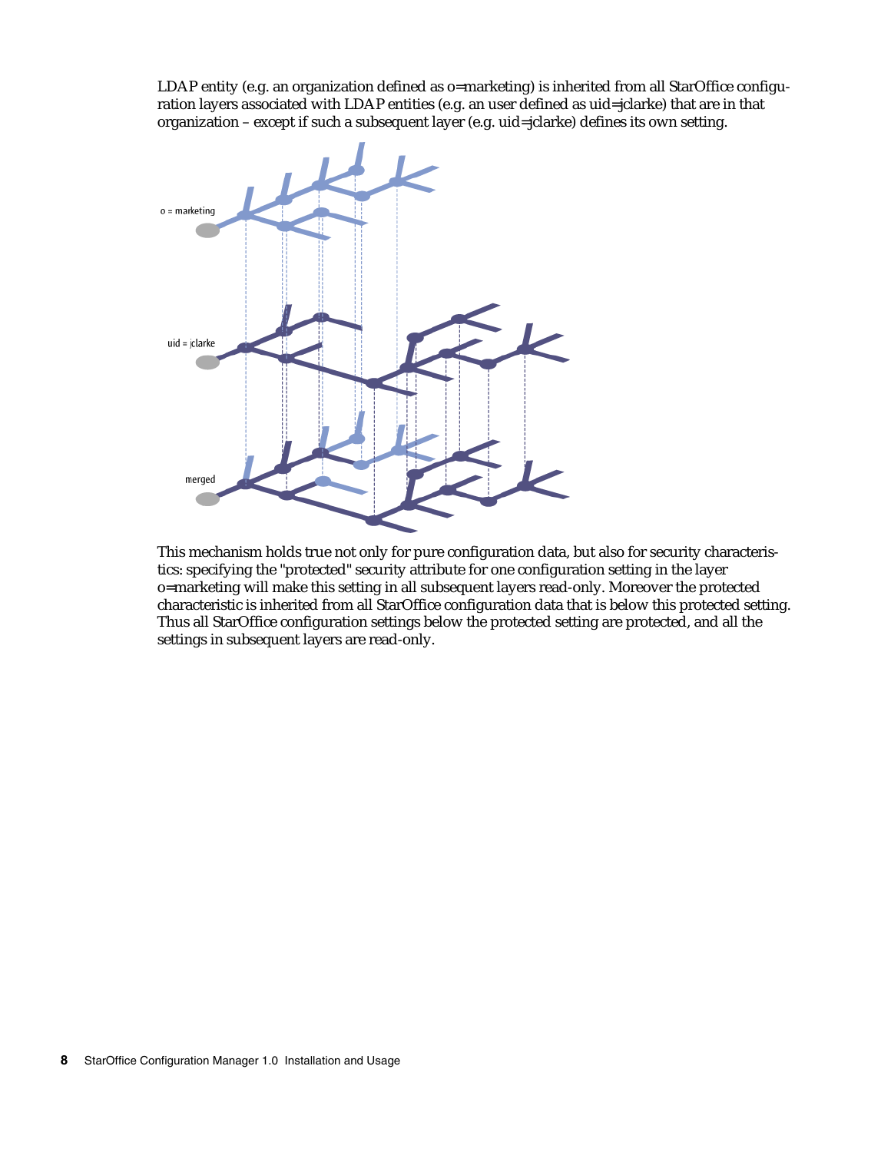LDAP entity (e.g. an organization defined as o=marketing) is inherited from all StarOffice configuration layers associated with LDAP entities (e.g. an user defined as uid=jclarke) that are in that organization – except if such a subsequent layer (e.g. uid=jclarke) defines its own setting.



This mechanism holds true not only for pure configuration data, but also for security characteristics: specifying the "protected" security attribute for one configuration setting in the layer o=marketing will make this setting in all subsequent layers read-only. Moreover the protected characteristic is inherited from all StarOffice configuration data that is below this protected setting. Thus all StarOffice configuration settings below the protected setting are protected, and all the settings in subsequent layers are read-only.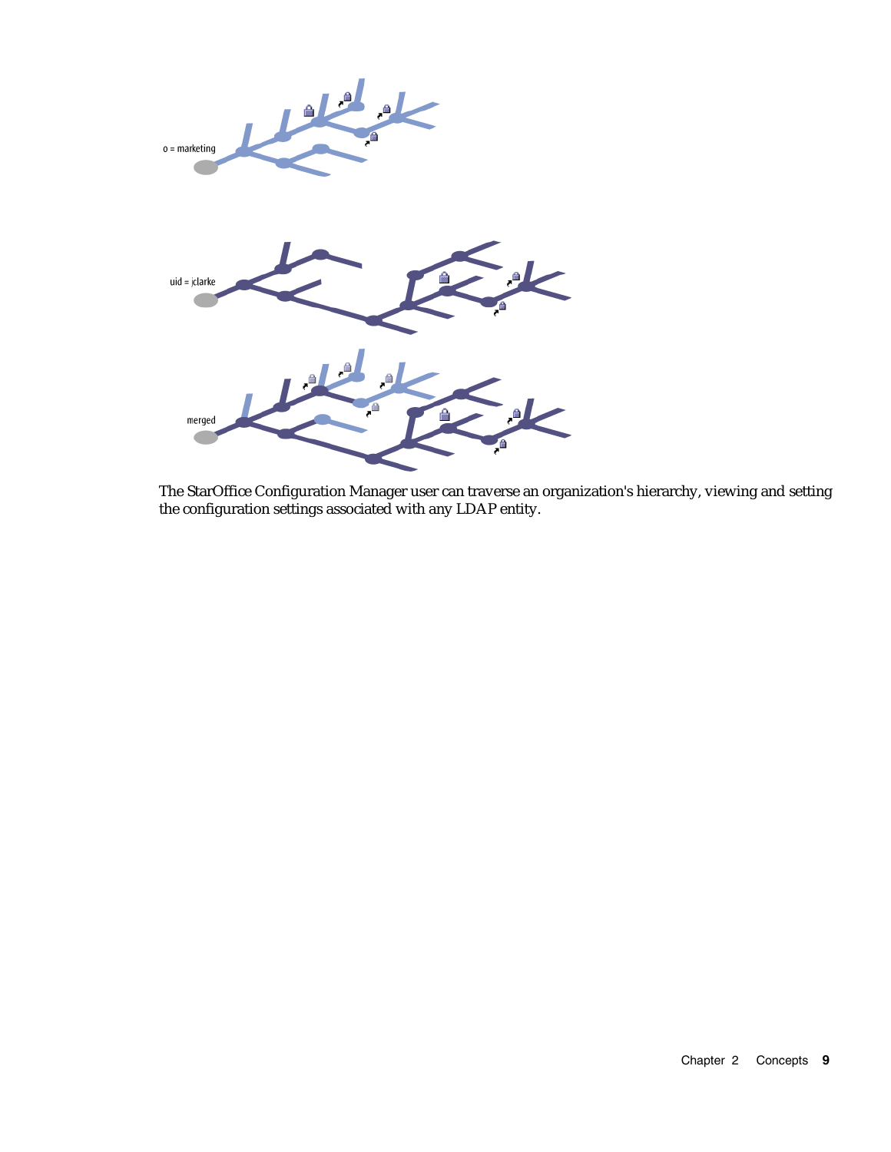

The StarOffice Configuration Manager user can traverse an organization's hierarchy, viewing and setting the configuration settings associated with any LDAP entity.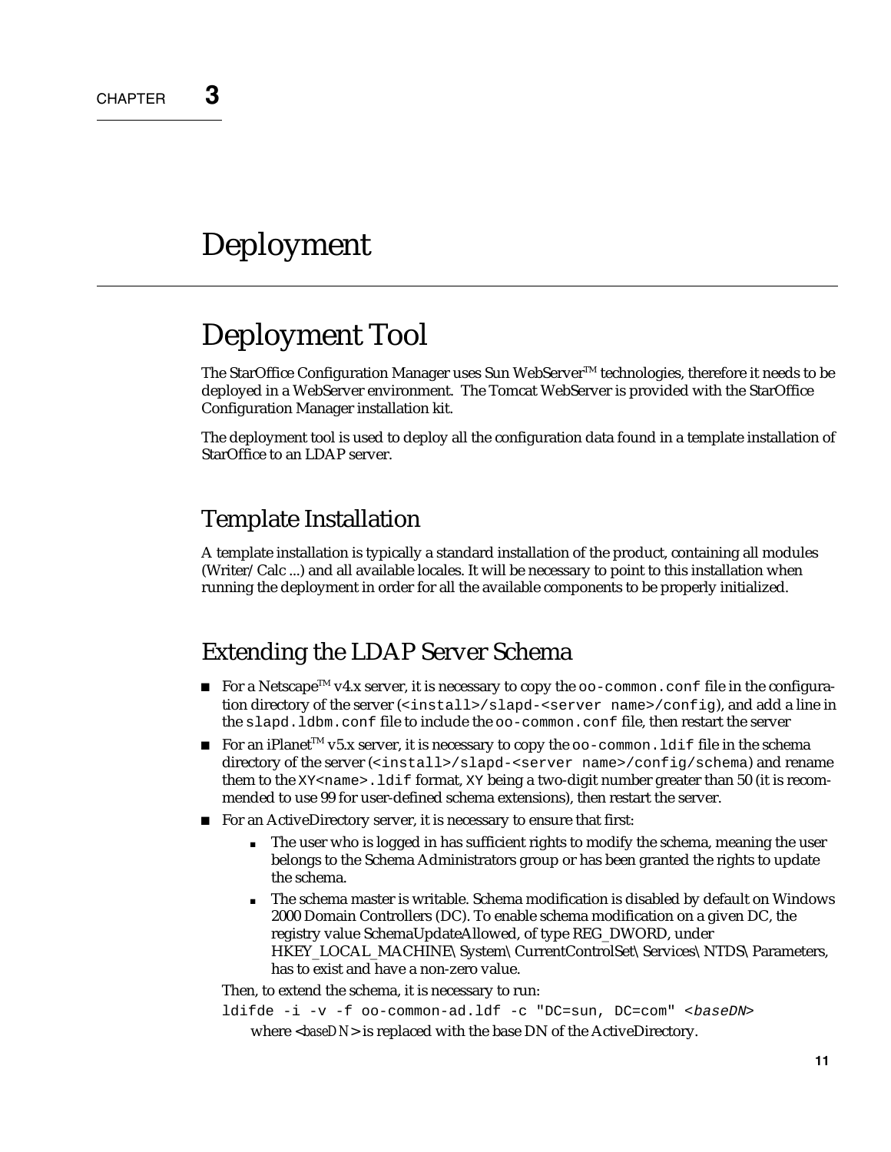# **Deployment**

# Deployment Tool

The StarOffice Configuration Manager uses Sun WebServer<sup>TM</sup> technologies, therefore it needs to be deployed in a WebServer environment. The Tomcat WebServer is provided with the StarOffice Configuration Manager installation kit.

The deployment tool is used to deploy all the configuration data found in a template installation of StarOffice to an LDAP server.

#### Template Installation

A template installation is typically a standard installation of the product, containing all modules (Writer/Calc ...) and all available locales. It will be necessary to point to this installation when running the deployment in order for all the available components to be properly initialized.

#### Extending the LDAP Server Schema

- For a Netscape<sup>TM</sup> v4.x server, it is necessary to copy the  $\infty$ -common.conf file in the configuration directory of the server (<install>/slapd-<server name>/config), and add a line in the slapd.ldbm.conf file to include the oo-common.conf file, then restart the server
- For an iPlanet<sup>TM</sup> v5.x server, it is necessary to copy the  $\infty$ -common. Ldif file in the schema directory of the server (<install>/slapd-<server name>/config/schema) and rename them to the  $XY \leq name$ . Ldif format,  $XY$  being a two-digit number greater than 50 (it is recommended to use 99 for user-defined schema extensions), then restart the server.
- For an ActiveDirectory server, it is necessary to ensure that first:
	- The user who is logged in has sufficient rights to modify the schema, meaning the user belongs to the Schema Administrators group or has been granted the rights to update the schema.
	- The schema master is writable. Schema modification is disabled by default on Windows 2000 Domain Controllers (DC). To enable schema modification on a given DC, the registry value SchemaUpdateAllowed, of type REG\_DWORD, under HKEY\_LOCAL\_MACHINE\System\CurrentControlSet\Services\NTDS\Parameters, has to exist and have a non-zero value.

Then, to extend the schema, it is necessary to run:

ldifde -i -v -f oo-common-ad.ldf -c "DC=sun, DC=com" <br/> baseDN> where <*baseDN*> is replaced with the base DN of the ActiveDirectory.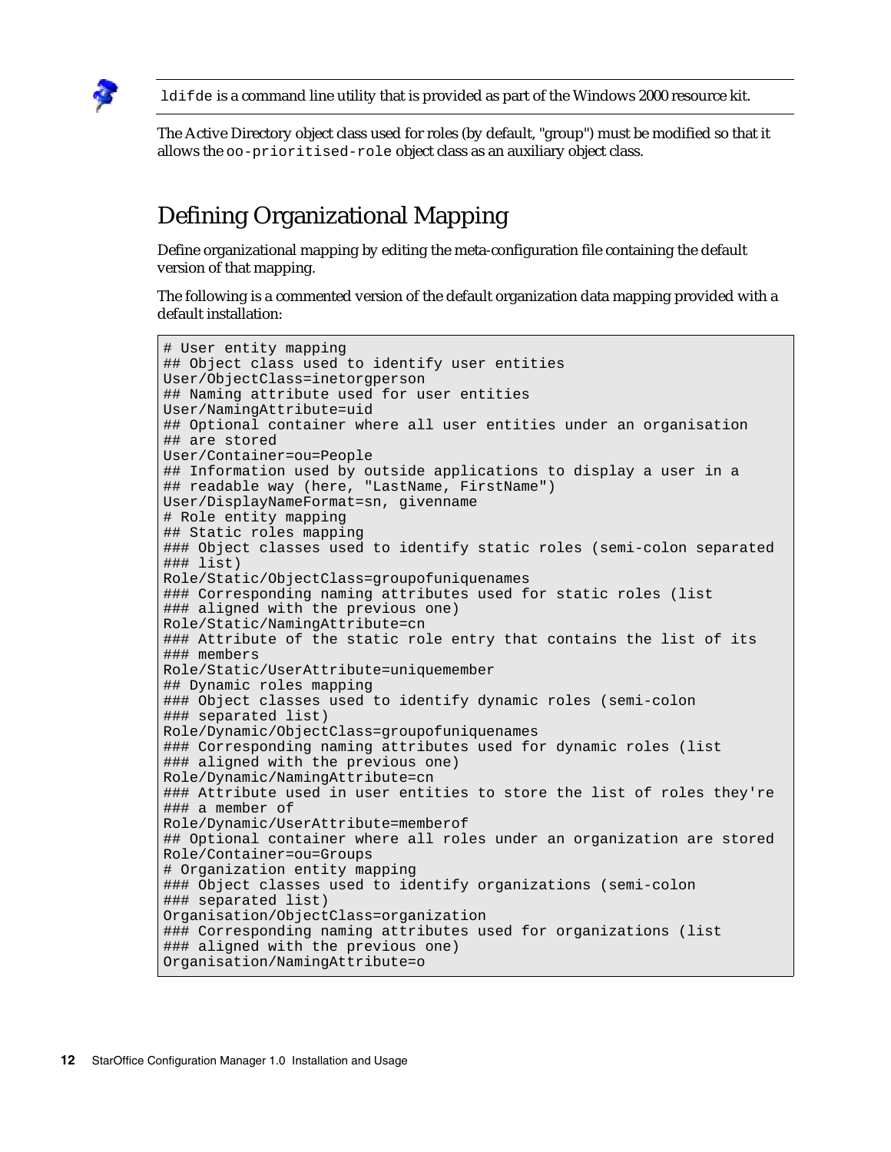

ldifde is a command line utility that is provided as part of the Windows 2000 resource kit.

The Active Directory object class used for roles (by default, "group") must be modified so that it allows the oo-prioritised-role object class as an auxiliary object class.

### Defining Organizational Mapping

Define organizational mapping by editing the meta-configuration file containing the default version of that mapping.

The following is a commented version of the default organization data mapping provided with a default installation:

```
# User entity mapping 
## Object class used to identify user entities 
User/ObjectClass=inetorgperson 
## Naming attribute used for user entities 
User/NamingAttribute=uid 
## Optional container where all user entities under an organisation 
## are stored 
User/Container=ou=People 
## Information used by outside applications to display a user in a 
## readable way (here, "LastName, FirstName")
User/DisplayNameFormat=sn, givenname 
# Role entity mapping 
## Static roles mapping 
### Object classes used to identify static roles (semi-colon separated
### list) 
Role/Static/ObjectClass=groupofuniquenames 
### Corresponding naming attributes used for static roles (list 
### aligned with the previous one)
Role/Static/NamingAttribute=cn 
### Attribute of the static role entry that contains the list of its
### members 
Role/Static/UserAttribute=uniquemember 
## Dynamic roles mapping 
### Object classes used to identify dynamic roles (semi-colon 
### separated list) 
Role/Dynamic/ObjectClass=groupofuniquenames 
### Corresponding naming attributes used for dynamic roles (list 
### aligned with the previous one) 
Role/Dynamic/NamingAttribute=cn 
### Attribute used in user entities to store the list of roles they're
### a member of 
Role/Dynamic/UserAttribute=memberof 
## Optional container where all roles under an organization are stored
Role/Container=ou=Groups 
# Organization entity mapping 
### Object classes used to identify organizations (semi-colon 
### separated list) 
Organisation/ObjectClass=organization 
### Corresponding naming attributes used for organizations (list 
### aligned with the previous one) 
Organisation/NamingAttribute=o
```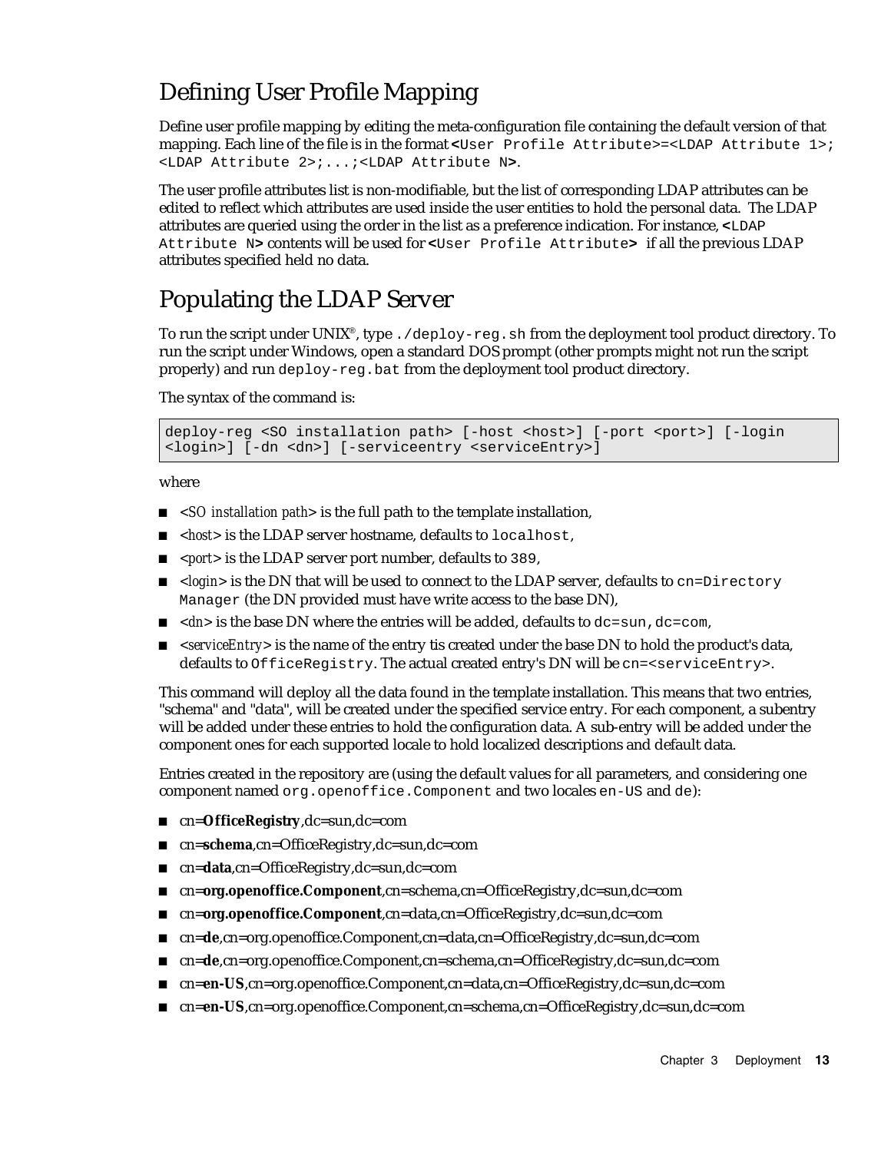### Defining User Profile Mapping

Define user profile mapping by editing the meta-configuration file containing the default version of that mapping. Each line of the file is in the format **<**User Profile Attribute>=<LDAP Attribute 1>; <LDAP Attribute 2>;...;<LDAP Attribute N**>**.

The user profile attributes list is non-modifiable, but the list of corresponding LDAP attributes can be edited to reflect which attributes are used inside the user entities to hold the personal data. The LDAP attributes are queried using the order in the list as a preference indication. For instance, **<**LDAP Attribute N**>** contents will be used for **<**User Profile Attribute**>** if all the previous LDAP attributes specified held no data.

### Populating the LDAP Server

To run the script under UNIX®, type . /deploy-reg.sh from the deployment tool product directory. To run the script under Windows, open a standard DOS prompt (other prompts might not run the script properly) and run deploy-reg.bat from the deployment tool product directory.

The syntax of the command is:

deploy-reg <SO installation path> [-host <host>] [-port <port>] [-login <login>] [-dn <dn>] [-serviceentry <serviceEntry>]

where

- <SO *installation path*> is the full path to the template installation,
- *<host>* is the LDAP server hostname, defaults to localhost,
- *<port>* is the LDAP server port number, defaults to 389,
- <*login*> is the DN that will be used to connect to the LDAP server, defaults to cn=Directory Manager (the DN provided must have write access to the base DN),
- $\blacksquare$  <dn> is the base DN where the entries will be added, defaults to dc=sun,dc=com,
- <*serviceEntry>* is the name of the entry tis created under the base DN to hold the product's data, defaults to OfficeRegistry. The actual created entry's DN will be cn=<serviceEntry>.

This command will deploy all the data found in the template installation. This means that two entries, "schema" and "data", will be created under the specified service entry. For each component, a subentry will be added under these entries to hold the configuration data. A sub-entry will be added under the component ones for each supported locale to hold localized descriptions and default data.

Entries created in the repository are (using the default values for all parameters, and considering one component named org.openoffice.Component and two locales en-US and de):

- cn=**OfficeRegistry**,dc=sun,dc=com
- cn=schema,cn=OfficeRegistry,dc=sun,dc=com
- cn=**data**,cn=OfficeRegistry,dc=sun,dc=com
- cn=**org.openoffice.Component**,cn=schema,cn=OfficeRegistry,dc=sun,dc=com
- cn=org.openoffice.Component,cn=data,cn=OfficeRegistry,dc=sun,dc=com
- cn=**de**,cn=org.openoffice.Component,cn=data,cn=OfficeRegistry,dc=sun,dc=com
- cn=**de**,cn=org.openoffice.Component,cn=schema,cn=OfficeRegistry,dc=sun,dc=com
- cn=**en-US**,cn=org.openoffice.Component,cn=data,cn=OfficeRegistry,dc=sun,dc=com
- cn=**en-US**,cn=org.openoffice.Component,cn=schema,cn=OfficeRegistry,dc=sun,dc=com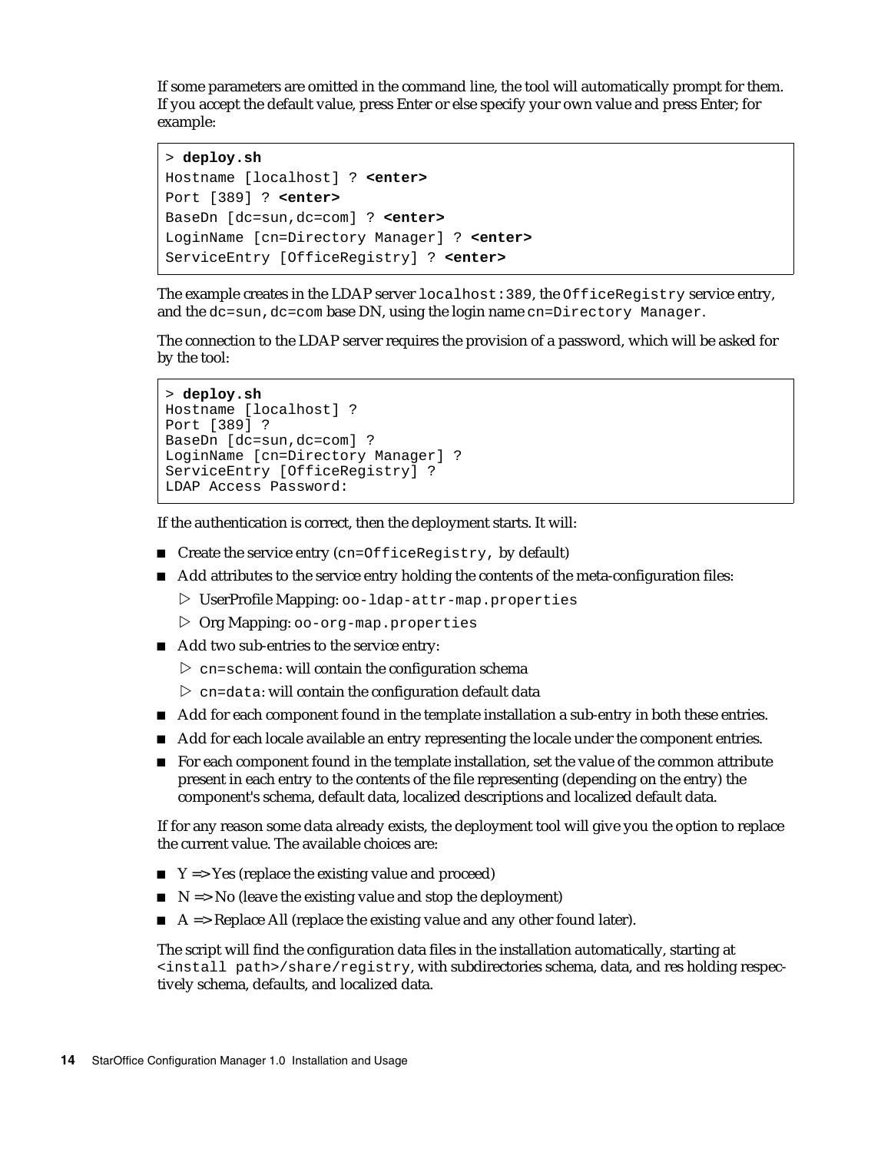If some parameters are omitted in the command line, the tool will automatically prompt for them. If you accept the default value, press Enter or else specify your own value and press Enter; for example:

```
> deploy.sh
Hostname [localhost] ? <enter>
Port [389] ? <enter>
BaseDn [dc=sun,dc=com] ? <enter>
LoginName [cn=Directory Manager] ? <enter>
ServiceEntry [OfficeRegistry] ? <enter>
```
The example creates in the LDAP server localhost:389, the OfficeRegistry service entry, and the  $dc=sum, dc=com$  base DN, using the login name  $cn=Directory$  Manager.

The connection to the LDAP server requires the provision of a password, which will be asked for by the tool:

```
> deploy.sh
Hostname [localhost] ? 
Port [389] ? 
BaseDn [dc=sun,dc=com] ? 
LoginName [cn=Directory Manager] ? 
ServiceEntry [OfficeRegistry] ? 
LDAP Access Password:
```
If the authentication is correct, then the deployment starts. It will:

- $\blacksquare$  Create the service entry (cn=OfficeRegistry, by default)
- Add attributes to the service entry holding the contents of the meta-configuration files:
	- ▷ UserProfile Mapping: oo-ldap-attr-map.properties
	- ▷ Org Mapping: oo-org-map.properties
- Add two sub-entries to the service entry:
	- $\triangleright$  cn=schema: will contain the configuration schema
	- $\triangleright$  cn=data: will contain the configuration default data
- Add for each component found in the template installation a sub-entry in both these entries.
- Add for each locale available an entry representing the locale under the component entries.
- **For each component found in the template installation, set the value of the common attribute** present in each entry to the contents of the file representing (depending on the entry) the component's schema, default data, localized descriptions and localized default data.

If for any reason some data already exists, the deployment tool will give you the option to replace the current value. The available choices are:

- $\blacksquare$  Y => Yes (replace the existing value and proceed)
- $\blacksquare$  N => No (leave the existing value and stop the deployment)
- $\blacksquare$  A => Replace All (replace the existing value and any other found later).

The script will find the configuration data files in the installation automatically, starting at <install path>/share/registry, with subdirectories schema, data, and res holding respectively schema, defaults, and localized data.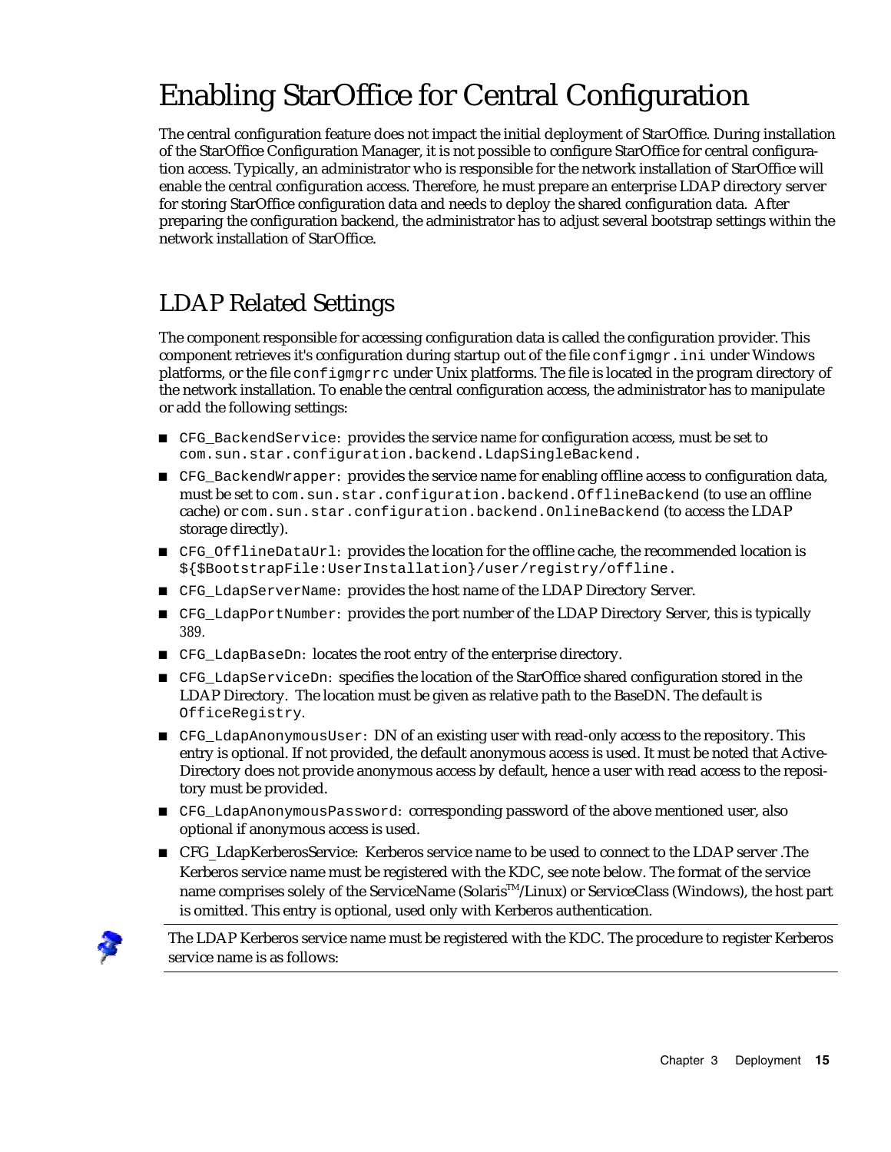# Enabling StarOffice for Central Configuration

The central configuration feature does not impact the initial deployment of StarOffice. During installation of the StarOffice Configuration Manager, it is not possible to configure StarOffice for central configuration access. Typically, an administrator who is responsible for the network installation of StarOffice will enable the central configuration access. Therefore, he must prepare an enterprise LDAP directory server for storing StarOffice configuration data and needs to deploy the shared configuration data. After preparing the configuration backend, the administrator has to adjust several bootstrap settings within the network installation of StarOffice.

### LDAP Related Settings

The component responsible for accessing configuration data is called the configuration provider. This component retrieves it's configuration during startup out of the file  $\text{configram}$ . ini under Windows platforms, or the file configmgrrc under Unix platforms. The file is located in the program directory of the network installation. To enable the central configuration access, the administrator has to manipulate or add the following settings:

- CFG BackendService: provides the service name for configuration access, must be set to com.sun.star.configuration.backend.LdapSingleBackend.
- CFG\_BackendWrapper: provides the service name for enabling offline access to configuration data, must be set to com.sun.star.configuration.backend.OfflineBackend (to use an offline cache) or com.sun.star.configuration.backend.OnlineBackend (to access the LDAP storage directly).
- CFG\_OfflineDataUrl: provides the location for the offline cache, the recommended location is \${\$BootstrapFile:UserInstallation}/user/registry/offline.
- CFG\_LdapServerName: provides the host name of the LDAP Directory Server.
- CFG\_LdapPortNumber: provides the port number of the LDAP Directory Server, this is typically *389.*
- CFG\_LdapBaseDn: locates the root entry of the enterprise directory.
- CFG\_LdapServiceDn: specifies the location of the StarOffice shared configuration stored in the LDAP Directory. The location must be given as relative path to the BaseDN. The default is OfficeRegistry*.*
- CFG\_LdapAnonymousUser: DN of an existing user with read-only access to the repository. This entry is optional. If not provided, the default anonymous access is used. It must be noted that Active-Directory does not provide anonymous access by default, hence a user with read access to the repository must be provided.
- CFG\_LdapAnonymousPassword: corresponding password of the above mentioned user, also optional if anonymous access is used.
- CFG\_LdapKerberosService: Kerberos service name to be used to connect to the LDAP server .The Kerberos service name must be registered with the KDC, see note below. The format of the service name comprises solely of the ServiceName (Solaris<sup>™</sup>/Linux) or ServiceClass (Windows), the host part is omitted. This entry is optional, used only with Kerberos authentication.



The LDAP Kerberos service name must be registered with the KDC. The procedure to register Kerberos service name is as follows: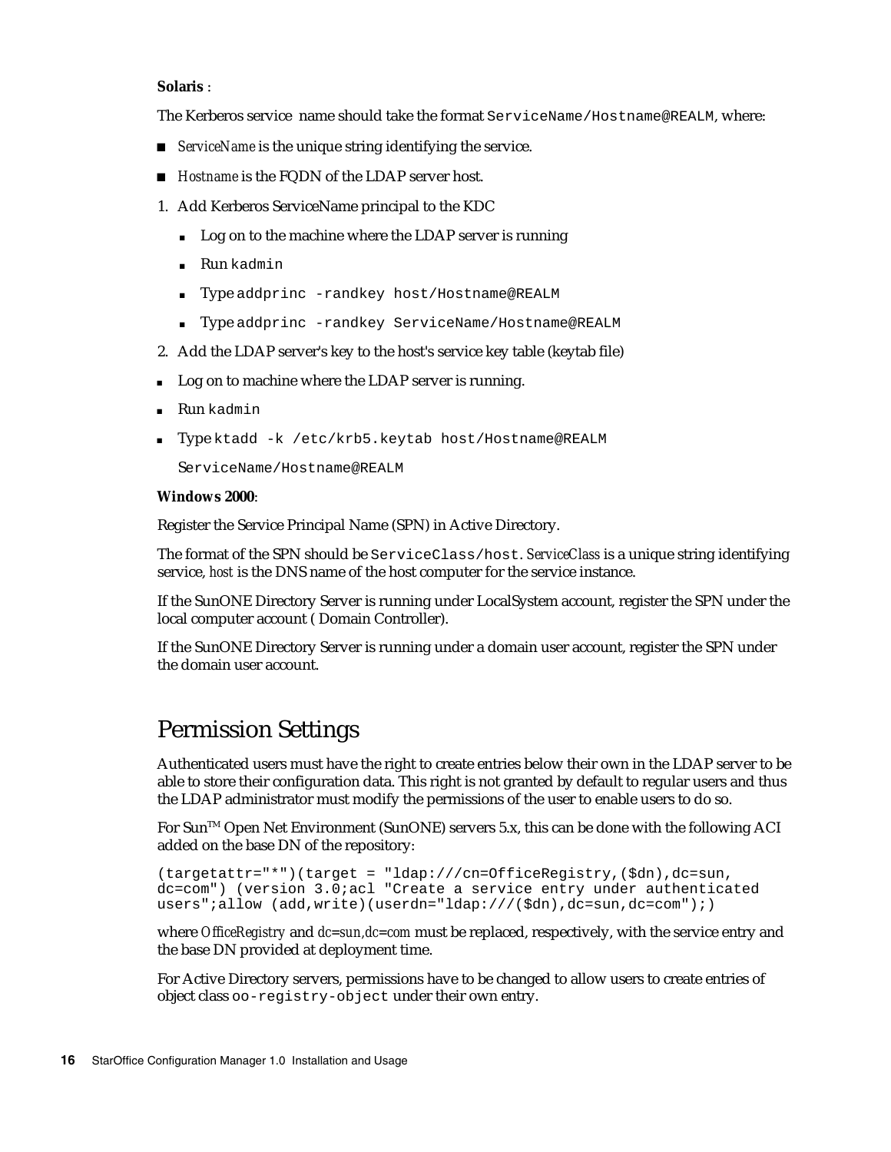#### **Solaris** :

The Kerberos service name should take the format ServiceName/Hostname@REALM, where:

- *ServiceName* is the unique string identifying the service.
- *Hostname* is the FQDN of the LDAP server host.
- 1. Add Kerberos ServiceName principal to the KDC
	- Log on to the machine where the LDAP server is running
	- **Run** kadmin
	- Type addprinc -randkey host/Hostname@REALM
	- Type addprinc -randkey ServiceName/Hostname@REALM
- 2. Add the LDAP server's key to the host's service key table (keytab file)
- Log on to machine where the LDAP server is running.
- **Run** kadmin
- Type ktadd -k /etc/krb5.keytab host/Hostname@REALM

ServiceName/Hostname@REALM

#### **Windows 2000**:

Register the Service Principal Name (SPN) in Active Directory.

The format of the SPN should be ServiceClass/host. *ServiceClass* is a unique string identifying service, *host* is the DNS name of the host computer for the service instance.

If the SunONE Directory Server is running under LocalSystem account, register the SPN under the local computer account ( Domain Controller).

If the SunONE Directory Server is running under a domain user account, register the SPN under the domain user account.

#### Permission Settings

Authenticated users must have the right to create entries below their own in the LDAP server to be able to store their configuration data. This right is not granted by default to regular users and thus the LDAP administrator must modify the permissions of the user to enable users to do so.

For Sun<sup>TM</sup> Open Net Environment (SunONE) servers 5.x, this can be done with the following ACI added on the base DN of the repository:

```
(targetattr="*")(target = "ldap:///cn=OfficeRegistry,($dn),dc=sun,
dc=com") (version 3.0;acl "Create a service entry under authenticated
users";allow (add,write)(userdn="ldap:///($dn),dc=sun,dc=com");)
```
where *OfficeRegistry* and *dc=sun,dc=com* must be replaced, respectively, with the service entry and the base DN provided at deployment time.

For Active Directory servers, permissions have to be changed to allow users to create entries of object class oo-registry-object under their own entry.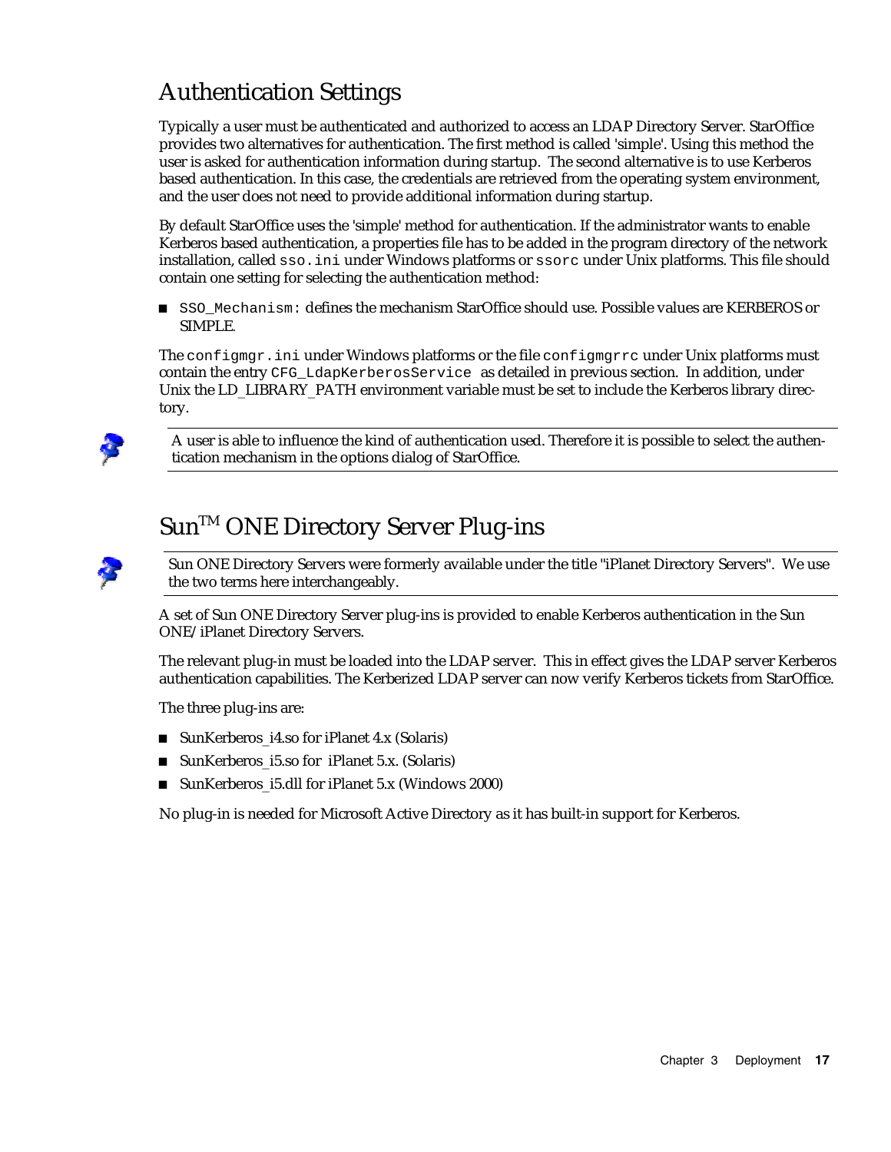### Authentication Settings

Typically a user must be authenticated and authorized to access an LDAP Directory Server. StarOffice provides two alternatives for authentication. The first method is called 'simple'. Using this method the user is asked for authentication information during startup. The second alternative is to use Kerberos based authentication. In this case, the credentials are retrieved from the operating system environment, and the user does not need to provide additional information during startup.

By default StarOffice uses the 'simple' method for authentication. If the administrator wants to enable Kerberos based authentication, a properties file has to be added in the program directory of the network installation, called sso.ini under Windows platforms or ssorc under Unix platforms. This file should contain one setting for selecting the authentication method:

 SSO\_Mechanism: defines the mechanism StarOffice should use. Possible values are KERBEROS or SIMPLE*.*

The configmgr.ini under Windows platforms or the file configmgrrc under Unix platforms must contain the entry CFG\_LdapKerberosService as detailed in previous section. In addition, under Unix the LD\_LIBRARY\_PATH environment variable must be set to include the Kerberos library directory.



A user is able to influence the kind of authentication used. Therefore it is possible to select the authentication mechanism in the options dialog of StarOffice.

### Sun™ ONE Directory Server Plug-ins

Sun ONE Directory Servers were formerly available under the title "iPlanet Directory Servers". We use the two terms here interchangeably.

A set of Sun ONE Directory Server plug-ins is provided to enable Kerberos authentication in the Sun ONE/iPlanet Directory Servers.

The relevant plug-in must be loaded into the LDAP server. This in effect gives the LDAP server Kerberos authentication capabilities. The Kerberized LDAP server can now verify Kerberos tickets from StarOffice.

The three plug-ins are:

- SunKerberos i4.so for iPlanet 4.x (Solaris)
- SunKerberos\_i5.so for iPlanet 5.x. (Solaris)
- SunKerberos\_i5.dll for iPlanet 5.x (Windows 2000)

No plug-in is needed for Microsoft Active Directory as it has built-in support for Kerberos.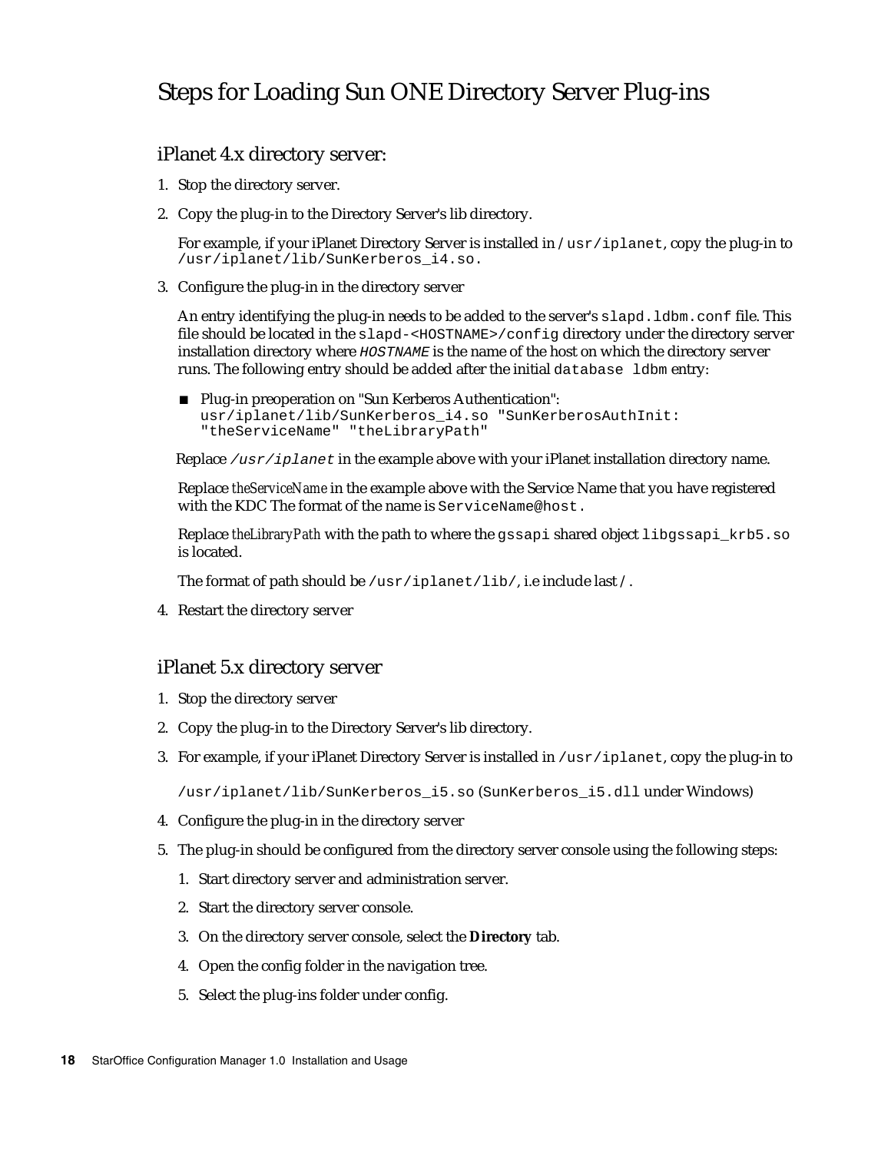#### Steps for Loading Sun ONE Directory Server Plug-ins

#### iPlanet 4.x directory server:

- 1. Stop the directory server.
- 2. Copy the plug-in to the Directory Server's lib directory.

For example, if your iPlanet Directory Server is installed in /usr/iplanet, copy the plug-in to /usr/iplanet/lib/SunKerberos\_i4.so.

3. Configure the plug-in in the directory server

An entry identifying the plug-in needs to be added to the server's slapd. ldbm.conf file. This file should be located in the slapd-<HOSTNAME>/config directory under the directory server installation directory where **HOSTNAME** is the name of the host on which the directory server runs. The following entry should be added after the initial database ldbm entry:

■ Plug-in preoperation on "Sun Kerberos Authentication": usr/iplanet/lib/SunKerberos\_i4.so "SunKerberosAuthInit: "theServiceName" "theLibraryPath"

Replace  $/usr/iplanet$  in the example above with your iPlanet installation directory name.

Replace *theServiceName* in the example above with the Service Name that you have registered with the KDC The format of the name is ServiceName@host.

Replace *theLibraryPath* with the path to where the gssapi shared object libgssapi\_krb5.so is located.

The format of path should be /usr/iplanet/lib/, i.e include last /.

4. Restart the directory server

#### iPlanet 5.x directory server

- 1. Stop the directory server
- 2. Copy the plug-in to the Directory Server's lib directory.
- 3. For example, if your iPlanet Directory Server is installed in /usr/iplanet, copy the plug-in to

/usr/iplanet/lib/SunKerberos\_i5.so (SunKerberos\_i5.dll under Windows)

- 4. Configure the plug-in in the directory server
- 5. The plug-in should be configured from the directory server console using the following steps:
	- 1. Start directory server and administration server.
	- 2. Start the directory server console.
	- 3. On the directory server console, select the **Directory** tab.
	- 4. Open the config folder in the navigation tree.
	- 5. Select the plug-ins folder under config.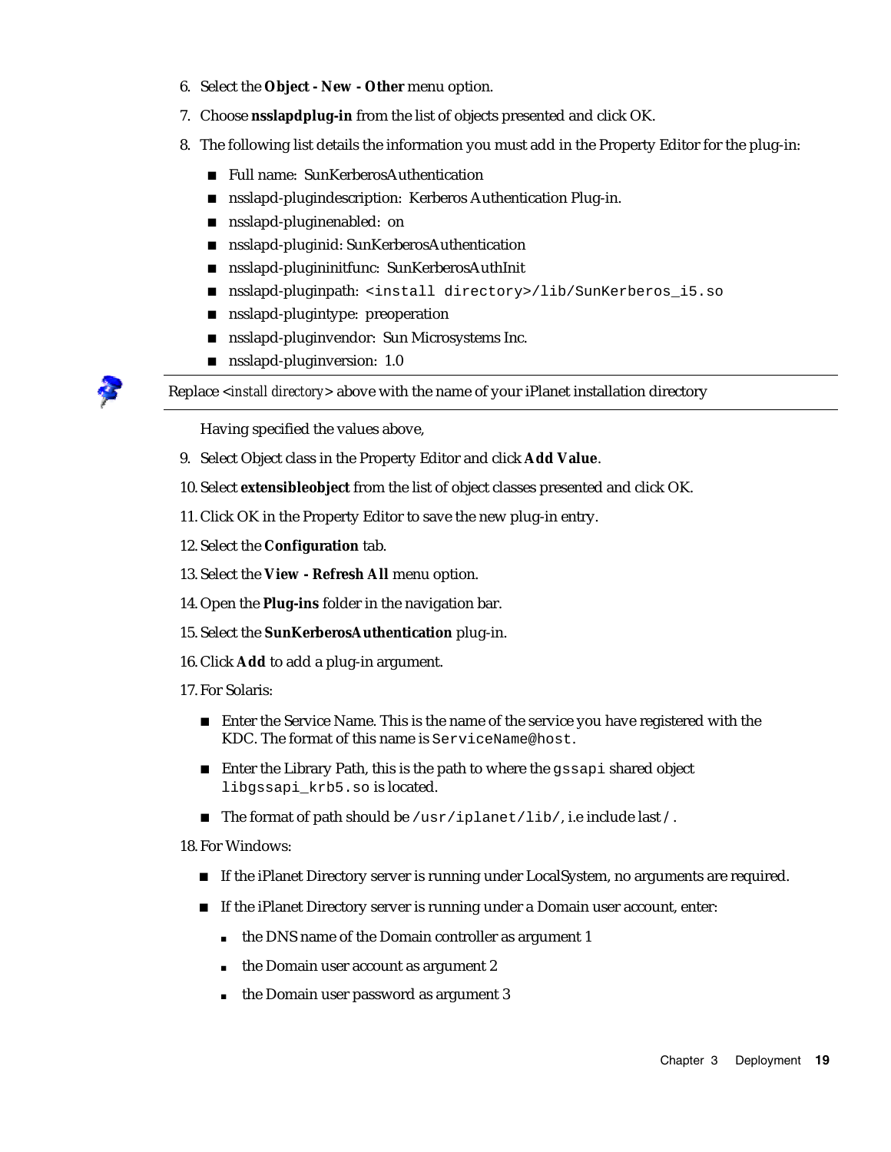- 6. Select the **Object New Other** menu option.
- 7. Choose **nsslapdplug-in** from the list of objects presented and click OK.
- 8. The following list details the information you must add in the Property Editor for the plug-in:
	- Full name: SunKerberosAuthentication
	- nsslapd-plugindescription: Kerberos Authentication Plug-in.
	- sum shaped-pluginenabled: on
	- nsslapd-pluginid: SunKerberosAuthentication
	- nsslapd-plugininitfunc: SunKerberosAuthInit
	- nsslapd-pluginpath: <install directory>/lib/SunKerberos\_i5.so
	- **nd** nsslapd-plugintype: preoperation
	- nsslapd-pluginvendor: Sun Microsystems Inc.
	- nsslapd-pluginversion: 1.0

Replace *<install directory>* above with the name of your iPlanet installation directory

Having specified the values above,

- 9. Select Object class in the Property Editor and click **Add Value**.
- 10. Select **extensibleobject** from the list of object classes presented and click OK.
- 11. Click OK in the Property Editor to save the new plug-in entry.
- 12. Select the **Configuration** tab.
- 13. Select the **View Refresh All** menu option.
- 14. Open the **Plug-ins** folder in the navigation bar.
- 15. Select the **SunKerberosAuthentication** plug-in.
- 16. Click **Add** to add a plug-in argument.
- 17. For Solaris:
	- Enter the Service Name. This is the name of the service you have registered with the KDC. The format of this name is ServiceName@host.
	- Enter the Library Path, this is the path to where the gssapi shared object libgssapi\_krb5.so is located.
	- The format of path should be  $/\text{usr}/\text{iplanet}/\text{lib}/$ , i.e include last  $/$ .

18. For Windows:

- If the iPlanet Directory server is running under LocalSystem, no arguments are required.
- If the iPlanet Directory server is running under a Domain user account, enter:
	- the DNS name of the Domain controller as argument 1
	- $\blacksquare$  the Domain user account as argument 2
	- the Domain user password as argument 3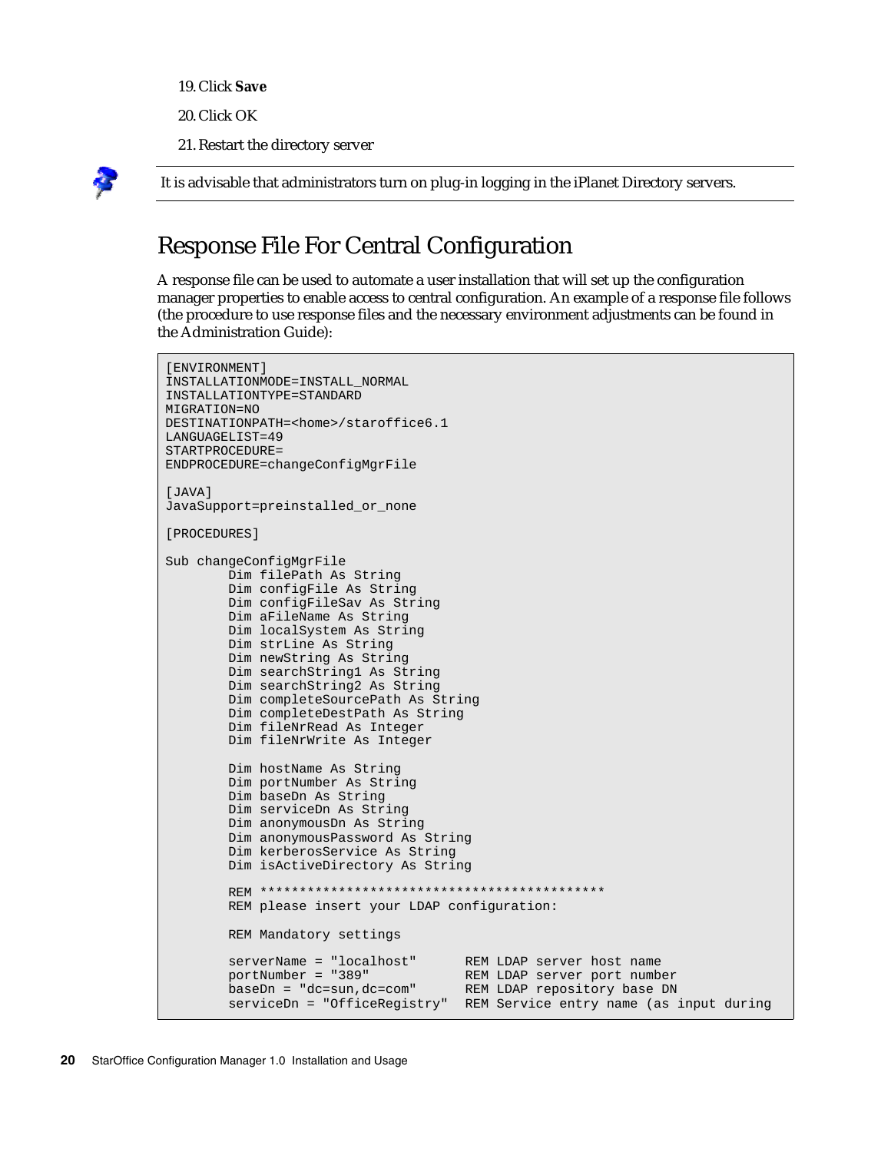- 19. Click **Save**
- 20. Click OK
- 21. Restart the directory server



It is advisable that administrators turn on plug-in logging in the iPlanet Directory servers.

### Response File For Central Configuration

A response file can be used to automate a user installation that will set up the configuration manager properties to enable access to central configuration. An example of a response file follows (the procedure to use response files and the necessary environment adjustments can be found in the Administration Guide):

```
[ENVIRONMENT]
INSTALLATIONMODE=INSTALL_NORMAL
INSTALLATIONTYPE=STANDARD
MIGRATION=NO
DESTINATIONPATH=<home>/staroffice6.1
LANGUAGELIST=49
STARTPROCEDURE=
ENDPROCEDURE=changeConfigMgrFile
[JAVA] 
JavaSupport=preinstalled_or_none 
[PROCEDURES] 
Sub changeConfigMgrFile 
         Dim filePath As String 
         Dim configFile As String 
         Dim configFileSav As String 
         Dim aFileName As String 
         Dim localSystem As String 
         Dim strLine As String 
         Dim newString As String 
         Dim searchString1 As String 
         Dim searchString2 As String 
         Dim completeSourcePath As String 
         Dim completeDestPath As String 
         Dim fileNrRead As Integer 
         Dim fileNrWrite As Integer 
         Dim hostName As String 
         Dim portNumber As String 
         Dim baseDn As String 
         Dim serviceDn As String 
         Dim anonymousDn As String 
         Dim anonymousPassword As String 
         Dim kerberosService As String 
         Dim isActiveDirectory As String 
         REM ******************************************** 
         REM please insert your LDAP configuration: 
         REM Mandatory settings 
        serverName = "localhost" REM LDAP server host name<br>portNumber = "389" REM LDAP server port numb
                                          REM LDAP server port number<br>REM LDAP repository base DN
        baseDn = "dc=sun,dc=com"serviceDn = "OfficeRegistry" REM Service entry name (as input during
```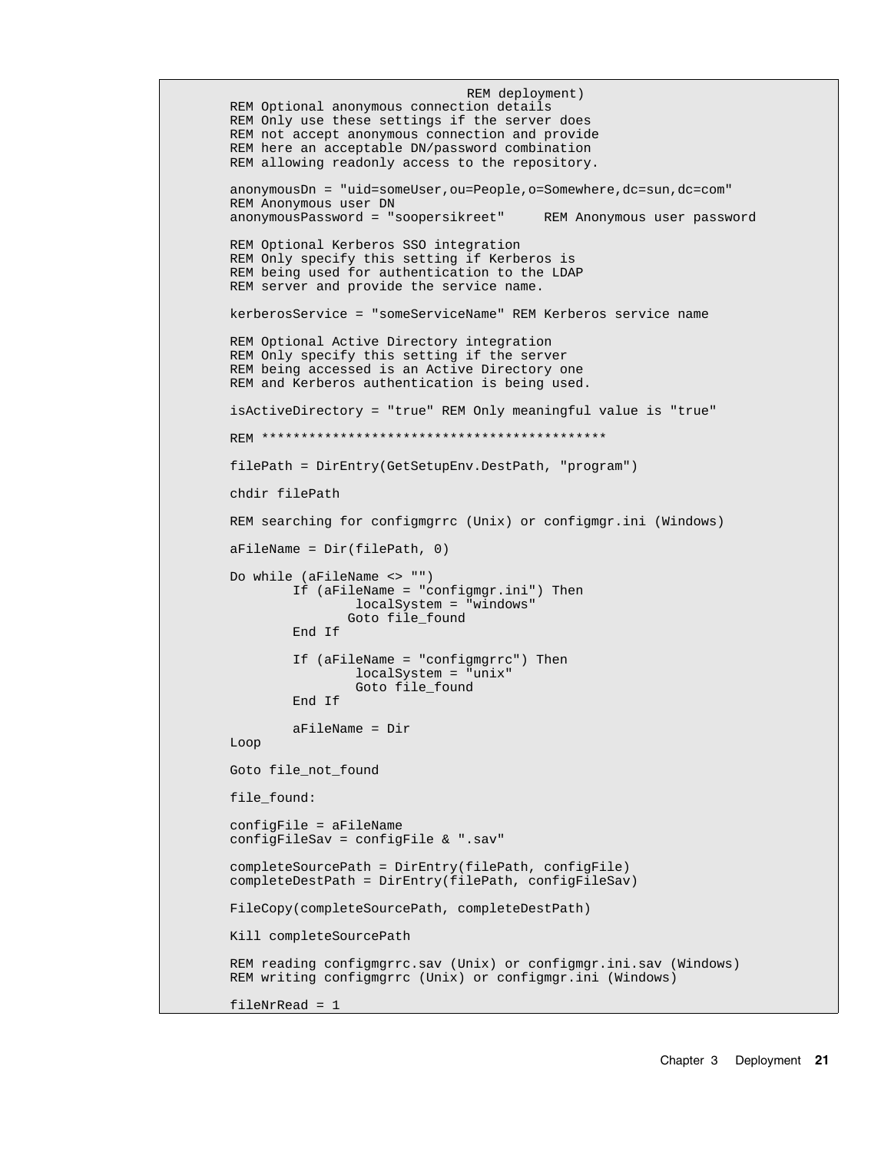```
REM deployment) 
 REM Optional anonymous connection details 
 REM Only use these settings if the server does 
 REM not accept anonymous connection and provide 
 REM here an acceptable DN/password combination 
 REM allowing readonly access to the repository. 
 anonymousDn = "uid=someUser,ou=People,o=Somewhere,dc=sun,dc=com" 
 REM Anonymous user DN 
 anonymousPassword = "soopersikreet" REM Anonymous user password 
 REM Optional Kerberos SSO integration 
 REM Only specify this setting if Kerberos is 
 REM being used for authentication to the LDAP 
 REM server and provide the service name. 
 kerberosService = "someServiceName" REM Kerberos service name 
 REM Optional Active Directory integration 
 REM Only specify this setting if the server 
 REM being accessed is an Active Directory one 
 REM and Kerberos authentication is being used. 
 isActiveDirectory = "true" REM Only meaningful value is "true" 
 REM ******************************************** 
 filePath = DirEntry(GetSetupEnv.DestPath, "program") 
 chdir filePath 
 REM searching for configmgrrc (Unix) or configmgr.ini (Windows) 
 aFileName = Dir(filePath, 0) 
 Do while (aFileName <> "") 
         If (aFileName = "configmgr.ini") Then 
                  localSystem = "windows" 
                 Goto file_found 
         End If 
         If (aFileName = "configmgrrc") Then 
                 localSystem = "unix" 
                  Goto file_found 
         End If 
         aFileName = Dir 
 Loop 
 Goto file_not_found 
 file_found: 
 configFile = aFileName 
 configFileSav = configFile & ".sav" 
 completeSourcePath = DirEntry(filePath, configFile) 
 completeDestPath = DirEntry(filePath, configFileSav) 
 FileCopy(completeSourcePath, completeDestPath) 
 Kill completeSourcePath 
 REM reading configmgrrc.sav (Unix) or configmgr.ini.sav (Windows) 
 REM writing configmgrrc (Unix) or configmgr.ini (Windows) 
 fileNrRead = 1
```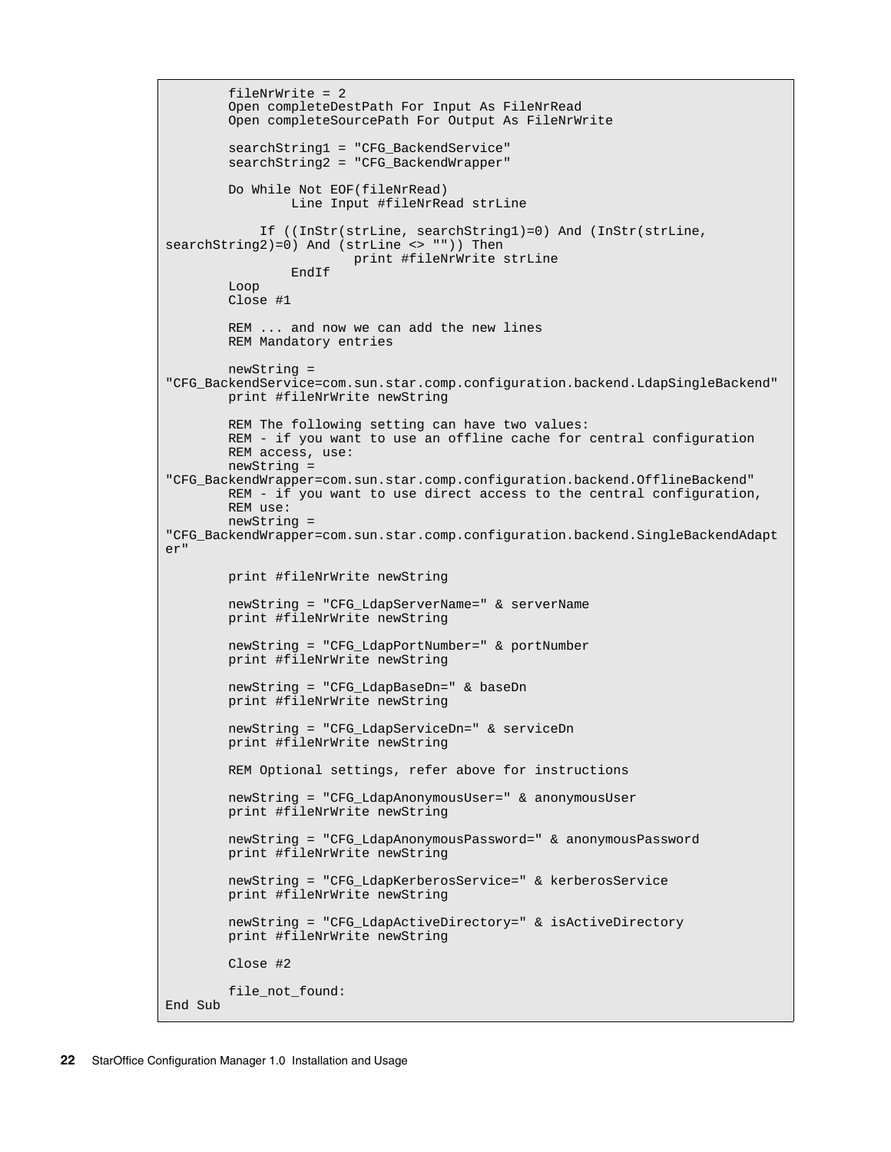```
 fileNrWrite = 2 
         Open completeDestPath For Input As FileNrRead 
         Open completeSourcePath For Output As FileNrWrite 
         searchString1 = "CFG_BackendService" 
         searchString2 = "CFG_BackendWrapper" 
         Do While Not EOF(fileNrRead) 
                 Line Input #fileNrRead strLine 
             If ((InStr(strLine, searchString1)=0) And (InStr(strLine,
searchString2)=0) And (strLine <> "")) Then
                         print #fileNrWrite strLine 
                 EndIf 
         Loop 
         Close #1 
         REM ... and now we can add the new lines 
         REM Mandatory entries 
        newString =
"CFG_BackendService=com.sun.star.comp.configuration.backend.LdapSingleBackend"
        print #fileNrWrite newString 
         REM The following setting can have two values: 
         REM - if you want to use an offline cache for central configuration
         REM access, use:
         newString =
"CFG_BackendWrapper=com.sun.star.comp.configuration.backend.OfflineBackend" 
         REM - if you want to use direct access to the central configuration,
         REM use:
         newString =
"CFG_BackendWrapper=com.sun.star.comp.configuration.backend.SingleBackendAdapt
er" print #fileNrWrite newString 
         newString = "CFG_LdapServerName=" & serverName 
         print #fileNrWrite newString 
         newString = "CFG_LdapPortNumber=" & portNumber 
         print #fileNrWrite newString 
         newString = "CFG_LdapBaseDn=" & baseDn 
         print #fileNrWrite newString 
         newString = "CFG_LdapServiceDn=" & serviceDn 
         print #fileNrWrite newString 
        REM Optional settings, refer above for instructions 
         newString = "CFG_LdapAnonymousUser=" & anonymousUser 
         print #fileNrWrite newString 
         newString = "CFG_LdapAnonymousPassword=" & anonymousPassword 
         print #fileNrWrite newString 
         newString = "CFG_LdapKerberosService=" & kerberosService 
         print #fileNrWrite newString 
         newString = "CFG_LdapActiveDirectory=" & isActiveDirectory 
         print #fileNrWrite newString 
         Close #2 
         file_not_found: 
End Sub
```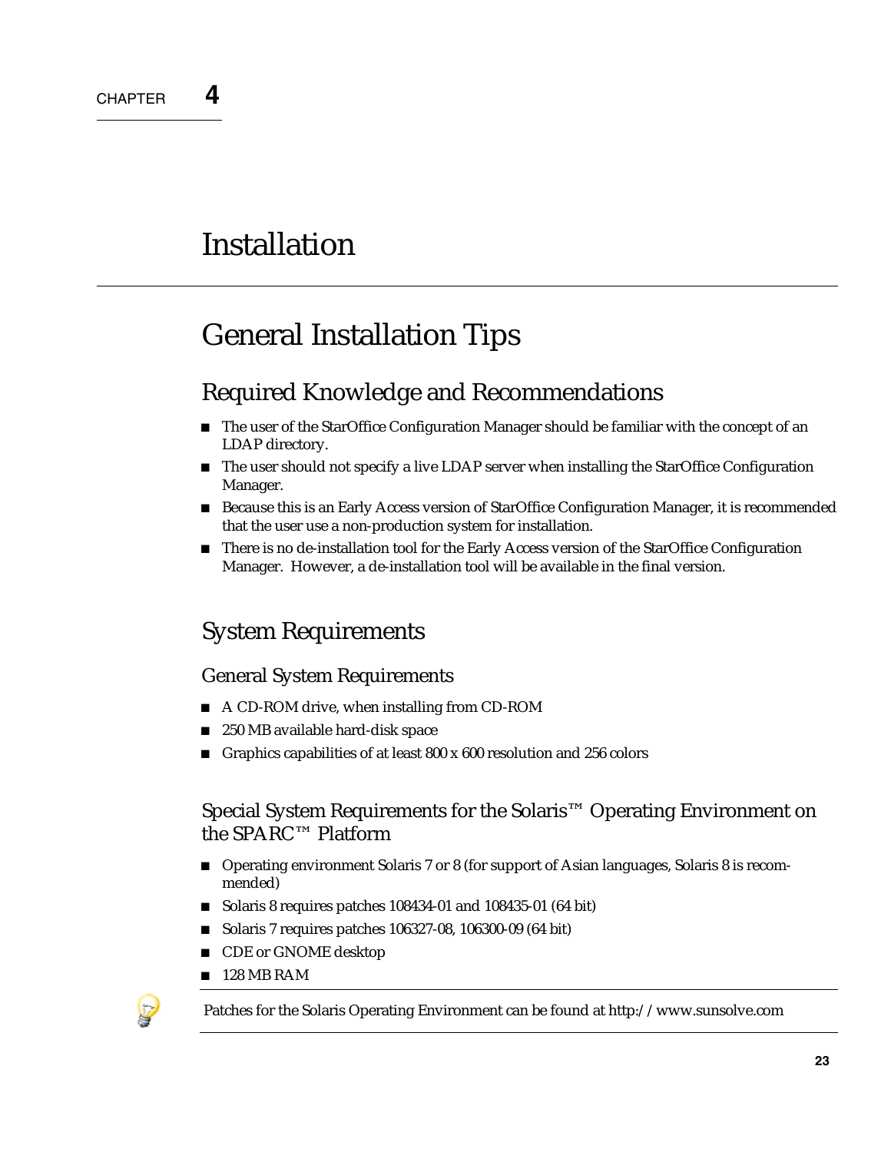# **Installation**

# General Installation Tips

#### Required Knowledge and Recommendations

- The user of the StarOffice Configuration Manager should be familiar with the concept of an LDAP directory.
- The user should not specify a live LDAP server when installing the StarOffice Configuration Manager.
- **Because this is an Early Access version of StarOffice Configuration Manager, it is recommended** that the user use a non-production system for installation.
- There is no de-installation tool for the Early Access version of the StarOffice Configuration Manager. However, a de-installation tool will be available in the final version.

### System Requirements

#### General System Requirements

- A CD-ROM drive, when installing from CD-ROM
- 250 MB available hard-disk space
- Graphics capabilities of at least  $800 \times 600$  resolution and  $256$  colors

#### Special System Requirements for the Solaris™ Operating Environment on the SPARC™ Platform

- Operating environment Solaris 7 or 8 (for support of Asian languages, Solaris 8 is recommended)
- Solaris 8 requires patches 108434-01 and 108435-01 (64 bit)
- Solaris 7 requires patches 106327-08, 106300-09 (64 bit)
- CDE or GNOME desktop
- $128$  MB RAM



Patches for the Solaris Operating Environment can be found at http://www.sunsolve.com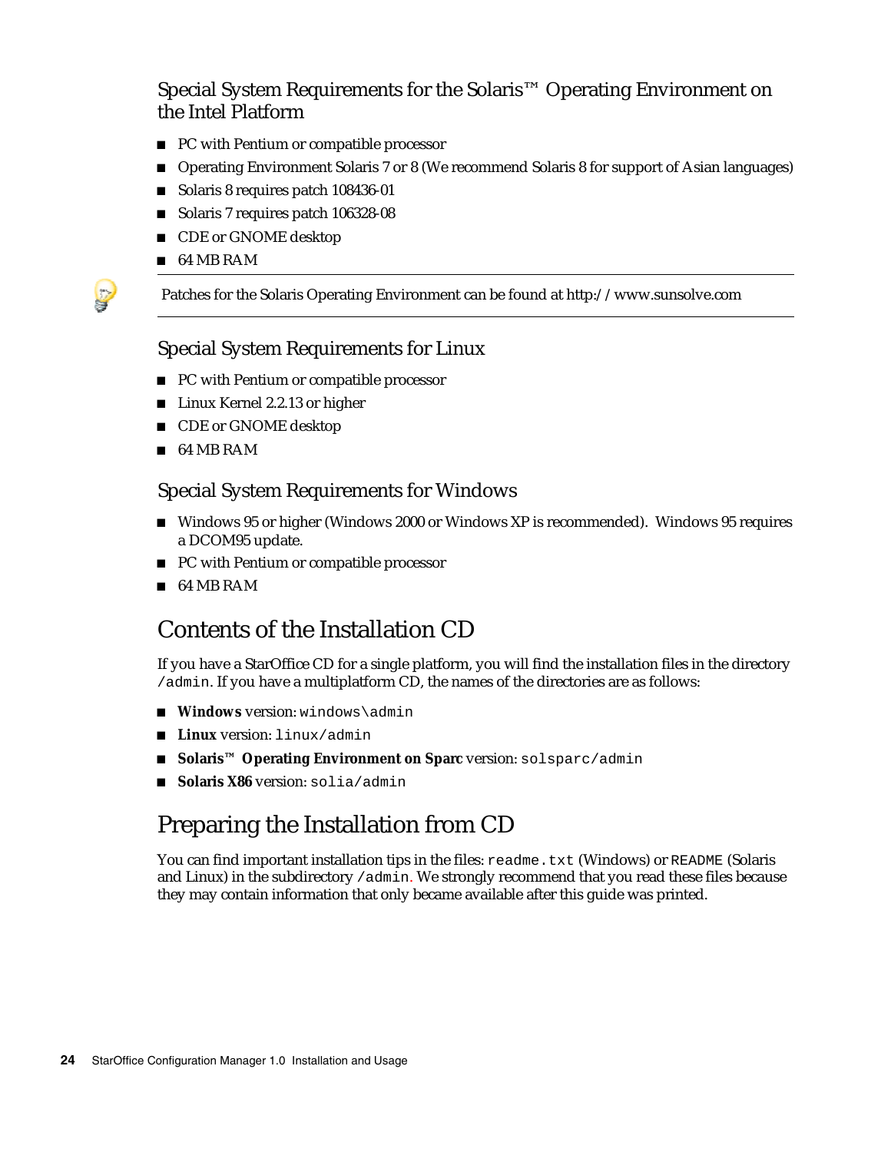Special System Requirements for the Solaris™ Operating Environment on the Intel Platform

- **PC** with Pentium or compatible processor
- Operating Environment Solaris 7 or 8 (We recommend Solaris 8 for support of Asian languages)
- Solaris 8 requires patch 108436-01
- Solaris 7 requires patch 106328-08
- CDE or GNOME desktop
- 64 MB RAM

Patches for the Solaris Operating Environment can be found at http://www.sunsolve.com

#### Special System Requirements for Linux

- PC with Pentium or compatible processor
- Linux Kernel 2.2.13 or higher
- CDE or GNOME desktop
- 64 MB RAM

#### Special System Requirements for Windows

- Windows 95 or higher (Windows 2000 or Windows XP is recommended). Windows 95 requires a DCOM95 update.
- PC with Pentium or compatible processor
- 64 MB RAM

#### Contents of the Installation CD

If you have a StarOffice CD for a single platform, you will find the installation files in the directory /admin. If you have a multiplatform CD, the names of the directories are as follows:

- **Windows** version: windows\admin
- **Linux** version: linux/admin
- Solaris<sup>™</sup> Operating Environment on Sparc version: solsparc/admin
- **Solaris X86** version: solia/admin

### Preparing the Installation from CD

You can find important installation tips in the files: readme.txt (Windows) or README (Solaris and Linux) in the subdirectory /admin. We strongly recommend that you read these files because they may contain information that only became available after this guide was printed.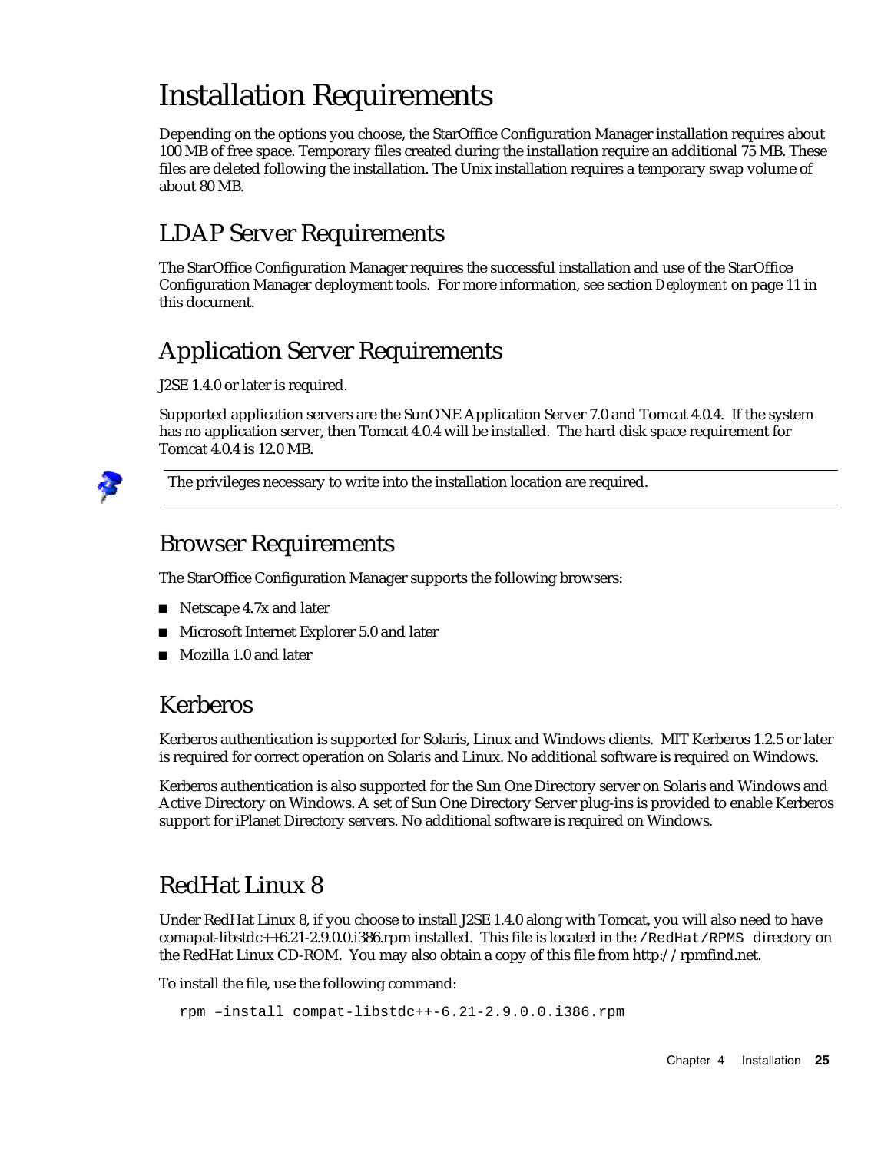# Installation Requirements

Depending on the options you choose, the StarOffice Configuration Manager installation requires about 100 MB of free space. Temporary files created during the installation require an additional 75 MB. These files are deleted following the installation. The Unix installation requires a temporary swap volume of about 80 MB.

### LDAP Server Requirements

The StarOffice Configuration Manager requires the successful installation and use of the StarOffice Configuration Manager deployment tools. For more information, see section *Deployment* on page 11 in this document.

### Application Server Requirements

J2SE 1.4.0 or later is required.

Supported application servers are the SunONE Application Server 7.0 and Tomcat 4.0.4. If the system has no application server, then Tomcat 4.0.4 will be installed. The hard disk space requirement for Tomcat 4.0.4 is 12.0 MB.



The privileges necessary to write into the installation location are required.

#### Browser Requirements

The StarOffice Configuration Manager supports the following browsers:

- Netscape  $4.7x$  and later
- **Microsoft Internet Explorer 5.0 and later**
- Mozilla 1.0 and later

#### Kerberos

Kerberos authentication is supported for Solaris, Linux and Windows clients. MIT Kerberos 1.2.5 or later is required for correct operation on Solaris and Linux. No additional software is required on Windows.

Kerberos authentication is also supported for the Sun One Directory server on Solaris and Windows and Active Directory on Windows. A set of Sun One Directory Server plug-ins is provided to enable Kerberos support for iPlanet Directory servers. No additional software is required on Windows.

### RedHat Linux 8

Under RedHat Linux 8, if you choose to install J2SE 1.4.0 along with Tomcat, you will also need to have comapat-libstdc++6.21-2.9.0.0.i386.rpm installed. This file is located in the /RedHat/RPMS directory on the RedHat Linux CD-ROM. You may also obtain a copy of this file from http://rpmfind.net.

To install the file, use the following command:

```
rpm –install compat-libstdc++-6.21-2.9.0.0.i386.rpm
```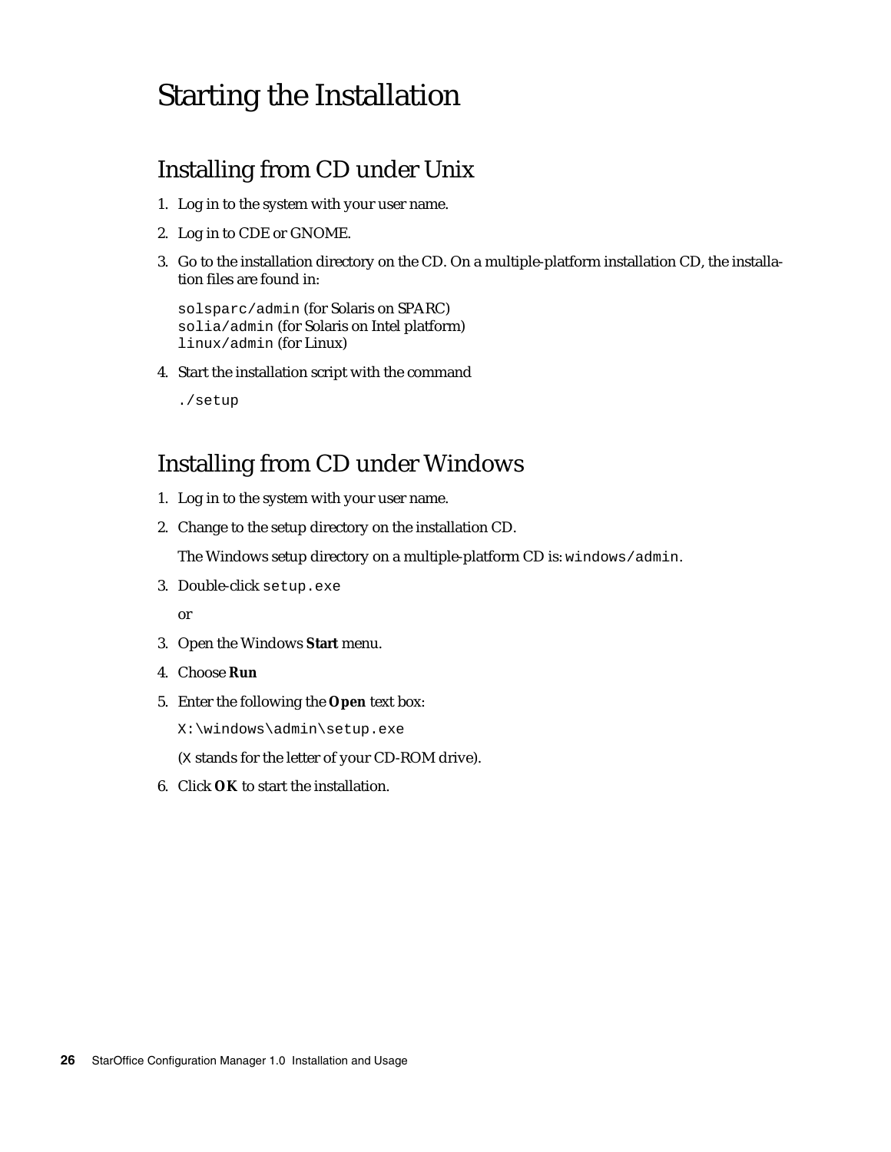## Starting the Installation

### Installing from CD under Unix

- 1. Log in to the system with your user name.
- 2. Log in to CDE or GNOME.
- 3. Go to the installation directory on the CD. On a multiple-platform installation CD, the installation files are found in:

```
solsparc/admin (for Solaris on SPARC)
solia/admin (for Solaris on Intel platform)
linux/admin (for Linux)
```
4. Start the installation script with the command

./setup

#### Installing from CD under Windows

- 1. Log in to the system with your user name.
- 2. Change to the setup directory on the installation CD.

The Windows setup directory on a multiple-platform CD is: windows/admin.

3. Double-click setup.exe

or

- 3. Open the Windows **Start** menu.
- 4. Choose **Run**
- 5. Enter the following the **Open** text box:

X:\windows\admin\setup.exe

(X stands for the letter of your CD-ROM drive).

6. Click **OK** to start the installation.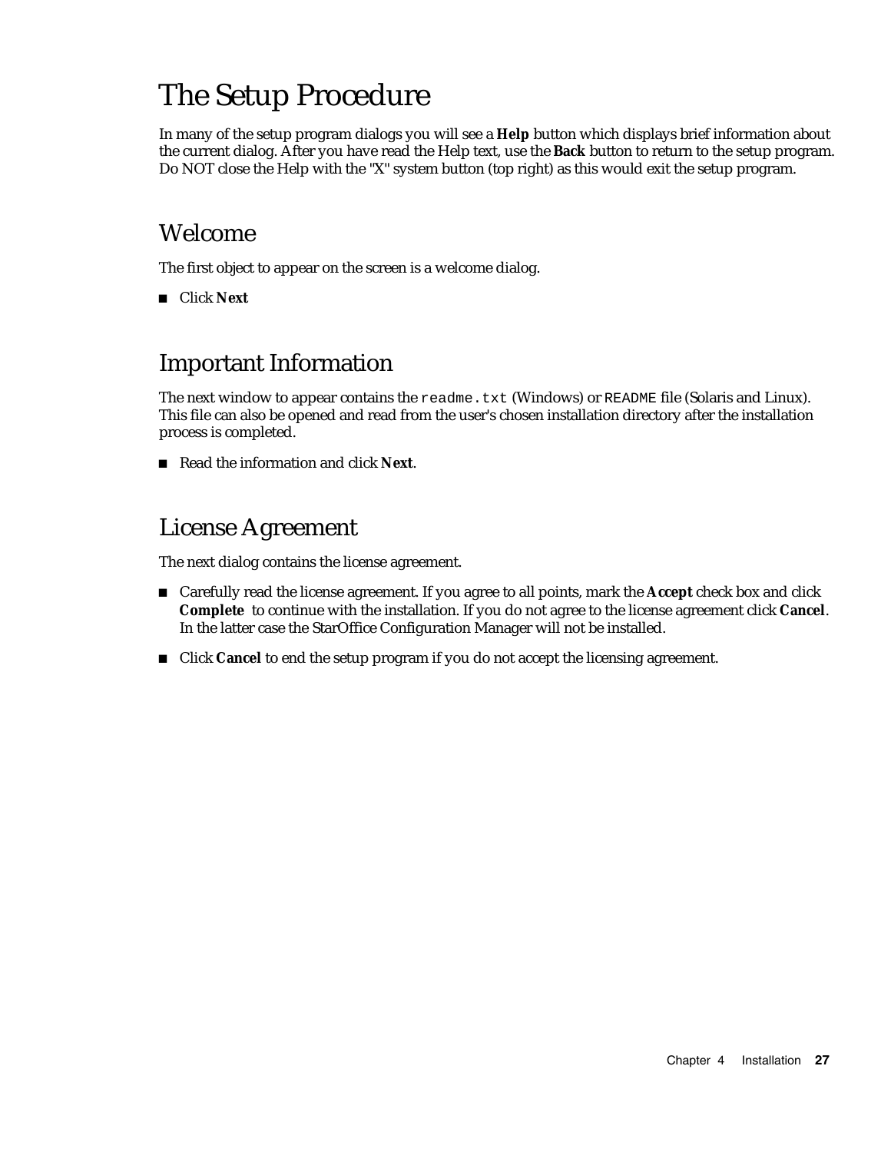# The Setup Procedure

In many of the setup program dialogs you will see a **Help** button which displays brief information about the current dialog. After you have read the Help text, use the **Back** button to return to the setup program. Do NOT close the Help with the "X" system button (top right) as this would exit the setup program.

#### Welcome

The first object to appear on the screen is a welcome dialog.

■ Click **Next** 

#### Important Information

The next window to appear contains the readme.txt (Windows) or README file (Solaris and Linux). This file can also be opened and read from the user's chosen installation directory after the installation process is completed.

Read the information and click **Next**.

#### License Agreement

The next dialog contains the license agreement.

- Carefully read the license agreement. If you agree to all points, mark the **Accept** check box and click **Complete** to continue with the installation. If you do not agree to the license agreement click **Cancel**. In the latter case the StarOffice Configuration Manager will not be installed.
- Click **Cancel** to end the setup program if you do not accept the licensing agreement.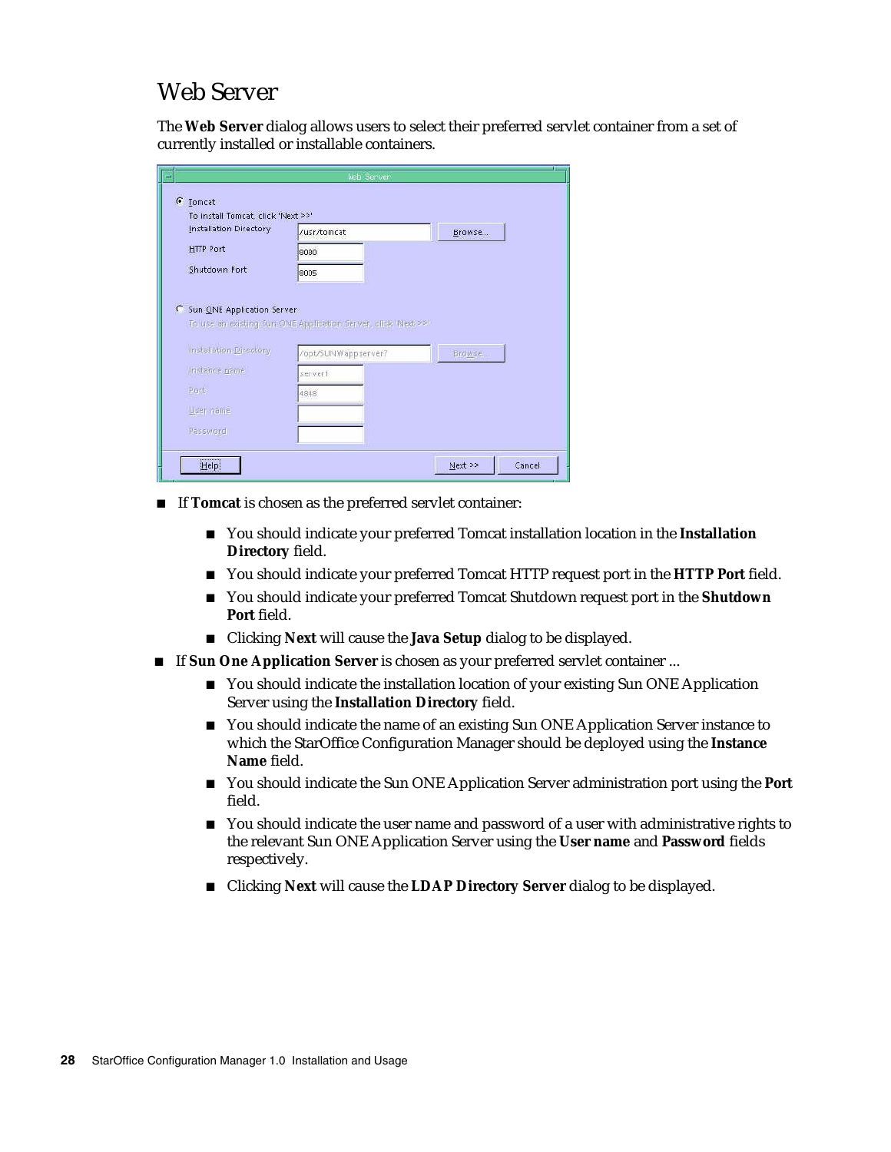#### Web Server

The **Web Server** dialog allows users to select their preferred servlet container from a set of currently installed or installable containers.

| Installation Directory       | /usr/tomcat                                                   | Browse  |
|------------------------------|---------------------------------------------------------------|---------|
| <b>HTTP Port</b>             | 8080                                                          |         |
| Shutdown Port                | 8005                                                          |         |
| C Sun ONE Application Server | To use an existing Sun ONE Application Server, click Wext >>! |         |
| Installation Directory       | /opt/SUNWappserver7                                           | Browse. |
| Instance name                | servert                                                       |         |
| Pert.                        | 4848                                                          |         |
| User name                    |                                                               |         |

- If **Tomcat** is chosen as the preferred servlet container:
	- You should indicate your preferred Tomcat installation location in the **Installation Directory** field.
	- You should indicate your preferred Tomcat HTTP request port in the **HTTP Port** field.
	- You should indicate your preferred Tomcat Shutdown request port in the **Shutdown Port** field.
	- Clicking **Next** will cause the **Java Setup** dialog to be displayed.
- If **Sun One Application Server** is chosen as your preferred servlet container ...
	- You should indicate the installation location of your existing Sun ONE Application Server using the **Installation Directory** field.
	- You should indicate the name of an existing Sun ONE Application Server instance to which the StarOffice Configuration Manager should be deployed using the **Instance Name** field.
	- You should indicate the Sun ONE Application Server administration port using the **Port** field.
	- You should indicate the user name and password of a user with administrative rights to the relevant Sun ONE Application Server using the **User name** and **Password** fields respectively.
	- Clicking **Next** will cause the LDAP Directory Server dialog to be displayed.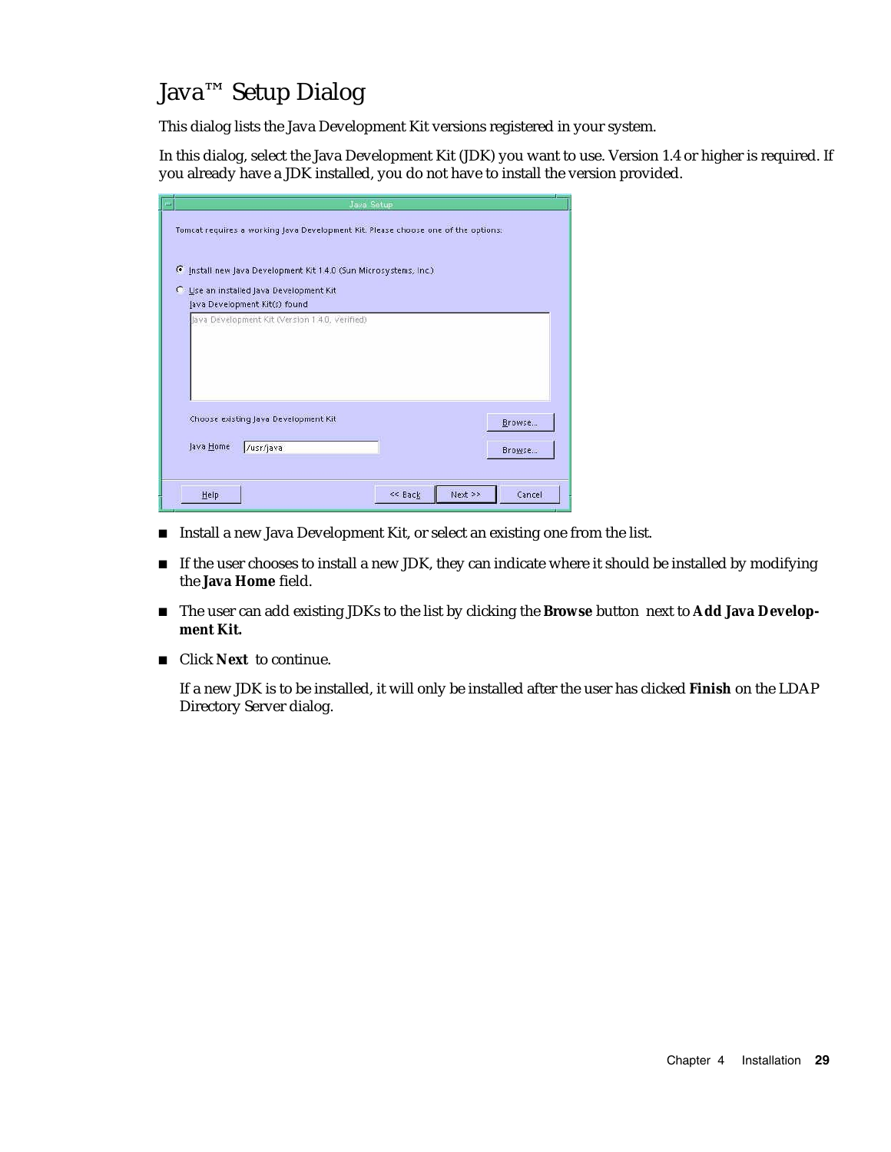#### Java™ Setup Dialog

This dialog lists the Java Development Kit versions registered in your system.

In this dialog, select the Java Development Kit (JDK) you want to use. Version 1.4 or higher is required. If you already have a JDK installed, you do not have to install the version provided.

| Java Setup                                                                        |        |
|-----------------------------------------------------------------------------------|--------|
| Tomcat requires a working Java Development Kit. Please choose one of the options: |        |
| F Install new Java Development Kit 1.4.0 (Sun Microsystems, Inc.)                 |        |
| C Use an installed Java Development Kit                                           |        |
| Java Development Kit(s) found                                                     |        |
| Java Development Kit (Version 1 4.0, Verified)                                    |        |
|                                                                                   |        |
|                                                                                   |        |
|                                                                                   |        |
| Choose existing Java Development Kit                                              |        |
|                                                                                   | Browse |
| Java Home<br>/usr/java                                                            | Browse |
|                                                                                   |        |
| $Next$ >><br><< Back<br>Help                                                      | Cancel |
|                                                                                   |        |

- Install a new Java Development Kit, or select an existing one from the list.
- If the user chooses to install a new JDK, they can indicate where it should be installed by modifying the **Java Home** field.
- The user can add existing JDKs to the list by clicking the **Browse** button next to **Add Java Development Kit.**
- Click **Next** to continue.

If a new JDK is to be installed, it will only be installed after the user has clicked **Finish** on the LDAP Directory Server dialog.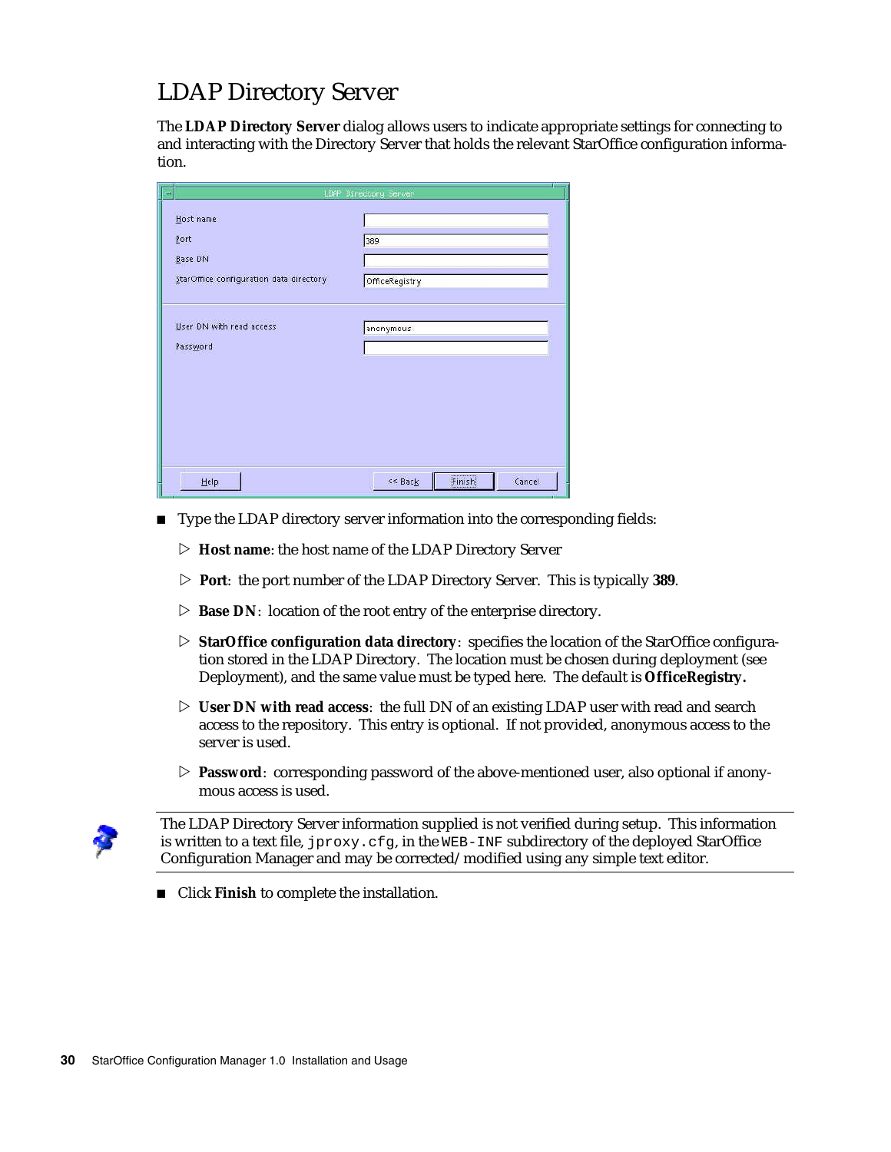#### LDAP Directory Server

The **LDAP Directory Server** dialog allows users to indicate appropriate settings for connecting to and interacting with the Directory Server that holds the relevant StarOffice configuration information.

|                                         | LDAP Directory Server       |
|-----------------------------------------|-----------------------------|
| Host name                               |                             |
| Port                                    | 389                         |
| Base DN                                 |                             |
| StarOffice configuration data directory | OfficeRegistry              |
|                                         |                             |
| User DN with read access                | anonymous                   |
| Password                                |                             |
|                                         |                             |
|                                         |                             |
|                                         |                             |
|                                         |                             |
|                                         |                             |
| Help                                    | Finish<br>Cancel<br><< Back |

- Type the LDAP directory server information into the corresponding fields:
	- ▷ **Host name**: the host name of the LDAP Directory Server
	- ▷ **Port**: the port number of the LDAP Directory Server. This is typically **389**.
	- ▷ **Base DN**: location of the root entry of the enterprise directory.
	- ▷ **StarOffice configuration data directory**: specifies the location of the StarOffice configuration stored in the LDAP Directory. The location must be chosen during deployment (see Deployment), and the same value must be typed here. The default is **OfficeRegistry.**
	- ▷ **User DN with read access**: the full DN of an existing LDAP user with read and search access to the repository. This entry is optional. If not provided, anonymous access to the server is used.
	- ▷ **Password**: corresponding password of the above-mentioned user, also optional if anonymous access is used.



The LDAP Directory Server information supplied is not verified during setup. This information is written to a text file, jproxy.cfg, in the WEB-INF subdirectory of the deployed StarOffice Configuration Manager and may be corrected/modified using any simple text editor.

■ Click **Finish** to complete the installation.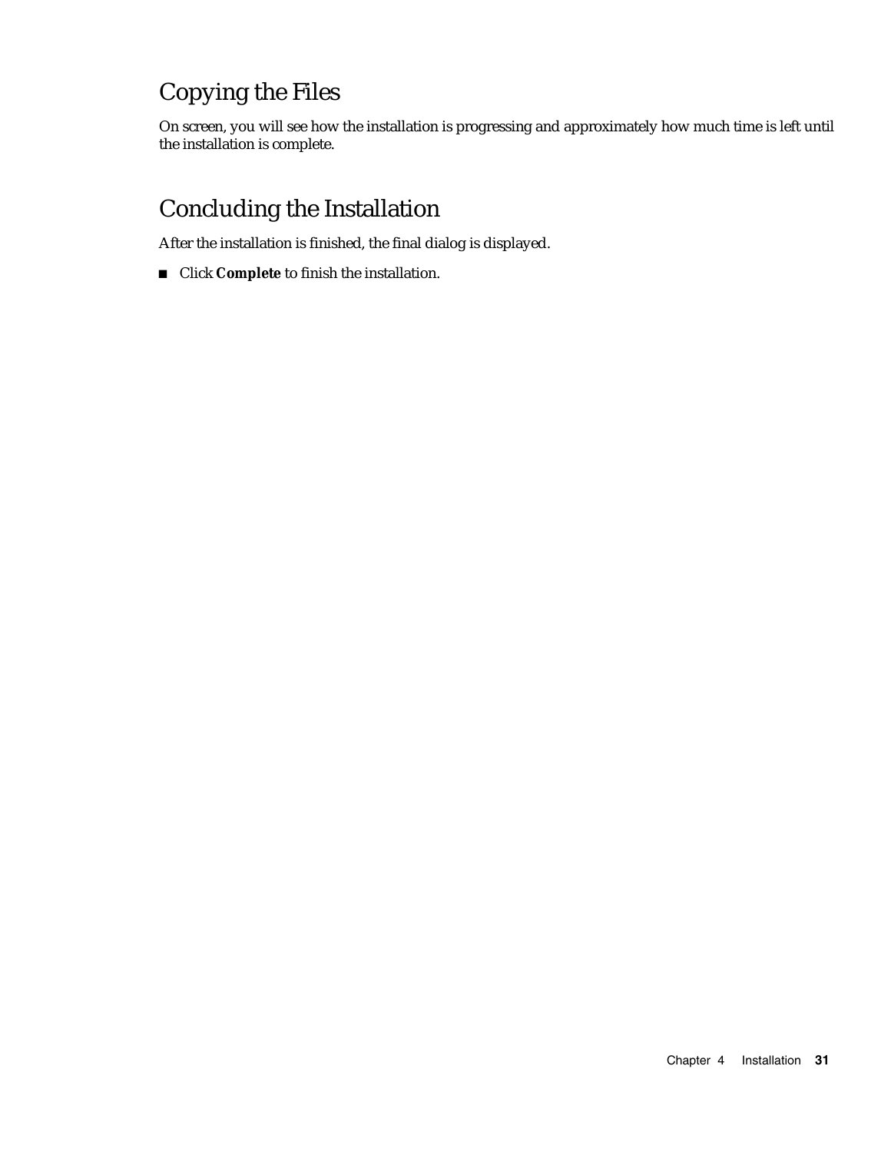## Copying the Files

On screen, you will see how the installation is progressing and approximately how much time is left until the installation is complete.

### Concluding the Installation

After the installation is finished, the final dialog is displayed.

Click **Complete** to finish the installation.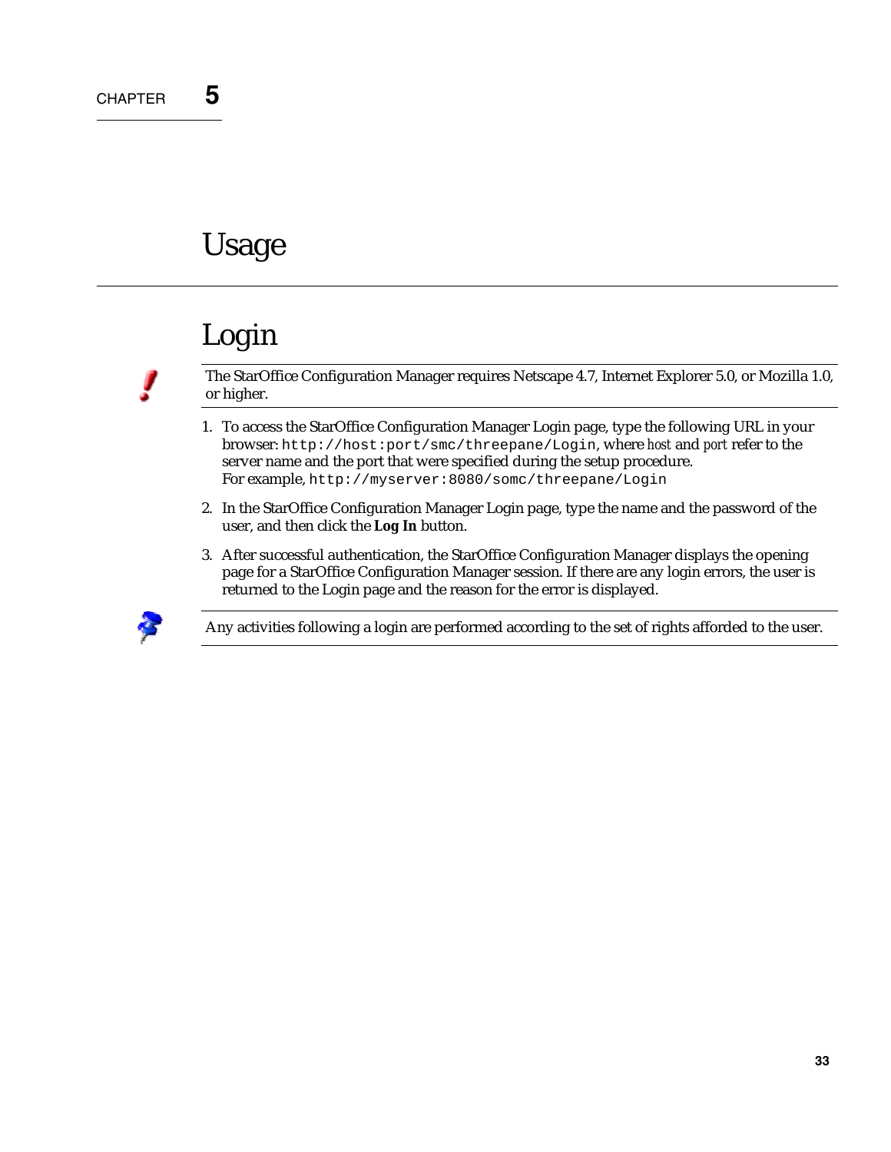# **Usage**

# Login

The StarOffice Configuration Manager requires Netscape 4.7, Internet Explorer 5.0, or Mozilla 1.0, or higher.

- 1. To access the StarOffice Configuration Manager Login page, type the following URL in your browser: http://host:port/smc/threepane/Login, where *host* and *port* refer to the server name and the port that were specified during the setup procedure. For example, http://myserver:8080/somc/threepane/Login
- 2. In the StarOffice Configuration Manager Login page, type the name and the password of the user, and then click the **Log In** button.
- 3. After successful authentication, the StarOffice Configuration Manager displays the opening page for a StarOffice Configuration Manager session. If there are any login errors, the user is returned to the Login page and the reason for the error is displayed.



Any activities following a login are performed according to the set of rights afforded to the user.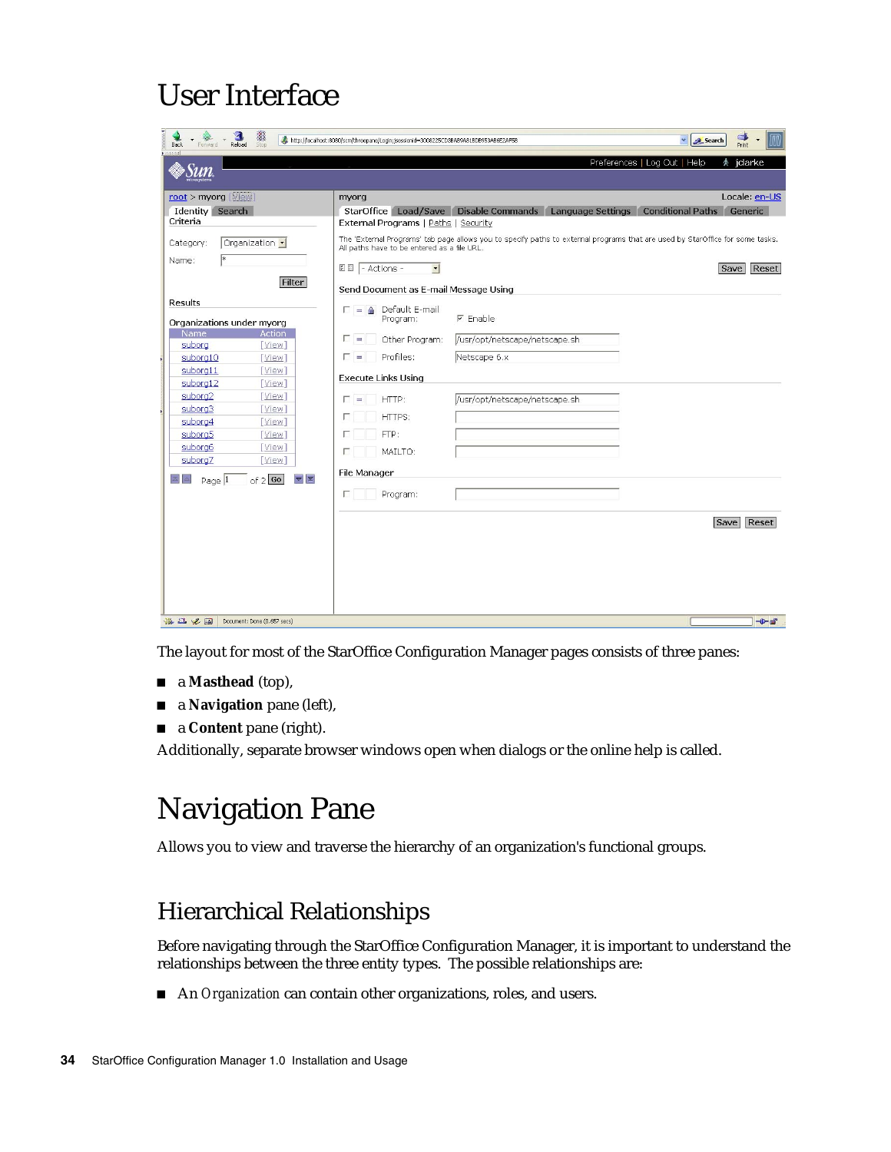# User Interface

| 覆<br>図<br>Reload<br>Stop<br><b>Back</b><br>Forward                                                                                                                                                                                                                                                                                                                                           | $\Rightarrow$<br>IM<br>http://localhost:8080/scm/threepane/Login;jsessionid=3008225CD3BAB9A81BDB953AB6E2AF5B<br>$\checkmark$<br>Search<br>Print                                                                                                                                                                                                                        |
|----------------------------------------------------------------------------------------------------------------------------------------------------------------------------------------------------------------------------------------------------------------------------------------------------------------------------------------------------------------------------------------------|------------------------------------------------------------------------------------------------------------------------------------------------------------------------------------------------------------------------------------------------------------------------------------------------------------------------------------------------------------------------|
|                                                                                                                                                                                                                                                                                                                                                                                              | Preferences   Log Out   Help<br>术<br>jdarke                                                                                                                                                                                                                                                                                                                            |
| root > myorg [View]<br>Identity Search<br>Criteria                                                                                                                                                                                                                                                                                                                                           | Locale: en-US<br>myorg<br>StarOffice Load/Save Disable Commands Language Settings<br><b>Conditional Paths Generic</b><br>External Programs   Paths   Security                                                                                                                                                                                                          |
| Organization -<br>Category:<br>Name:                                                                                                                                                                                                                                                                                                                                                         | The 'External Programs' tab page allows you to specify paths to external programs that are used by StarOffice for some tasks.<br>All paths have to be entered as a file URL.<br><b>EE</b> - Actions -<br>$\vert$<br>Save Reset                                                                                                                                         |
| Filter<br><b>Results</b><br>Organizations under myorg<br>Name<br><b>Action</b><br>suborg<br>[View]<br>suborg10<br>[View]<br>suborg11<br>[View]<br>suborg12<br>[View]<br>suborg2<br>[View]<br>suborg3<br>[View]<br>suborg4<br>[View]<br>suborg5<br>[View]<br>suborg6<br>[View]<br>suborg7<br>[View]<br>$\blacktriangledown$ $\mathbb{Z}$<br>$\mathbb{Z}$ $\mathbb{Z}$<br>of $2 $ Go<br>Page 1 | Send Document as E-mail Message Using<br>$\Gamma = \triangle$ Default E-mail<br>$F$ Enable<br>Program:<br>г.<br>/usr/opt/netscape/netscape.sh<br>Other Program:<br>Profiles:<br>Netscape 6.x<br>D =<br><b>Execute Links Using</b><br>HTTP:<br>/usr/opt/netscape/netscape.sh<br>$=$<br>HTTPS:<br>FTP:<br>MAILTO:<br>п<br>File Manager<br>Program:<br>п<br>Reset<br>Save |
| 杀四之国<br>Document: Done (0.657 secs)                                                                                                                                                                                                                                                                                                                                                          | $-0-$                                                                                                                                                                                                                                                                                                                                                                  |

The layout for most of the StarOffice Configuration Manager pages consists of three panes:

- a **Masthead** (top),
- a **Navigation** pane (left),
- **a Content** pane (right).

Additionally, separate browser windows open when dialogs or the online help is called.

# Navigation Pane

Allows you to view and traverse the hierarchy of an organization's functional groups.

### Hierarchical Relationships

Before navigating through the StarOffice Configuration Manager, it is important to understand the relationships between the three entity types. The possible relationships are:

An *Organization* can contain other organizations, roles, and users.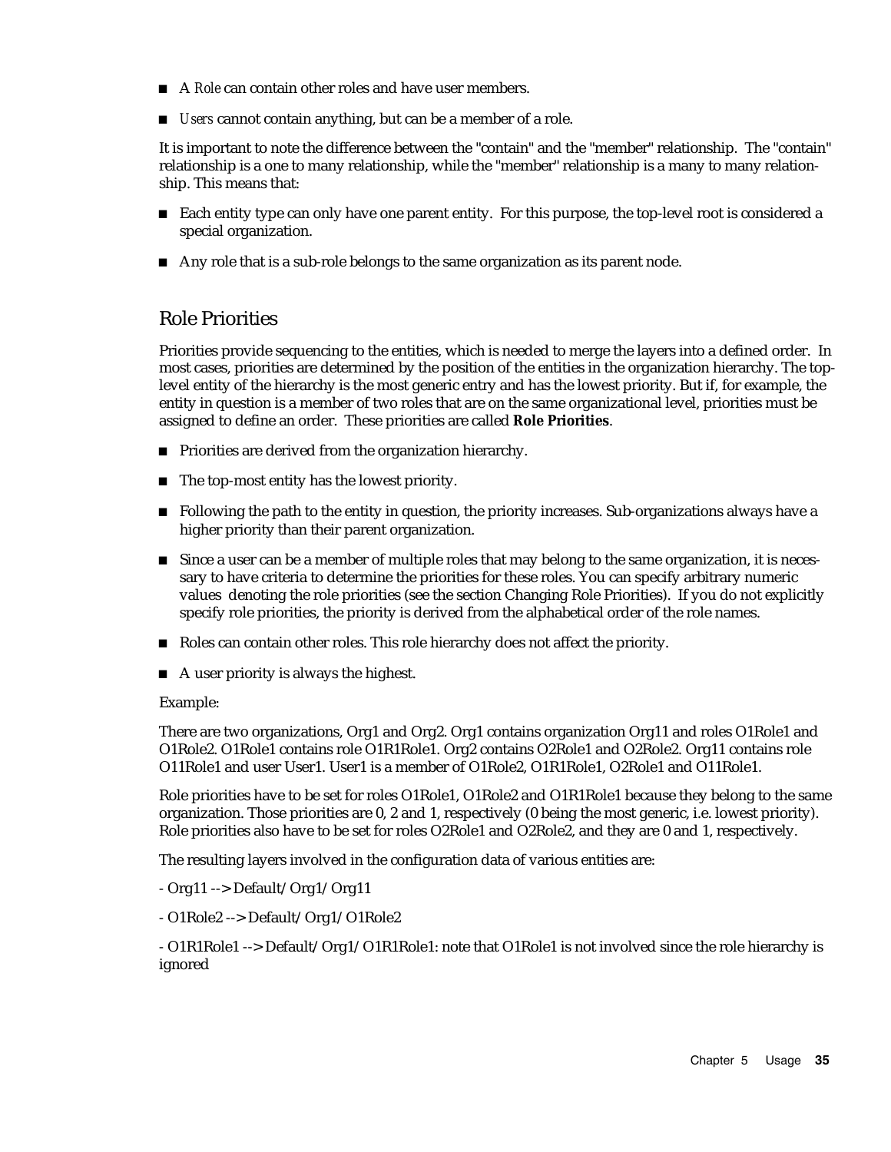- A *Role* can contain other roles and have user members.
- *Users* cannot contain anything, but can be a member of a role.

It is important to note the difference between the "contain" and the "member" relationship. The "contain" relationship is a one to many relationship, while the "member" relationship is a many to many relationship. This means that:

- Each entity type can only have one parent entity. For this purpose, the top-level root is considered a special organization.
- Any role that is a sub-role belongs to the same organization as its parent node.

#### Role Priorities

Priorities provide sequencing to the entities, which is needed to merge the layers into a defined order. In most cases, priorities are determined by the position of the entities in the organization hierarchy. The toplevel entity of the hierarchy is the most generic entry and has the lowest priority. But if, for example, the entity in question is a member of two roles that are on the same organizational level, priorities must be assigned to define an order. These priorities are called **Role Priorities**.

- **Priorities are derived from the organization hierarchy.**
- $\blacksquare$  The top-most entity has the lowest priority.
- **F** Following the path to the entity in question, the priority increases. Sub-organizations always have a higher priority than their parent organization.
- Since a user can be a member of multiple roles that may belong to the same organization, it is necessary to have criteria to determine the priorities for these roles. You can specify arbitrary numeric values denoting the role priorities (see the section Changing Role Priorities). If you do not explicitly specify role priorities, the priority is derived from the alphabetical order of the role names.
- Roles can contain other roles. This role hierarchy does not affect the priority.
- $\blacksquare$  A user priority is always the highest.

#### Example:

There are two organizations, Org1 and Org2. Org1 contains organization Org11 and roles O1Role1 and O1Role2. O1Role1 contains role O1R1Role1. Org2 contains O2Role1 and O2Role2. Org11 contains role O11Role1 and user User1. User1 is a member of O1Role2, O1R1Role1, O2Role1 and O11Role1.

Role priorities have to be set for roles O1Role1, O1Role2 and O1R1Role1 because they belong to the same organization. Those priorities are 0, 2 and 1, respectively (0 being the most generic, i.e. lowest priority). Role priorities also have to be set for roles O2Role1 and O2Role2, and they are 0 and 1, respectively.

The resulting layers involved in the configuration data of various entities are:

- Org11 --> Default/Org1/Org11
- O1Role2 --> Default/Org1/O1Role2

- O1R1Role1 --> Default/Org1/O1R1Role1: note that O1Role1 is not involved since the role hierarchy is ignored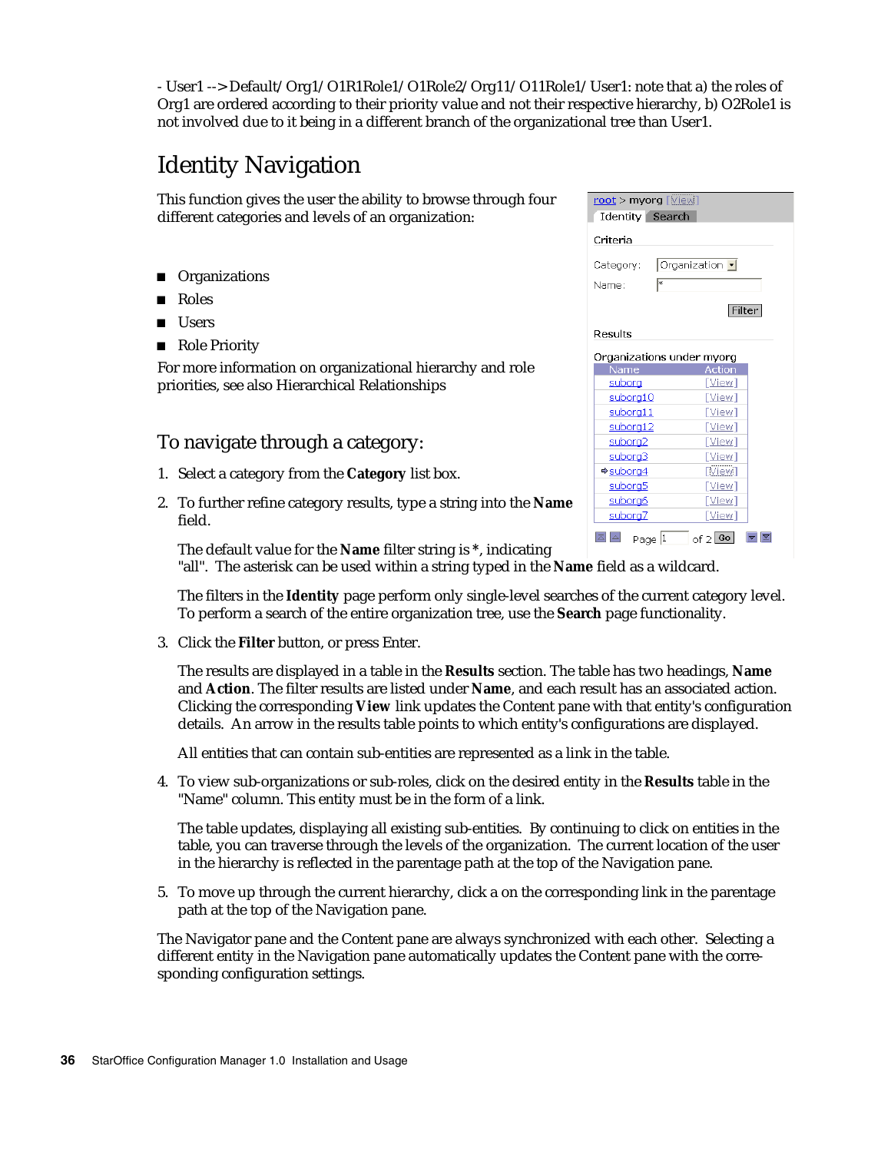- User1 --> Default/Org1/O1R1Role1/O1Role2/Org11/O11Role1/User1: note that a) the roles of Org1 are ordered according to their priority value and not their respective hierarchy, b) O2Role1 is not involved due to it being in a different branch of the organizational tree than User1.

### Identity Navigation

This function gives the user the ability to browse through four different categories and levels of an organization:

- **Organizations**
- Roles
- **Users**
- Role Priority

For more information on organizational hierarchy and role priorities, see also Hierarchical Relationships

#### To navigate through a category:

- 1. Select a category from the **Category** list box.
- 2. To further refine category results, type a string into the **Name** field.

| Identity Search      |                           |
|----------------------|---------------------------|
| Criteria             |                           |
| Category:            | Organization -            |
| Name:                | lж                        |
|                      | Filter                    |
| Results              |                           |
|                      | Organizations under myorg |
| Name                 | <b>Action</b>             |
| <u>suborg</u>        | [View]                    |
| suborg10             | [View]                    |
|                      |                           |
| suborg11             | [View]                    |
| suborg12             | [View]                    |
| suborg <sub>2</sub>  | [View]                    |
| suborg3              | [View]                    |
| <del>o</del> suborg4 | [View]                    |
| suborg5              | [View]                    |
| suborg6              | [View]                    |
| suborg7              | [View]                    |

The default value for the **Name** filter string is **\***, indicating "all". The asterisk can be used within a string typed in the **Name** field as a wildcard.

The filters in the **Identity** page perform only single-level searches of the current category level. To perform a search of the entire organization tree, use the **Search** page functionality.

3. Click the **Filter** button, or press Enter.

The results are displayed in a table in the **Results** section. The table has two headings, **Name** and **Action**. The filter results are listed under **Name**, and each result has an associated action. Clicking the corresponding **View** link updates the Content pane with that entity's configuration details. An arrow in the results table points to which entity's configurations are displayed.

All entities that can contain sub-entities are represented as a link in the table.

4. To view sub-organizations or sub-roles, click on the desired entity in the **Results** table in the "Name" column. This entity must be in the form of a link.

The table updates, displaying all existing sub-entities. By continuing to click on entities in the table, you can traverse through the levels of the organization. The current location of the user in the hierarchy is reflected in the parentage path at the top of the Navigation pane.

5. To move up through the current hierarchy, click a on the corresponding link in the parentage path at the top of the Navigation pane.

The Navigator pane and the Content pane are always synchronized with each other. Selecting a different entity in the Navigation pane automatically updates the Content pane with the corresponding configuration settings.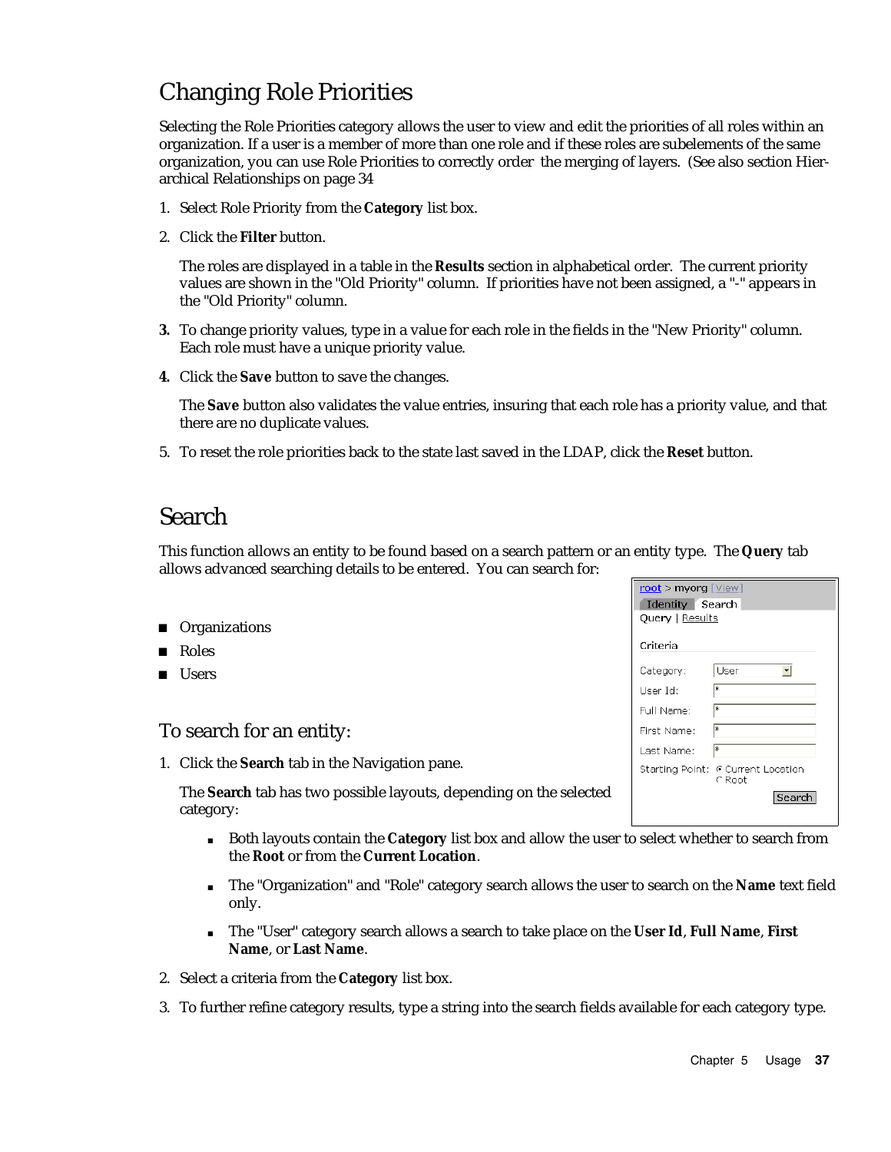### Changing Role Priorities

Selecting the Role Priorities category allows the user to view and edit the priorities of all roles within an organization. If a user is a member of more than one role and if these roles are subelements of the same organization, you can use Role Priorities to correctly order the merging of layers. (See also section Hierarchical Relationships on page 34

- 1. Select Role Priority from the **Category** list box.
- 2. Click the **Filter** button.

The roles are displayed in a table in the **Results** section in alphabetical order. The current priority values are shown in the "Old Priority" column. If priorities have not been assigned, a "-" appears in the "Old Priority" column.

- **3.** To change priority values, type in a value for each role in the fields in the "New Priority" column. Each role must have a unique priority value.
- **4.** Click the **Save** button to save the changes.

The **Save** button also validates the value entries, insuring that each role has a priority value, and that there are no duplicate values.

5. To reset the role priorities back to the state last saved in the LDAP, click the **Reset** button.

#### Search

This function allows an entity to be found based on a search pattern or an entity type. The **Query** tab allows advanced searching details to be entered. You can search for:

- **Organizations**
- Roles
- **Users**

#### To search for an entity:

1. Click the **Search** tab in the Navigation pane.

The **Search** tab has two possible layouts, depending on the selected category:

- Both layouts contain the **Category** list box and allow the user to select whether to search from the **Root** or from the **Current Location**.
- The "Organization" and "Role" category search allows the user to search on the **Name** text field only.
- The "User" category search allows a search to take place on the **User Id**, **Full Name**, **First Name**, or **Last Name**.
- 2. Select a criteria from the **Category** list box.
- 3. To further refine category results, type a string into the search fields available for each category type.

| $root$ > myorg $[\vee$ iew]<br>Identity Search |                                              |  |
|------------------------------------------------|----------------------------------------------|--|
| <b>Query</b>   Results                         |                                              |  |
| Criteria                                       |                                              |  |
| Category:                                      | User                                         |  |
| User Id:                                       | l∗                                           |  |
| Full Name:                                     | l∗                                           |  |
| First Name:                                    | ж                                            |  |
| Last Name:                                     | lж                                           |  |
|                                                | Starting Point: @ Current Location<br>C Root |  |
|                                                | Search                                       |  |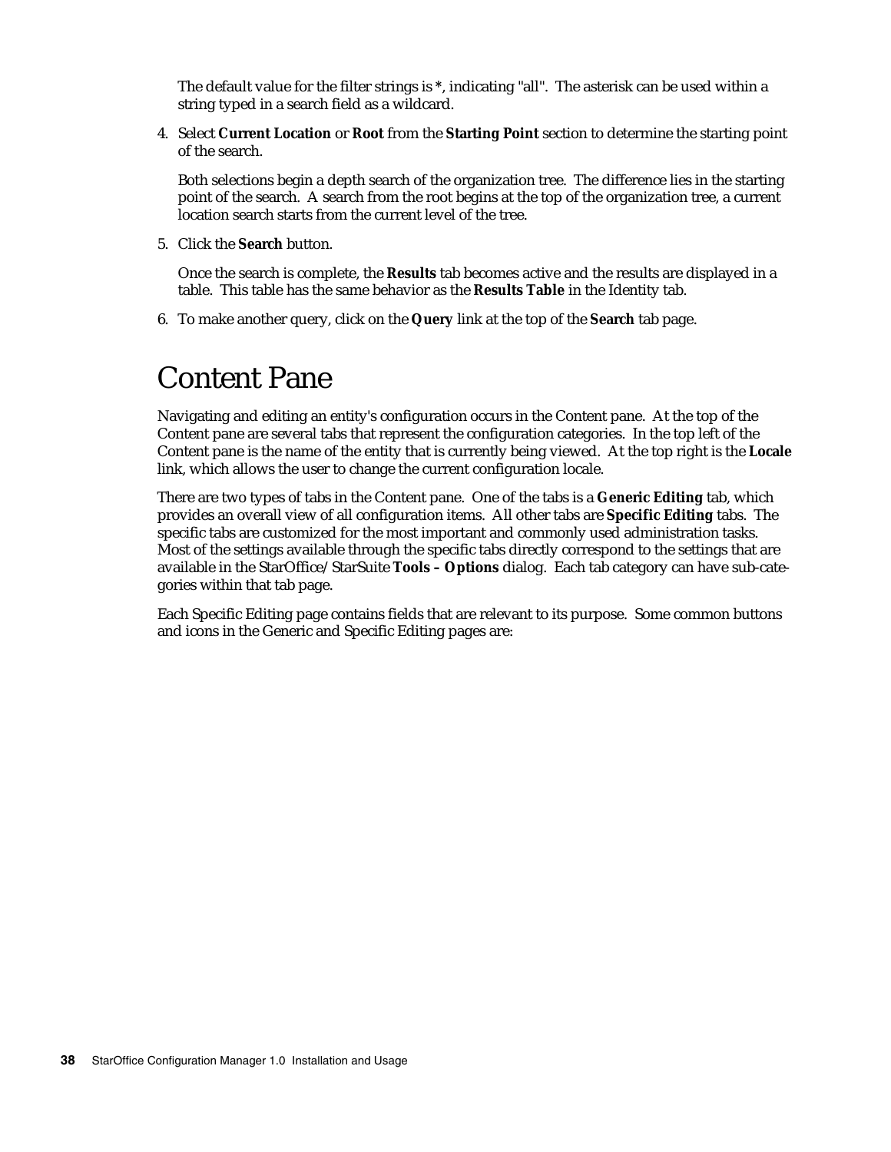The default value for the filter strings is **\***, indicating "all". The asterisk can be used within a string typed in a search field as a wildcard.

4. Select **Current Location** or **Root** from the **Starting Point** section to determine the starting point of the search.

Both selections begin a depth search of the organization tree. The difference lies in the starting point of the search. A search from the root begins at the top of the organization tree, a current location search starts from the current level of the tree.

5. Click the **Search** button.

Once the search is complete, the **Results** tab becomes active and the results are displayed in a table. This table has the same behavior as the **Results Table** in the Identity tab.

6. To make another query, click on the **Query** link at the top of the **Search** tab page.

# Content Pane

Navigating and editing an entity's configuration occurs in the Content pane. At the top of the Content pane are several tabs that represent the configuration categories. In the top left of the Content pane is the name of the entity that is currently being viewed. At the top right is the **Locale** link, which allows the user to change the current configuration locale.

There are two types of tabs in the Content pane. One of the tabs is a **Generic Editing** tab, which provides an overall view of all configuration items. All other tabs are **Specific Editing** tabs. The specific tabs are customized for the most important and commonly used administration tasks. Most of the settings available through the specific tabs directly correspond to the settings that are available in the StarOffice/StarSuite **Tools – Options** dialog. Each tab category can have sub-categories within that tab page.

Each Specific Editing page contains fields that are relevant to its purpose. Some common buttons and icons in the Generic and Specific Editing pages are: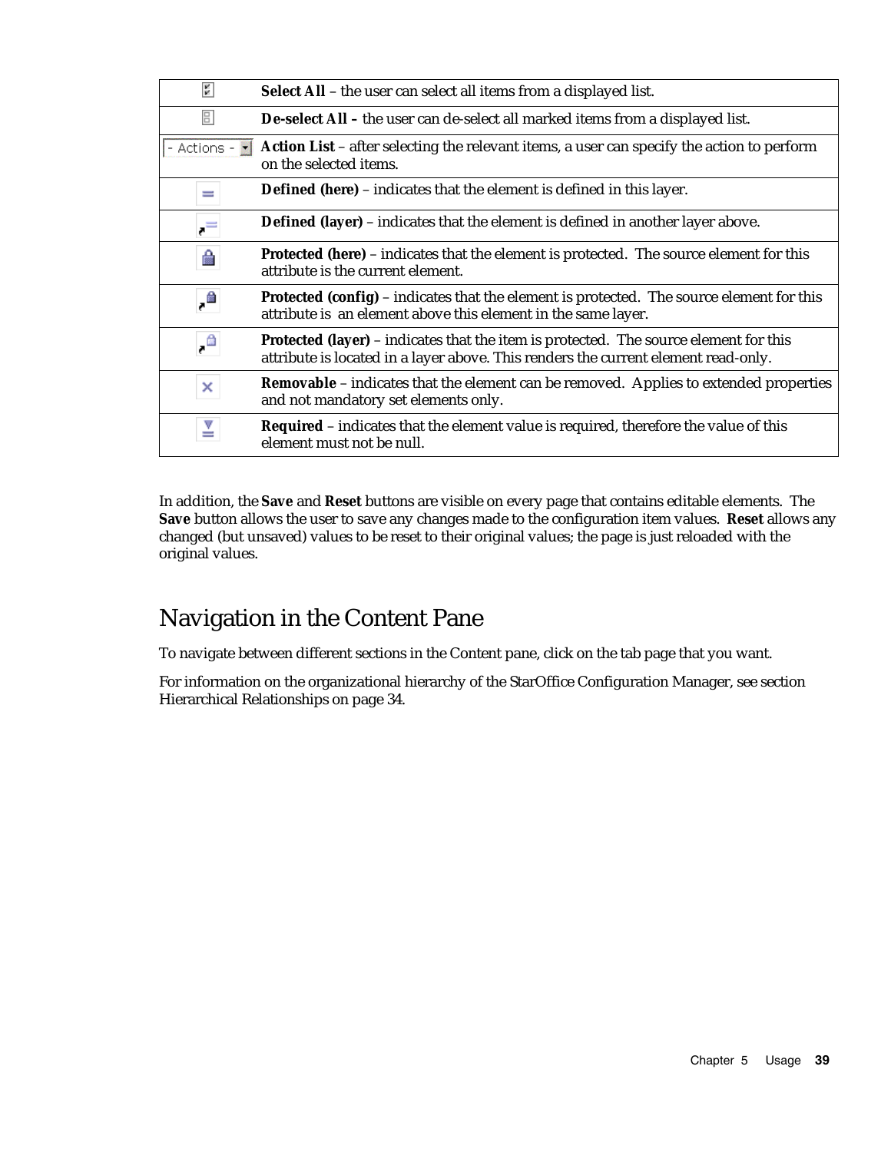| 酮            | Select All - the user can select all items from a displayed list.                                                                                                           |
|--------------|-----------------------------------------------------------------------------------------------------------------------------------------------------------------------------|
| $\boxed{5}$  | De-select All - the user can de-select all marked items from a displayed list.                                                                                              |
| - Actions -  | Action List - after selecting the relevant items, a user can specify the action to perform<br>on the selected items.                                                        |
| $=$          | <b>Defined (here)</b> – indicates that the element is defined in this layer.                                                                                                |
| $\cdot$ $=$  | <b>Defined (layer)</b> - indicates that the element is defined in another layer above.                                                                                      |
| e            | <b>Protected (here)</b> – indicates that the element is protected. The source element for this<br>attribute is the current element.                                         |
| $\cdot$      | <b>Protected (config)</b> – indicates that the element is protected. The source element for this<br>attribute is an element above this element in the same layer.           |
| $\mathbb{R}$ | Protected (layer) - indicates that the item is protected. The source element for this<br>attribute is located in a layer above. This renders the current element read-only. |
| ×            | <b>Removable</b> – indicates that the element can be removed. Applies to extended properties<br>and not mandatory set elements only.                                        |
| ≚            | <b>Required</b> – indicates that the element value is required, therefore the value of this<br>element must not be null.                                                    |

In addition, the **Save** and **Reset** buttons are visible on every page that contains editable elements. The **Save** button allows the user to save any changes made to the configuration item values. **Reset** allows any changed (but unsaved) values to be reset to their original values; the page is just reloaded with the original values.

### Navigation in the Content Pane

To navigate between different sections in the Content pane, click on the tab page that you want.

For information on the organizational hierarchy of the StarOffice Configuration Manager, see section Hierarchical Relationships on page 34.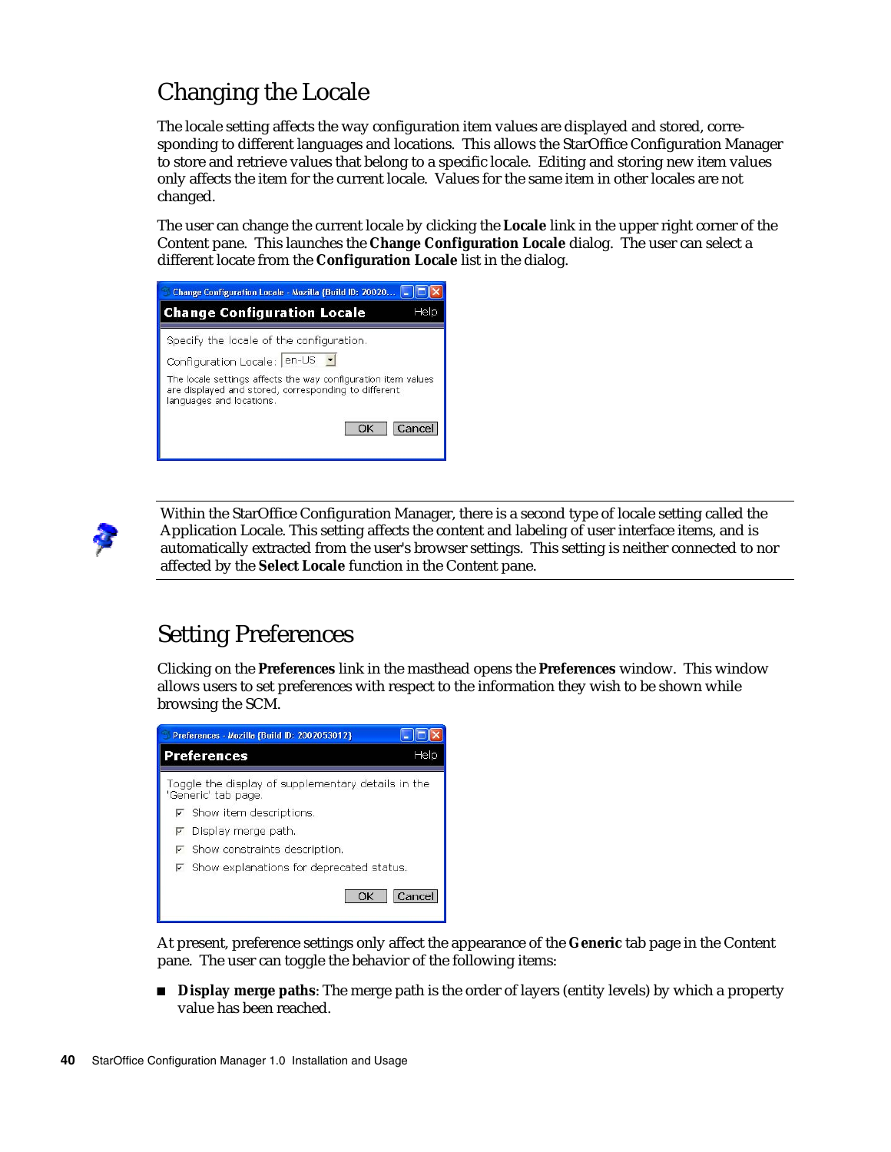## Changing the Locale

The locale setting affects the way configuration item values are displayed and stored, corresponding to different languages and locations. This allows the StarOffice Configuration Manager to store and retrieve values that belong to a specific locale. Editing and storing new item values only affects the item for the current locale. Values for the same item in other locales are not changed.

The user can change the current locale by clicking the **Locale** link in the upper right corner of the Content pane. This launches the **Change Configuration Locale** dialog. The user can select a different locate from the **Configuration Locale** list in the dialog.

| Change Configuration Locale - Mozilla {Build ID: 20020                                                                                            |
|---------------------------------------------------------------------------------------------------------------------------------------------------|
| <b>Change Configuration Locale</b><br>Help                                                                                                        |
| Specify the locale of the configuration.                                                                                                          |
| Configuration Locale: en-US -                                                                                                                     |
| The locale settings affects the way configuration item values<br>are displayed and stored, corresponding to different<br>languages and locations. |
| Cancel<br>OK                                                                                                                                      |



Within the StarOffice Configuration Manager, there is a second type of locale setting called the Application Locale. This setting affects the content and labeling of user interface items, and is automatically extracted from the user's browser settings. This setting is neither connected to nor affected by the **Select Locale** function in the Content pane.

## Setting Preferences

Clicking on the **Preferences** link in the masthead opens the **Preferences** window. This window allows users to set preferences with respect to the information they wish to be shown while browsing the SCM.



At present, preference settings only affect the appearance of the **Generic** tab page in the Content pane. The user can toggle the behavior of the following items:

**Display merge paths**: The merge path is the order of layers (entity levels) by which a property value has been reached.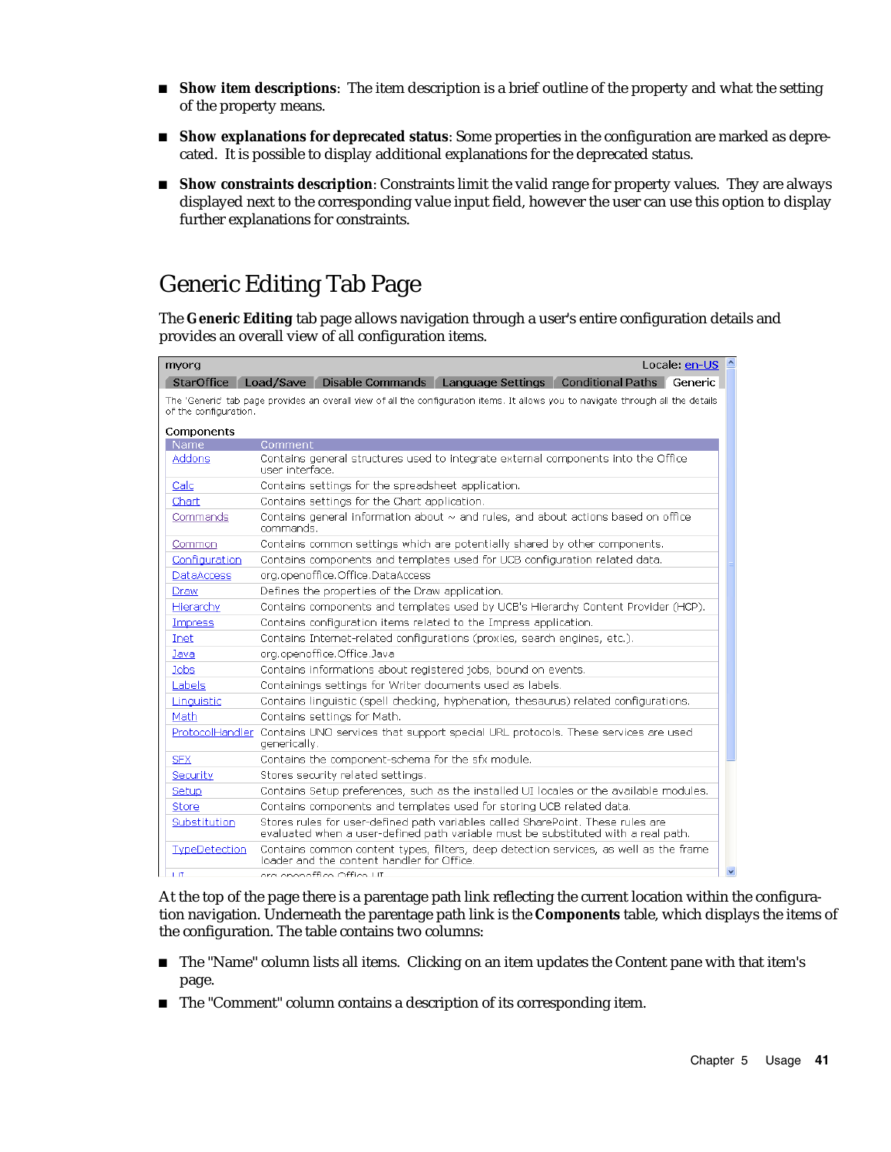- **Show item descriptions**: The item description is a brief outline of the property and what the setting of the property means.
- **Show explanations for deprecated status**: Some properties in the configuration are marked as deprecated. It is possible to display additional explanations for the deprecated status.
- **Show constraints description**: Constraints limit the valid range for property values. They are always displayed next to the corresponding value input field, however the user can use this option to display further explanations for constraints.

### Generic Editing Tab Page

The **Generic Editing** tab page allows navigation through a user's entire configuration details and provides an overall view of all configuration items.

| myorg                 | Locale: $en$ -US $\triangle$                                                                                                                                         |
|-----------------------|----------------------------------------------------------------------------------------------------------------------------------------------------------------------|
| StarOffice            | Load/Save Disable Commands Language Settings Conditional Paths Generic                                                                                               |
| of the configuration. | The 'Generic' tab page provides an overall view of all the configuration items. It allows you to navigate through all the details                                    |
| Components            |                                                                                                                                                                      |
| Name                  | Comment                                                                                                                                                              |
| Addons                | Contains general structures used to integrate external components into the Office<br>user interface.                                                                 |
| Calc                  | Contains settings for the spreadsheet application.                                                                                                                   |
| Chart                 | Contains settings for the Chart application.                                                                                                                         |
| Commands              | Contains general information about $\sim$ and rules, and about actions based on office<br>commands.                                                                  |
| Common                | Contains common settings which are potentially shared by other components.                                                                                           |
| Configuration         | Contains components and templates used for UCB configuration related data.                                                                                           |
| <b>DataAccess</b>     | org.openoffice.Office.DataAccess                                                                                                                                     |
| Draw                  | Defines the properties of the Draw application.                                                                                                                      |
| Hierarchy             | Contains components and templates used by UCB's Hierarchy Content Provider (HCP).                                                                                    |
| <b>Impress</b>        | Contains configuration items related to the Impress application.                                                                                                     |
| Inet                  | Contains Internet-related configurations (proxies, search engines, etc.).                                                                                            |
| Java                  | org.openoffice.Office.Java                                                                                                                                           |
| Jobs                  | Contains informations about registered jobs, bound on events.                                                                                                        |
| Labels                | Containings settings for Writer documents used as labels.                                                                                                            |
| Linguistic            | Contains linguistic (spell checking, hyphenation, thesaurus) related configurations.                                                                                 |
| Math                  | Contains settings for Math.                                                                                                                                          |
|                       | ProtocolHandler Contains UNO services that support special URL protocols. These services are used<br>generically.                                                    |
| <b>SFX</b>            | Contains the component-schema for the sfx module.                                                                                                                    |
| Security              | Stores security related settings.                                                                                                                                    |
| Setup                 | Contains Setup preferences, such as the installed UI locales or the available modules.                                                                               |
| Store                 | Contains components and templates used for storing UCB related data.                                                                                                 |
| Substitution          | Stores rules for user-defined path variables called SharePoint. These rules are<br>evaluated when a user-defined path variable must be substituted with a real path. |
| TypeDetection         | Contains common content types, filters, deep detection services, as well as the frame<br>loader and the content handler for Office.                                  |
| 1.1T                  | ora opopoffico Offico I IT                                                                                                                                           |

At the top of the page there is a parentage path link reflecting the current location within the configuration navigation. Underneath the parentage path link is the **Components** table, which displays the items of the configuration. The table contains two columns:

- The "Name" column lists all items. Clicking on an item updates the Content pane with that item's page.
- The "Comment" column contains a description of its corresponding item.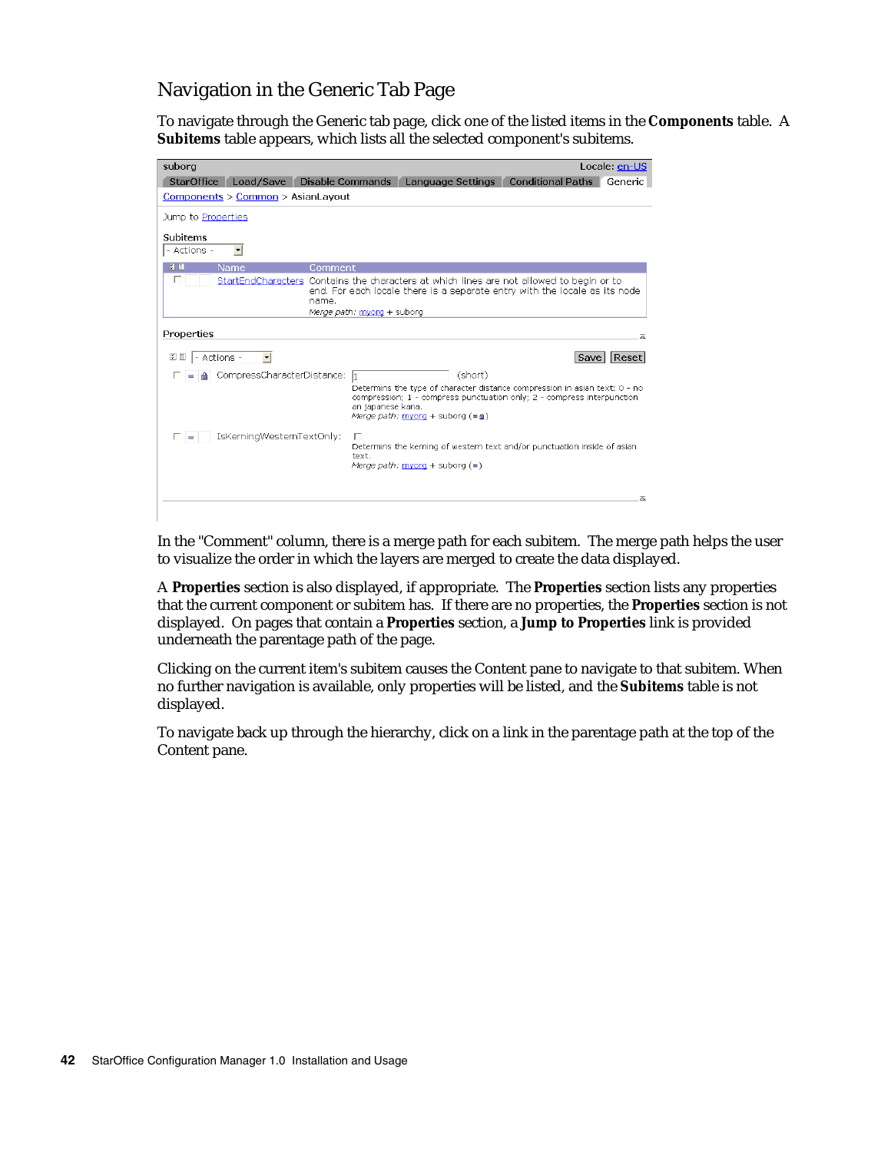#### Navigation in the Generic Tab Page

To navigate through the Generic tab page, click one of the listed items in the **Components** table. A **Subitems** table appears, which lists all the selected component's subitems.



In the "Comment" column, there is a merge path for each subitem. The merge path helps the user to visualize the order in which the layers are merged to create the data displayed.

A **Properties** section is also displayed, if appropriate. The **Properties** section lists any properties that the current component or subitem has. If there are no properties, the **Properties** section is not displayed. On pages that contain a **Properties** section, a **Jump to Properties** link is provided underneath the parentage path of the page.

Clicking on the current item's subitem causes the Content pane to navigate to that subitem. When no further navigation is available, only properties will be listed, and the **Subitems** table is not displayed.

To navigate back up through the hierarchy, click on a link in the parentage path at the top of the Content pane.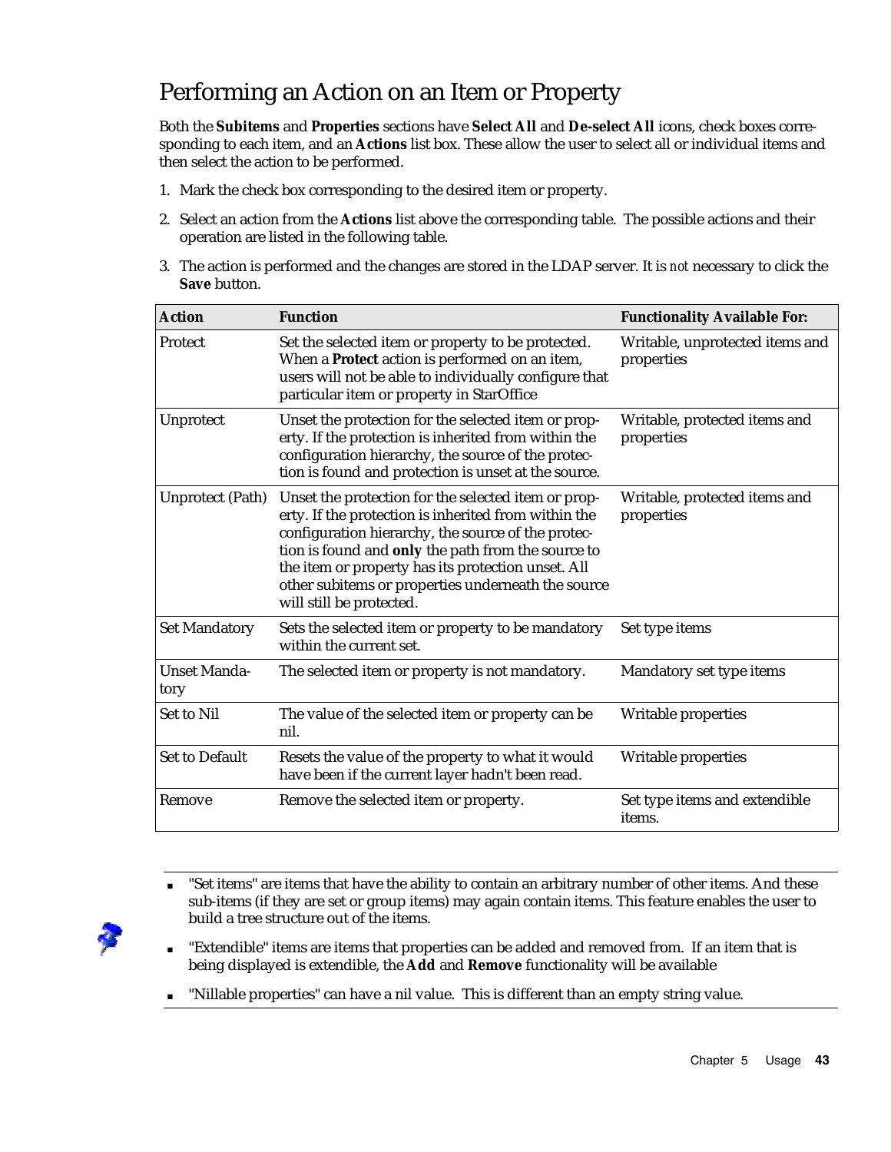### Performing an Action on an Item or Property

Both the **Subitems** and **Properties** sections have **Select All** and **De-select All** icons, check boxes corresponding to each item, and an **Actions** list box. These allow the user to select all or individual items and then select the action to be performed.

- 1. Mark the check box corresponding to the desired item or property.
- 2. Select an action from the **Actions** list above the corresponding table. The possible actions and their operation are listed in the following table.
- 3. The action is performed and the changes are stored in the LDAP server. It is *not* necessary to click the **Save** button.

| <b>Action</b>               | <b>Function</b>                                                                                                                                                                                                                                                                                                                                                 | <b>Functionality Available For:</b>           |
|-----------------------------|-----------------------------------------------------------------------------------------------------------------------------------------------------------------------------------------------------------------------------------------------------------------------------------------------------------------------------------------------------------------|-----------------------------------------------|
| Protect                     | Set the selected item or property to be protected.<br>When a Protect action is performed on an item,<br>users will not be able to individually configure that<br>particular item or property in StarOffice                                                                                                                                                      | Writable, unprotected items and<br>properties |
| Unprotect                   | Unset the protection for the selected item or prop-<br>erty. If the protection is inherited from within the<br>configuration hierarchy, the source of the protec-<br>tion is found and protection is unset at the source.                                                                                                                                       | Writable, protected items and<br>properties   |
| <b>Unprotect (Path)</b>     | Unset the protection for the selected item or prop-<br>erty. If the protection is inherited from within the<br>configuration hierarchy, the source of the protec-<br>tion is found and only the path from the source to<br>the item or property has its protection unset. All<br>other subitems or properties underneath the source<br>will still be protected. | Writable, protected items and<br>properties   |
| <b>Set Mandatory</b>        | Sets the selected item or property to be mandatory<br>within the current set.                                                                                                                                                                                                                                                                                   | Set type items                                |
| <b>Unset Manda-</b><br>tory | The selected item or property is not mandatory.                                                                                                                                                                                                                                                                                                                 | Mandatory set type items                      |
| <b>Set to Nil</b>           | The value of the selected item or property can be<br>nil.                                                                                                                                                                                                                                                                                                       | Writable properties                           |
| Set to Default              | Resets the value of the property to what it would<br>have been if the current layer hadn't been read.                                                                                                                                                                                                                                                           | Writable properties                           |
| Remove                      | Remove the selected item or property.                                                                                                                                                                                                                                                                                                                           | Set type items and extendible<br>items.       |



- "Set items" are items that have the ability to contain an arbitrary number of other items. And these sub-items (if they are set or group items) may again contain items. This feature enables the user to build a tree structure out of the items.
- "Extendible" items are items that properties can be added and removed from. If an item that is being displayed is extendible, the **Add** and **Remove** functionality will be available
- "Nillable properties" can have a nil value. This is different than an empty string value.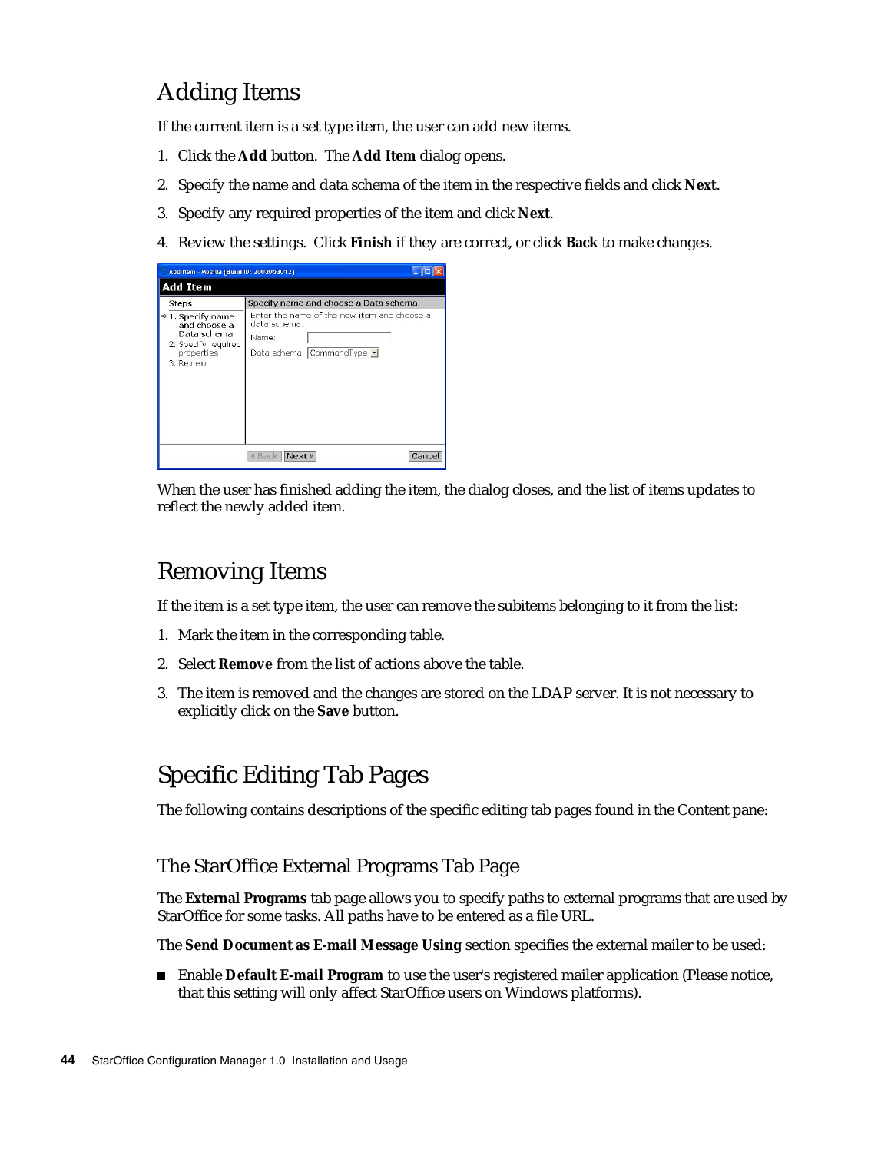## Adding Items

If the current item is a set type item, the user can add new items.

- 1. Click the **Add** button. The **Add Item** dialog opens.
- 2. Specify the name and data schema of the item in the respective fields and click **Next**.
- 3. Specify any required properties of the item and click **Next**.
- 4. Review the settings. Click **Finish** if they are correct, or click **Back** to make changes.

| Add Item - Mozilla (Build ID: 2002053012)                                                                      |                                                                                                    |
|----------------------------------------------------------------------------------------------------------------|----------------------------------------------------------------------------------------------------|
| <b>Add Item</b>                                                                                                |                                                                                                    |
| <b>Steps</b>                                                                                                   | Specify name and choose a Data schema                                                              |
| $\Rightarrow$ 1. Specify name<br>and choose a<br>Data schema<br>2. Specify required<br>properties<br>3. Review | Enter the name of the new item and choose a<br>data schema.<br>Name:<br>Data schema: CommandType - |
|                                                                                                                | « Back<br>Next<br>Cancel                                                                           |

When the user has finished adding the item, the dialog closes, and the list of items updates to reflect the newly added item.

#### Removing Items

If the item is a set type item, the user can remove the subitems belonging to it from the list:

- 1. Mark the item in the corresponding table.
- 2. Select **Remove** from the list of actions above the table.
- 3. The item is removed and the changes are stored on the LDAP server. It is not necessary to explicitly click on the **Save** button.

### Specific Editing Tab Pages

The following contains descriptions of the specific editing tab pages found in the Content pane:

#### The StarOffice External Programs Tab Page

The **External Programs** tab page allows you to specify paths to external programs that are used by StarOffice for some tasks. All paths have to be entered as a file URL.

The **Send Document as E-mail Message Using** section specifies the external mailer to be used:

 Enable **Default E-mail Program** to use the user's registered mailer application (Please notice, that this setting will only affect StarOffice users on Windows platforms).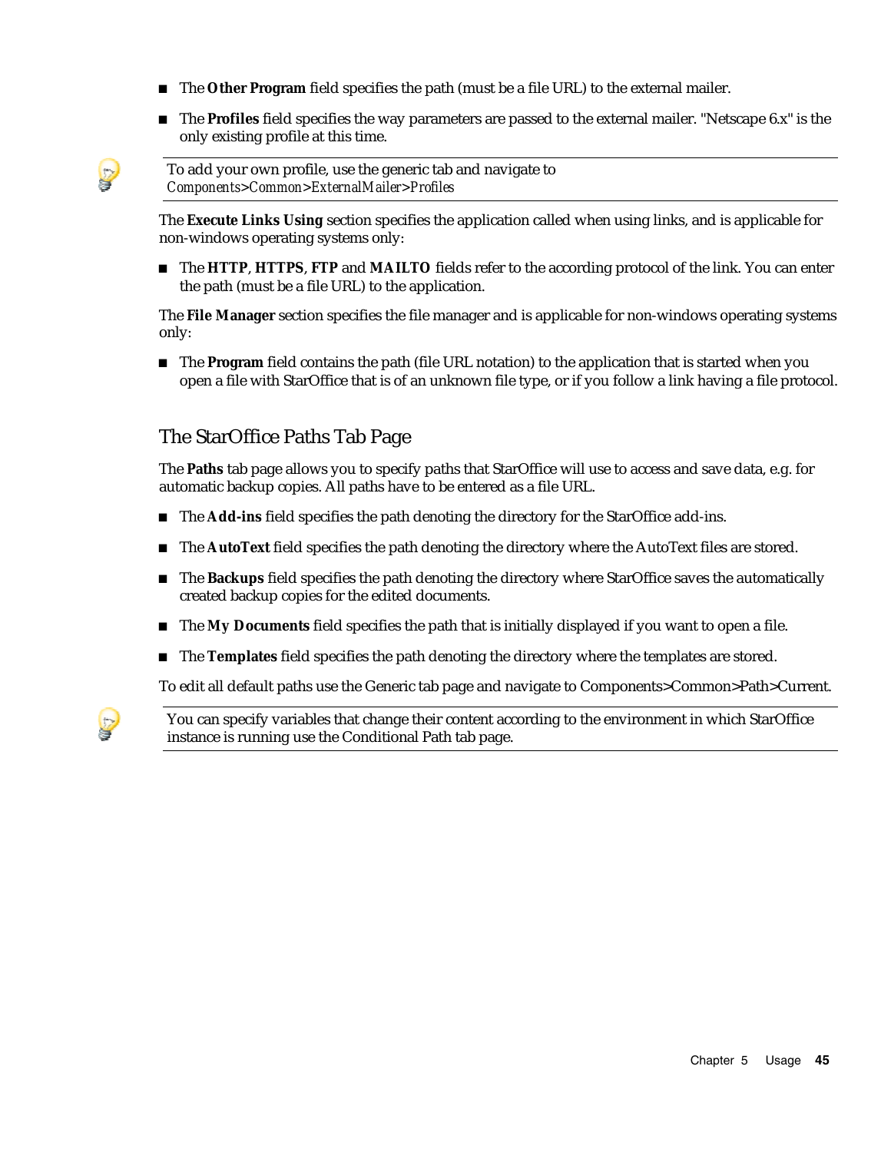- **The Other Program** field specifies the path (must be a file URL) to the external mailer.
- The **Profiles** field specifies the way parameters are passed to the external mailer. "Netscape 6.x" is the only existing profile at this time.

To add your own profile, use the generic tab and navigate to *Components>Common>ExternalMailer>Profiles*

The **Execute Links Using** section specifies the application called when using links, and is applicable for non-windows operating systems only:

 The **HTTP**, **HTTPS**, **FTP** and **MAILTO** fields refer to the according protocol of the link. You can enter the path (must be a file URL) to the application.

The **File Manager** section specifies the file manager and is applicable for non-windows operating systems only:

**The Program** field contains the path (file URL notation) to the application that is started when you open a file with StarOffice that is of an unknown file type, or if you follow a link having a file protocol.

#### The StarOffice Paths Tab Page

The **Paths** tab page allows you to specify paths that StarOffice will use to access and save data, e.g. for automatic backup copies. All paths have to be entered as a file URL.

- The **Add-ins** field specifies the path denoting the directory for the StarOffice add-ins.
- The **AutoText** field specifies the path denoting the directory where the AutoText files are stored.
- **The Backups** field specifies the path denoting the directory where StarOffice saves the automatically created backup copies for the edited documents.
- The **My Documents** field specifies the path that is initially displayed if you want to open a file.
- **The Templates** field specifies the path denoting the directory where the templates are stored.

To edit all default paths use the Generic tab page and navigate to Components>Common>Path>Current.



You can specify variables that change their content according to the environment in which StarOffice instance is running use the Conditional Path tab page.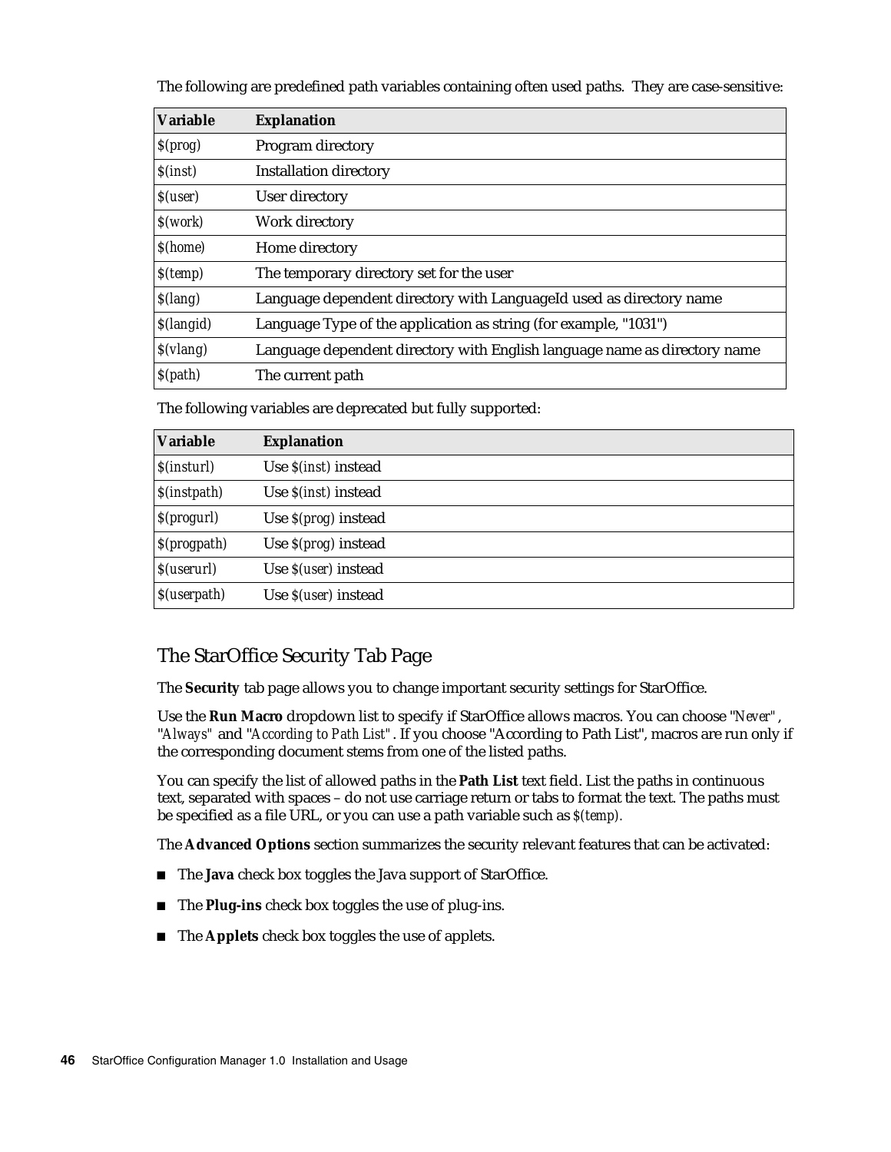The following are predefined path variables containing often used paths. They are case-sensitive:

| <b>Variable</b>          | <b>Explanation</b>                                                        |  |
|--------------------------|---------------------------------------------------------------------------|--|
| S(prog)                  | Program directory                                                         |  |
| S( <i>inst</i> )         | <b>Installation directory</b>                                             |  |
| $S$ (user)               | User directory                                                            |  |
| S(work)                  | Work directory                                                            |  |
| \$(home)                 | Home directory                                                            |  |
| $S$ (temp)               | The temporary directory set for the user                                  |  |
| S(lang)                  | Language dependent directory with LanguageId used as directory name       |  |
| <i><b>S</b></i> (langid) | Language Type of the application as string (for example, "1031")          |  |
| S(vlang)                 | Language dependent directory with English language name as directory name |  |
| S(path)                  | The current path                                                          |  |

The following variables are deprecated but fully supported:

| <b>Variable</b> | <b>Explanation</b>              |
|-----------------|---------------------------------|
| S(instrument)   | Use <i>S(inst)</i> instead      |
| S(instpath)     | Use $\mathcal{S}(inst)$ instead |
| S(progurl)      | Use $S(prog)$ instead           |
| S(progpath)     | Use $S(prog)$ instead           |
| $S$ (userurl)   | Use <i>S(user)</i> instead      |
| $S$ (userpath)  | Use <i>S(user)</i> instead      |

#### The StarOffice Security Tab Page

The **Security** tab page allows you to change important security settings for StarOffice.

Use the **Run Macro** dropdown list to specify if StarOffice allows macros. You can choose "*Never"*, "*Always"* and "*According to Path List"*. If you choose "According to Path List", macros are run only if the corresponding document stems from one of the listed paths.

You can specify the list of allowed paths in the **Path List** text field. List the paths in continuous text, separated with spaces – do not use carriage return or tabs to format the text. The paths must be specified as a file URL, or you can use a path variable such as *\$(temp).*

The **Advanced Options** section summarizes the security relevant features that can be activated:

- The **Java** check box toggles the Java support of StarOffice.
- The **Plug-ins** check box toggles the use of plug-ins.
- The **Applets** check box toggles the use of applets.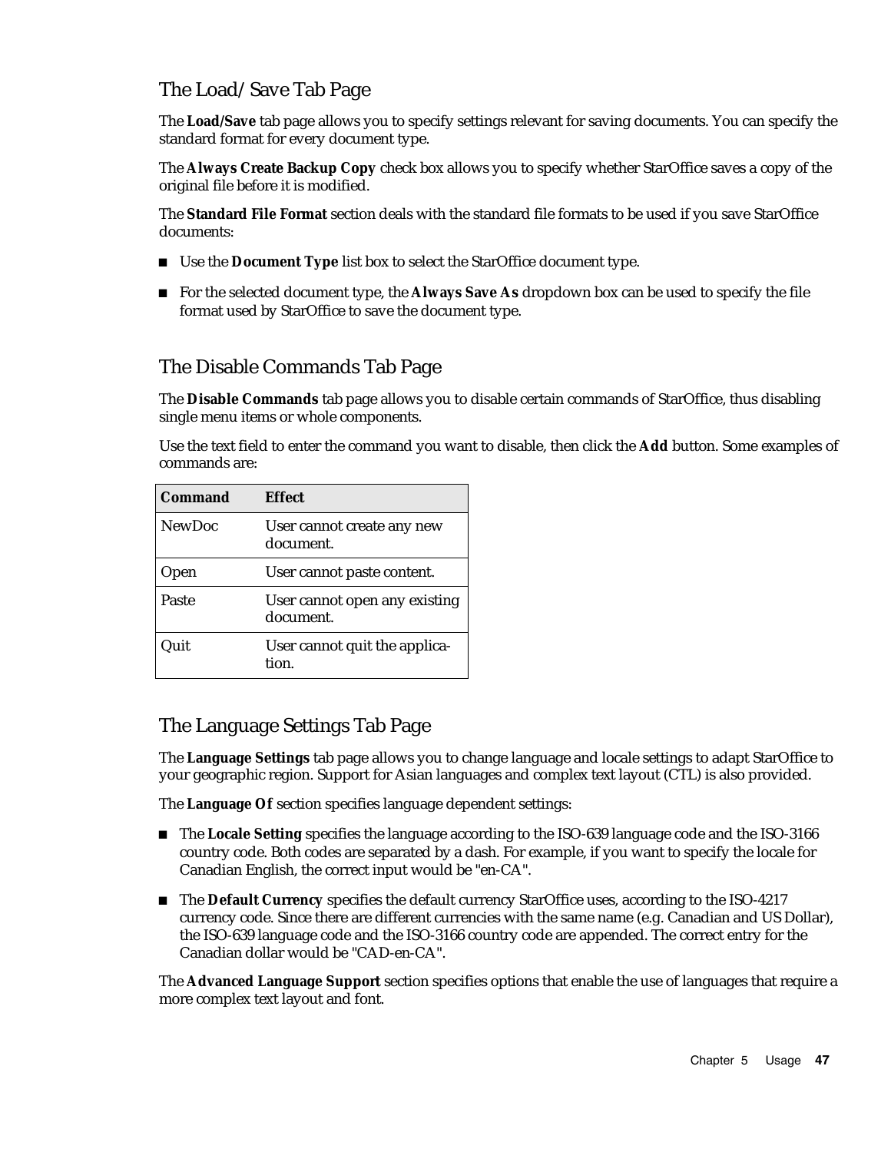#### The Load/Save Tab Page

The **Load/Save** tab page allows you to specify settings relevant for saving documents. You can specify the standard format for every document type.

The **Always Create Backup Copy** check box allows you to specify whether StarOffice saves a copy of the original file before it is modified.

The **Standard File Format** section deals with the standard file formats to be used if you save StarOffice documents:

- Use the **Document Type** list box to select the StarOffice document type.
- For the selected document type, the **Always Save As** dropdown box can be used to specify the file format used by StarOffice to save the document type.

#### The Disable Commands Tab Page

The **Disable Commands** tab page allows you to disable certain commands of StarOffice, thus disabling single menu items or whole components.

Use the text field to enter the command you want to disable, then click the **Add** button. Some examples of commands are:

| <b>Command</b> | <b>Effect</b>                              |
|----------------|--------------------------------------------|
| <b>NewDoc</b>  | User cannot create any new<br>document.    |
| Jpen           | User cannot paste content.                 |
| Paste          | User cannot open any existing<br>document. |
| )uit           | User cannot quit the applica-<br>tion.     |

#### The Language Settings Tab Page

The **Language Settings** tab page allows you to change language and locale settings to adapt StarOffice to your geographic region. Support for Asian languages and complex text layout (CTL) is also provided.

The **Language Of** section specifies language dependent settings:

- The **Locale Setting** specifies the language according to the ISO-639 language code and the ISO-3166 country code. Both codes are separated by a dash. For example, if you want to specify the locale for Canadian English, the correct input would be "en-CA".
- The **Default Currency** specifies the default currency StarOffice uses, according to the ISO-4217 currency code. Since there are different currencies with the same name (e.g. Canadian and US Dollar), the ISO-639 language code and the ISO-3166 country code are appended. The correct entry for the Canadian dollar would be "CAD-en-CA".

The **Advanced Language Support** section specifies options that enable the use of languages that require a more complex text layout and font.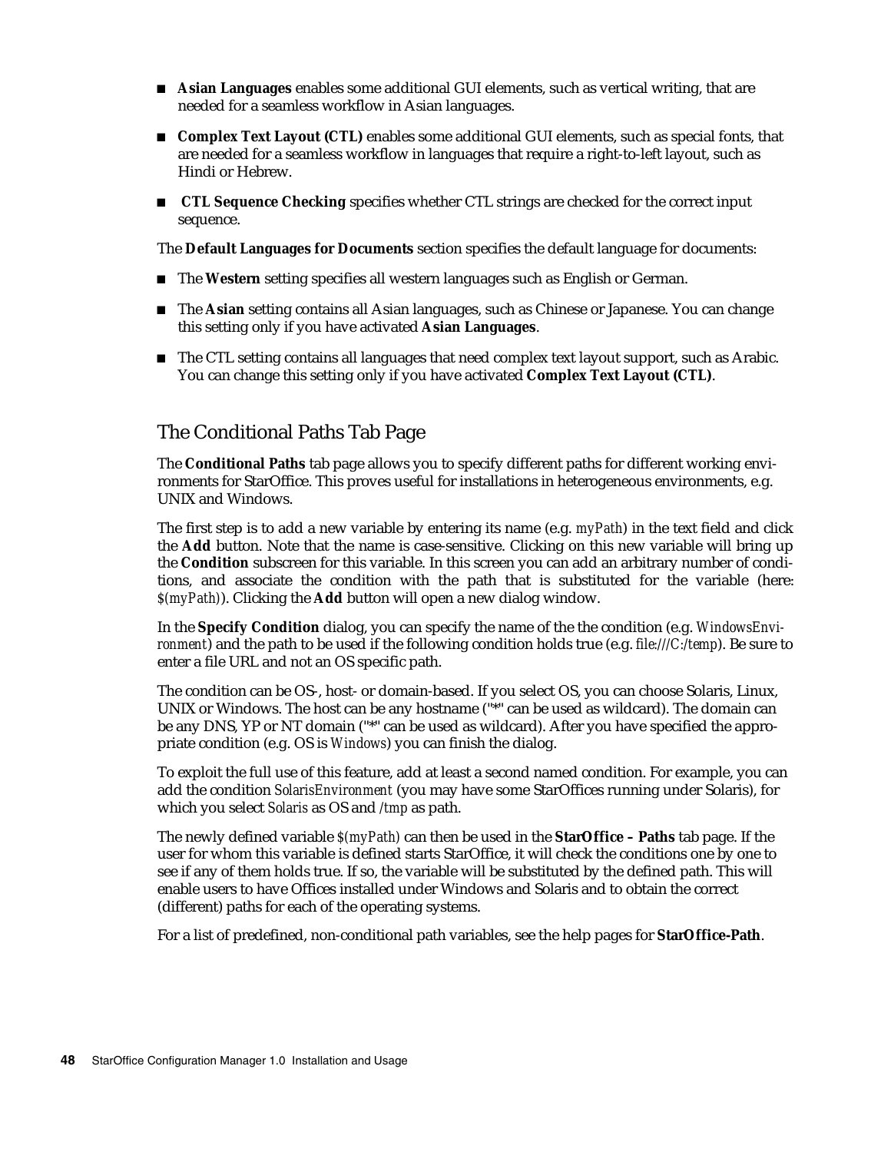- **Asian Languages** enables some additional GUI elements, such as vertical writing, that are needed for a seamless workflow in Asian languages.
- Complex Text Layout (CTL) enables some additional GUI elements, such as special fonts, that are needed for a seamless workflow in languages that require a right-to-left layout, such as Hindi or Hebrew.
- **TRET** CTL Sequence Checking specifies whether CTL strings are checked for the correct input sequence.

The **Default Languages for Documents** section specifies the default language for documents:

- The Western setting specifies all western languages such as English or German.
- The **Asian** setting contains all Asian languages, such as Chinese or Japanese. You can change this setting only if you have activated **Asian Languages**.
- The CTL setting contains all languages that need complex text layout support, such as Arabic. You can change this setting only if you have activated **Complex Text Layout (CTL)**.

#### The Conditional Paths Tab Page

The **Conditional Paths** tab page allows you to specify different paths for different working environments for StarOffice. This proves useful for installations in heterogeneous environments, e.g. UNIX and Windows.

The first step is to add a new variable by entering its name (e.g. *myPath*) in the text field and click the **Add** button. Note that the name is case-sensitive. Clicking on this new variable will bring up the **Condition** subscreen for this variable. In this screen you can add an arbitrary number of conditions, and associate the condition with the path that is substituted for the variable (here: *\$(myPath)*). Clicking the **Add** button will open a new dialog window.

In the **Specify Condition** dialog, you can specify the name of the the condition (e.g. *WindowsEnvironment*) and the path to be used if the following condition holds true (e.g. *file:///C:/temp*). Be sure to enter a file URL and not an OS specific path.

The condition can be OS-, host- or domain-based. If you select OS, you can choose Solaris, Linux, UNIX or Windows. The host can be any hostname ("\*" can be used as wildcard). The domain can be any DNS, YP or NT domain ("\*" can be used as wildcard). After you have specified the appropriate condition (e.g. OS is *Windows*) you can finish the dialog.

To exploit the full use of this feature, add at least a second named condition. For example, you can add the condition *SolarisEnvironment* (you may have some StarOffices running under Solaris), for which you select *Solaris* as OS and */tmp* as path.

The newly defined variable *\$(myPath)* can then be used in the **StarOffice – Paths** tab page. If the user for whom this variable is defined starts StarOffice, it will check the conditions one by one to see if any of them holds true. If so, the variable will be substituted by the defined path. This will enable users to have Offices installed under Windows and Solaris and to obtain the correct (different) paths for each of the operating systems.

For a list of predefined, non-conditional path variables, see the help pages for **StarOffice-Path**.